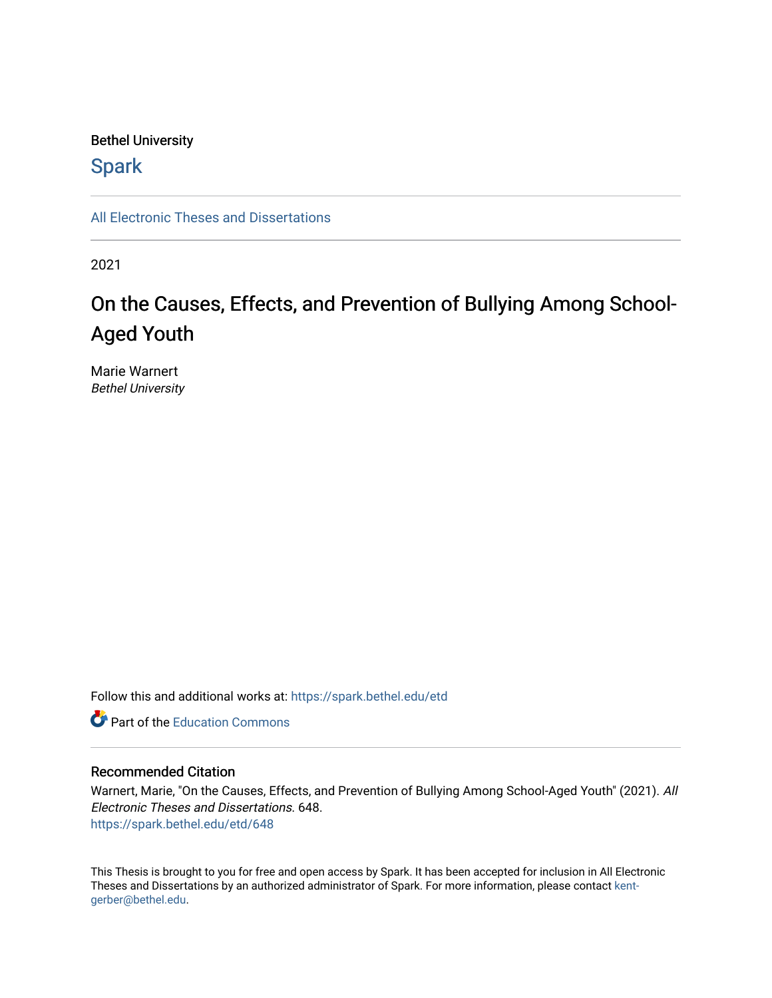# Bethel University

# **Spark**

[All Electronic Theses and Dissertations](https://spark.bethel.edu/etd) 

2021

# On the Causes, Effects, and Prevention of Bullying Among School-Aged Youth

Marie Warnert Bethel University

Follow this and additional works at: [https://spark.bethel.edu/etd](https://spark.bethel.edu/etd?utm_source=spark.bethel.edu%2Fetd%2F648&utm_medium=PDF&utm_campaign=PDFCoverPages)

**C** Part of the [Education Commons](http://network.bepress.com/hgg/discipline/784?utm_source=spark.bethel.edu%2Fetd%2F648&utm_medium=PDF&utm_campaign=PDFCoverPages)

## Recommended Citation

Warnert, Marie, "On the Causes, Effects, and Prevention of Bullying Among School-Aged Youth" (2021). All Electronic Theses and Dissertations. 648. [https://spark.bethel.edu/etd/648](https://spark.bethel.edu/etd/648?utm_source=spark.bethel.edu%2Fetd%2F648&utm_medium=PDF&utm_campaign=PDFCoverPages)

This Thesis is brought to you for free and open access by Spark. It has been accepted for inclusion in All Electronic Theses and Dissertations by an authorized administrator of Spark. For more information, please contact [kent](mailto:kent-gerber@bethel.edu)[gerber@bethel.edu.](mailto:kent-gerber@bethel.edu)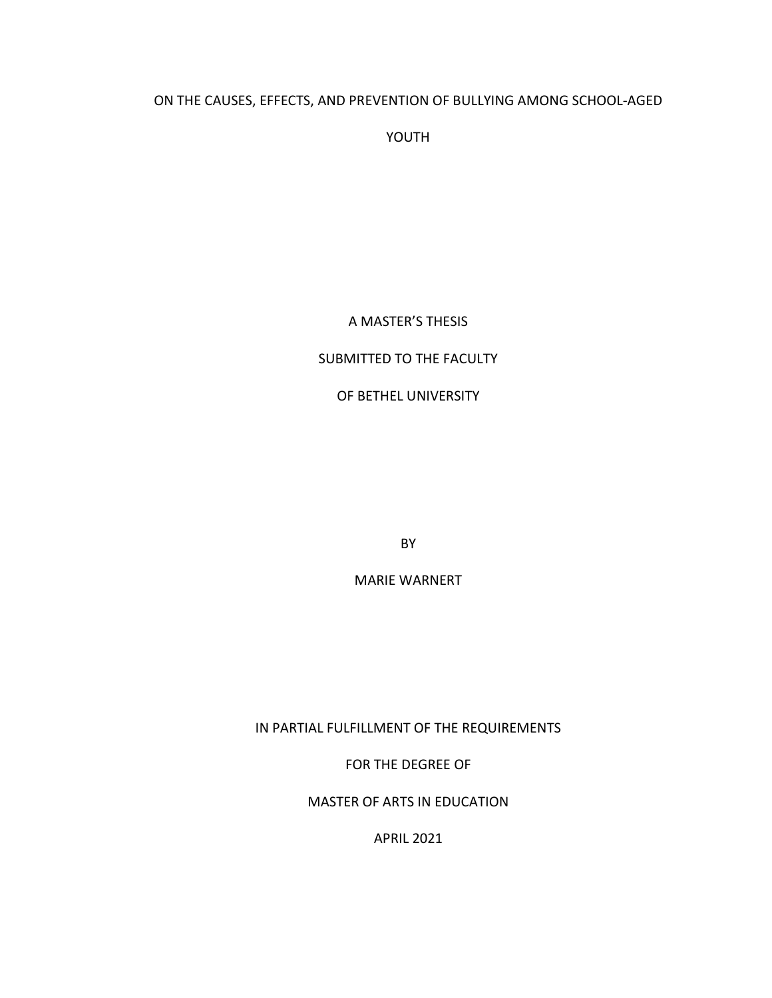# ON THE CAUSES, EFFECTS, AND PREVENTION OF BULLYING AMONG SCHOOL-AGED

YOUTH

# A MASTER'S THESIS

# SUBMITTED TO THE FACULTY

# OF BETHEL UNIVERSITY

BY

MARIE WARNERT

IN PARTIAL FULFILLMENT OF THE REQUIREMENTS

FOR THE DEGREE OF

MASTER OF ARTS IN EDUCATION

APRIL 2021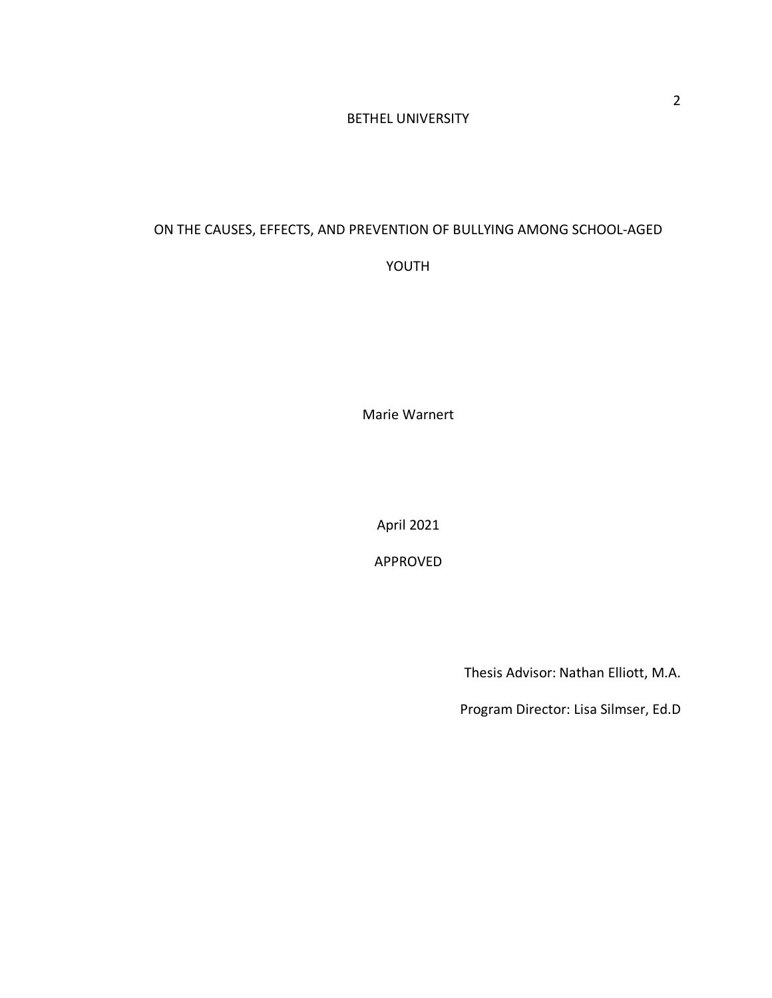# BETHEL UNIVERSITY

# ON THE CAUSES, EFFECTS, AND PREVENTION OF BULLYING AMONG SCHOOL-AGED

YOUTH

Marie Warnert

April 2021

APPROVED

Thesis Advisor: Nathan Elliott, M.A.

Program Director: Lisa Silmser, Ed.D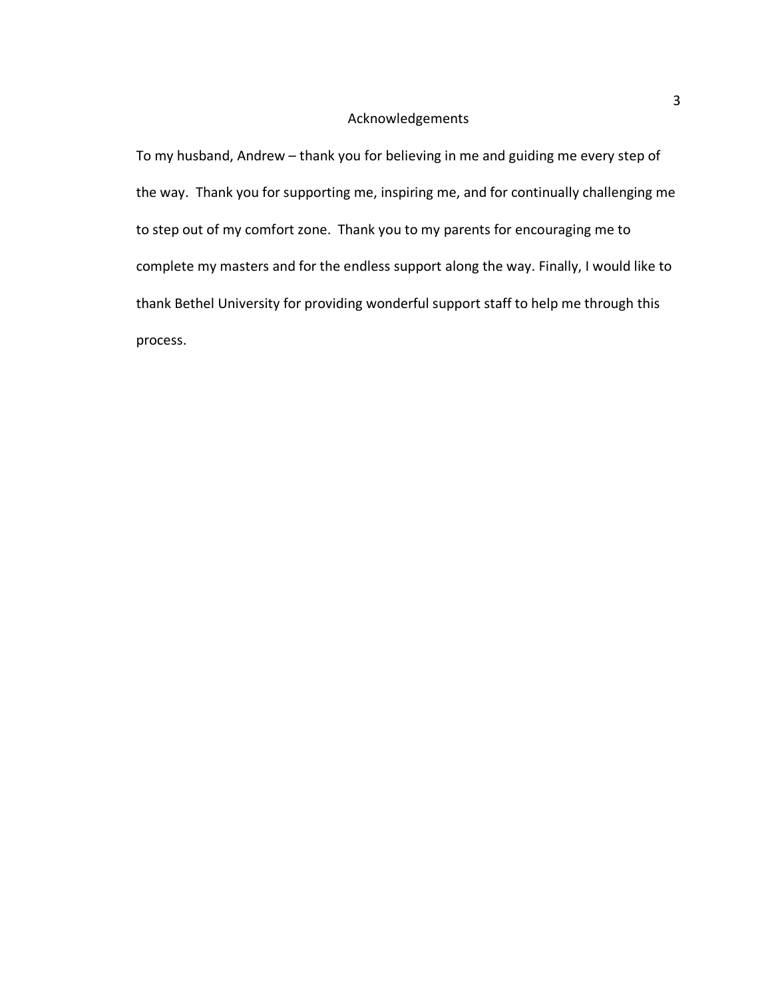# Acknowledgements

To my husband, Andrew – thank you for believing in me and guiding me every step of the way. Thank you for supporting me, inspiring me, and for continually challenging me to step out of my comfort zone. Thank you to my parents for encouraging me to complete my masters and for the endless support along the way. Finally, I would like to thank Bethel University for providing wonderful support staff to help me through this process.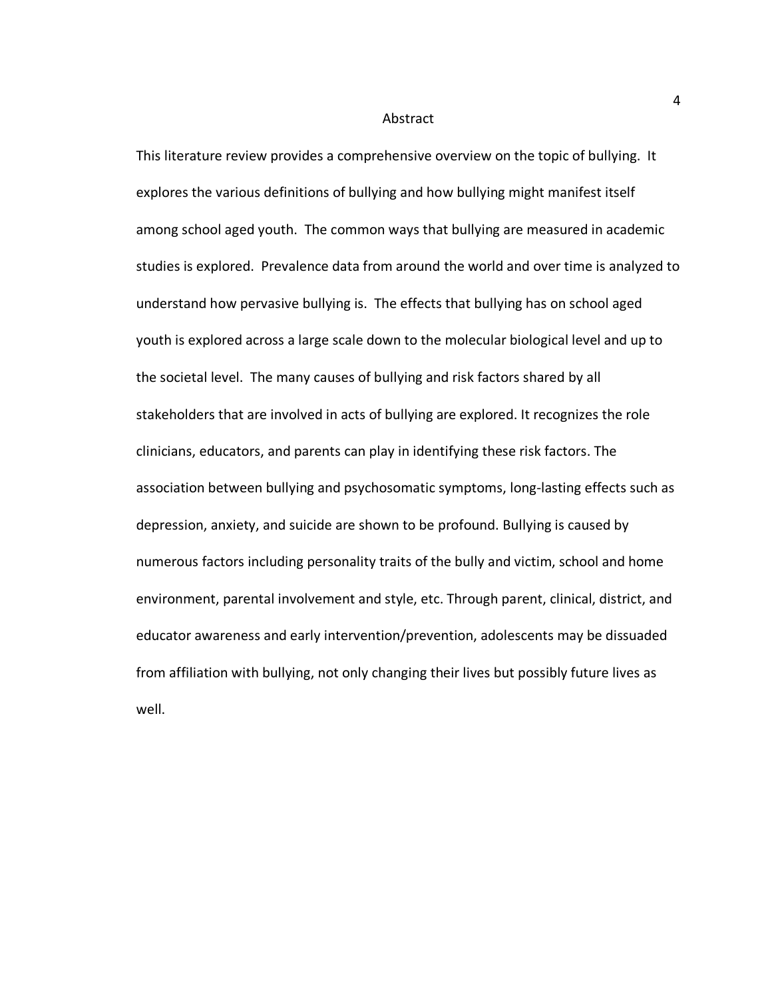#### Abstract

This literature review provides a comprehensive overview on the topic of bullying. It explores the various definitions of bullying and how bullying might manifest itself among school aged youth. The common ways that bullying are measured in academic studies is explored. Prevalence data from around the world and over time is analyzed to understand how pervasive bullying is. The effects that bullying has on school aged youth is explored across a large scale down to the molecular biological level and up to the societal level. The many causes of bullying and risk factors shared by all stakeholders that are involved in acts of bullying are explored. It recognizes the role clinicians, educators, and parents can play in identifying these risk factors. The association between bullying and psychosomatic symptoms, long-lasting effects such as depression, anxiety, and suicide are shown to be profound. Bullying is caused by numerous factors including personality traits of the bully and victim, school and home environment, parental involvement and style, etc. Through parent, clinical, district, and educator awareness and early intervention/prevention, adolescents may be dissuaded from affiliation with bullying, not only changing their lives but possibly future lives as well.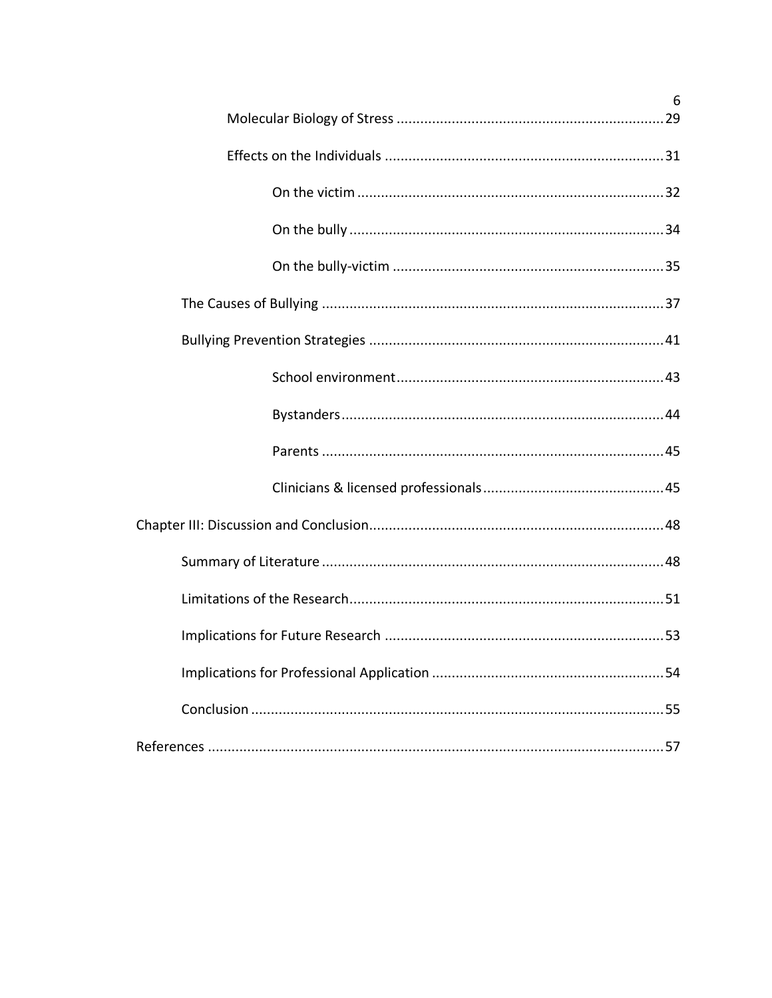| 6 |
|---|
|   |
|   |
|   |
|   |
|   |
|   |
|   |
|   |
|   |
|   |
|   |
|   |
|   |
|   |
|   |
|   |
|   |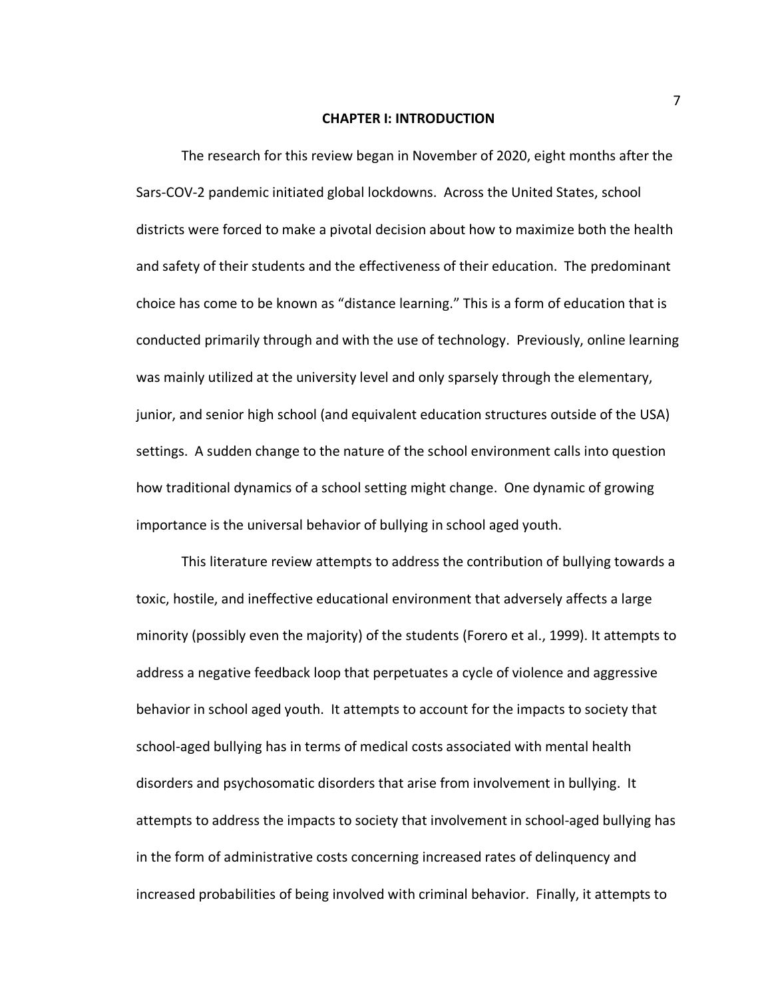#### **CHAPTER I: INTRODUCTION**

The research for this review began in November of 2020, eight months after the Sars-COV-2 pandemic initiated global lockdowns. Across the United States, school districts were forced to make a pivotal decision about how to maximize both the health and safety of their students and the effectiveness of their education. The predominant choice has come to be known as "distance learning." This is a form of education that is conducted primarily through and with the use of technology. Previously, online learning was mainly utilized at the university level and only sparsely through the elementary, junior, and senior high school (and equivalent education structures outside of the USA) settings. A sudden change to the nature of the school environment calls into question how traditional dynamics of a school setting might change. One dynamic of growing importance is the universal behavior of bullying in school aged youth.

This literature review attempts to address the contribution of bullying towards a toxic, hostile, and ineffective educational environment that adversely affects a large minority (possibly even the majority) of the students (Forero et al., 1999). It attempts to address a negative feedback loop that perpetuates a cycle of violence and aggressive behavior in school aged youth. It attempts to account for the impacts to society that school-aged bullying has in terms of medical costs associated with mental health disorders and psychosomatic disorders that arise from involvement in bullying. It attempts to address the impacts to society that involvement in school-aged bullying has in the form of administrative costs concerning increased rates of delinquency and increased probabilities of being involved with criminal behavior. Finally, it attempts to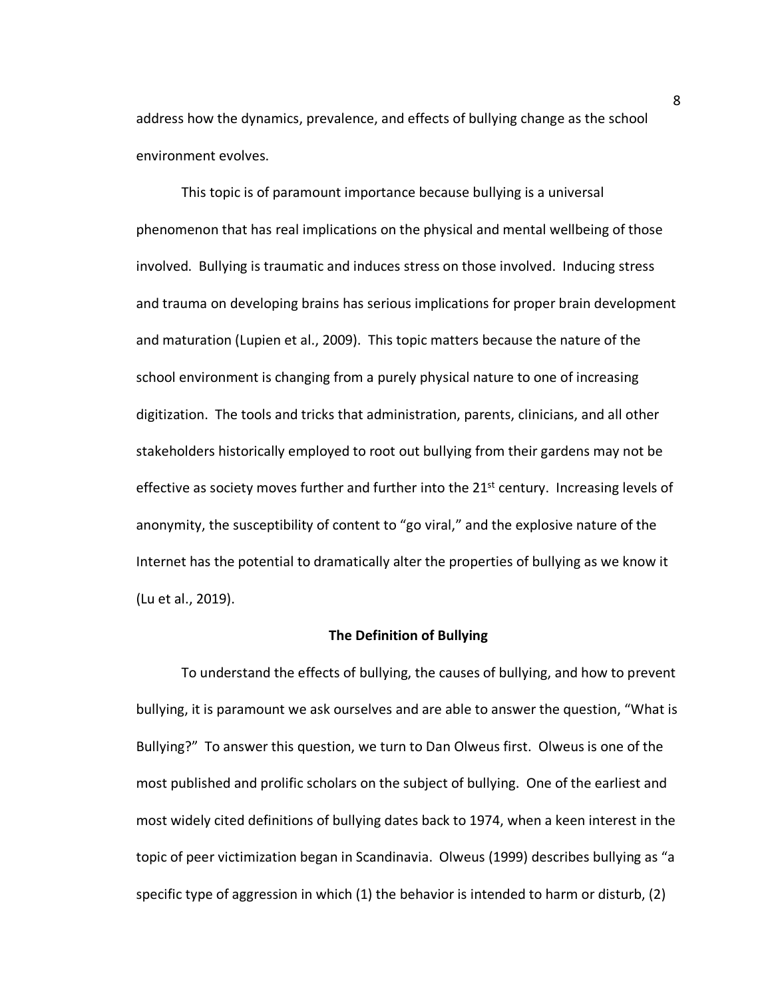address how the dynamics, prevalence, and effects of bullying change as the school environment evolves.

This topic is of paramount importance because bullying is a universal phenomenon that has real implications on the physical and mental wellbeing of those involved. Bullying is traumatic and induces stress on those involved. Inducing stress and trauma on developing brains has serious implications for proper brain development and maturation (Lupien et al., 2009). This topic matters because the nature of the school environment is changing from a purely physical nature to one of increasing digitization. The tools and tricks that administration, parents, clinicians, and all other stakeholders historically employed to root out bullying from their gardens may not be effective as society moves further and further into the  $21<sup>st</sup>$  century. Increasing levels of anonymity, the susceptibility of content to "go viral," and the explosive nature of the Internet has the potential to dramatically alter the properties of bullying as we know it (Lu et al., 2019).

#### **The Definition of Bullying**

To understand the effects of bullying, the causes of bullying, and how to prevent bullying, it is paramount we ask ourselves and are able to answer the question, "What is Bullying?" To answer this question, we turn to Dan Olweus first. Olweus is one of the most published and prolific scholars on the subject of bullying. One of the earliest and most widely cited definitions of bullying dates back to 1974, when a keen interest in the topic of peer victimization began in Scandinavia. Olweus (1999) describes bullying as "a specific type of aggression in which (1) the behavior is intended to harm or disturb, (2)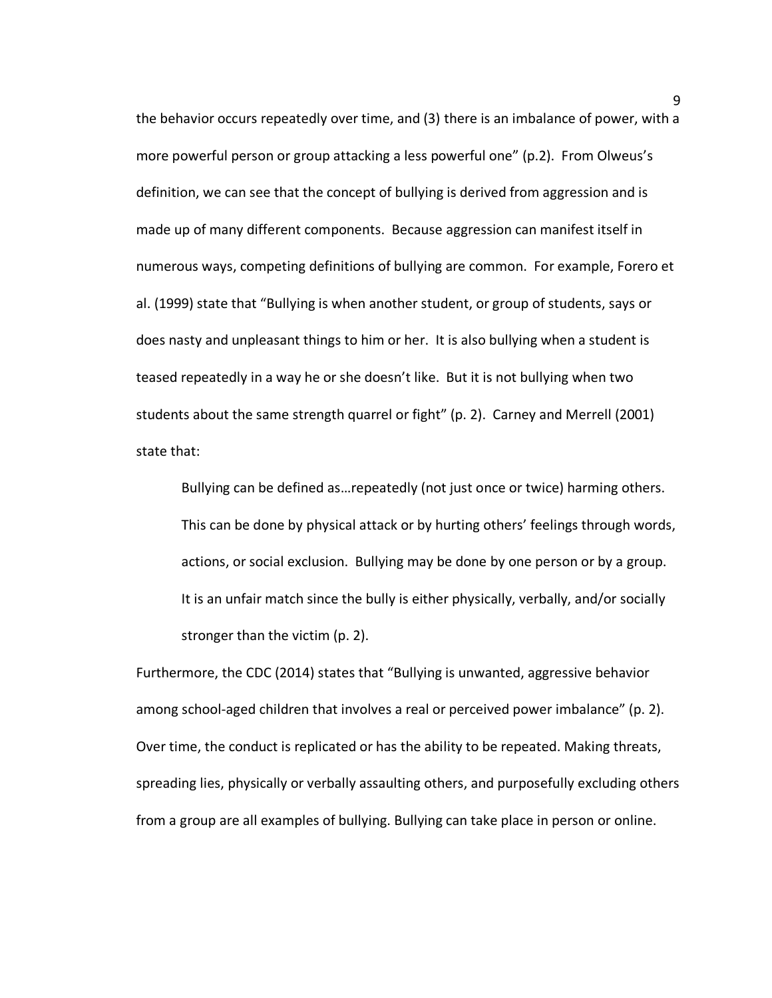the behavior occurs repeatedly over time, and (3) there is an imbalance of power, with a more powerful person or group attacking a less powerful one" (p.2). From Olweus's definition, we can see that the concept of bullying is derived from aggression and is made up of many different components. Because aggression can manifest itself in numerous ways, competing definitions of bullying are common. For example, Forero et al. (1999) state that "Bullying is when another student, or group of students, says or does nasty and unpleasant things to him or her. It is also bullying when a student is teased repeatedly in a way he or she doesn't like. But it is not bullying when two students about the same strength quarrel or fight" (p. 2). Carney and Merrell (2001) state that:

Bullying can be defined as…repeatedly (not just once or twice) harming others. This can be done by physical attack or by hurting others' feelings through words, actions, or social exclusion. Bullying may be done by one person or by a group. It is an unfair match since the bully is either physically, verbally, and/or socially stronger than the victim (p. 2).

Furthermore, the CDC (2014) states that "Bullying is unwanted, aggressive behavior among school-aged children that involves a real or perceived power imbalance" (p. 2). Over time, the conduct is replicated or has the ability to be repeated. Making threats, spreading lies, physically or verbally assaulting others, and purposefully excluding others from a group are all examples of bullying. Bullying can take place in person or online.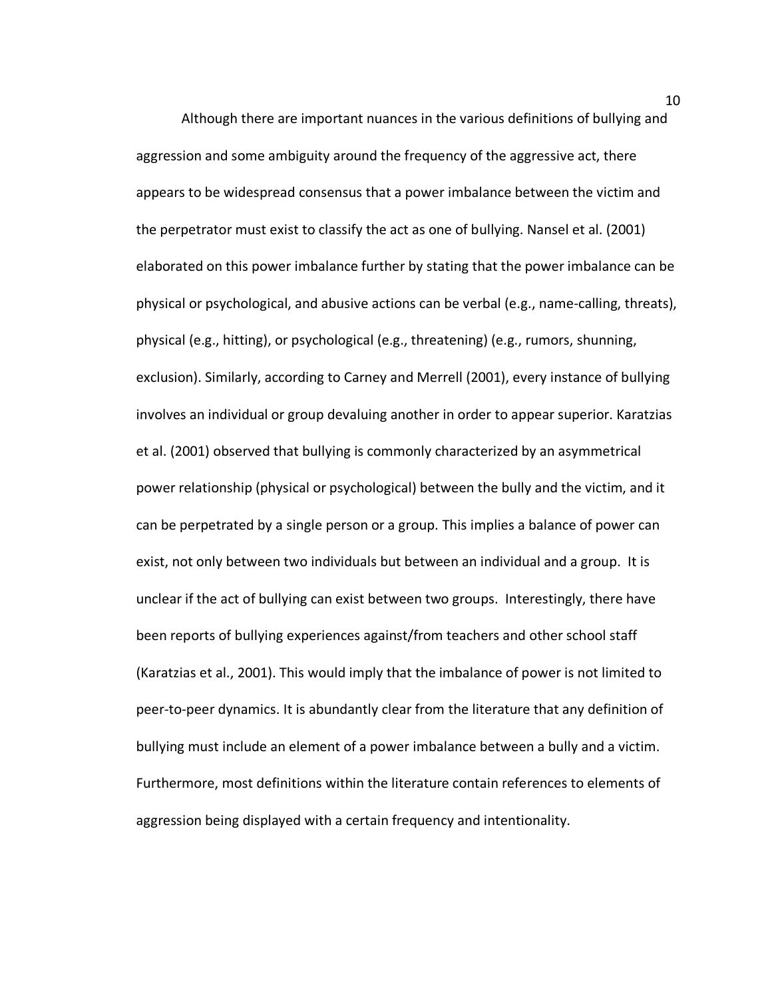Although there are important nuances in the various definitions of bullying and aggression and some ambiguity around the frequency of the aggressive act, there appears to be widespread consensus that a power imbalance between the victim and the perpetrator must exist to classify the act as one of bullying. Nansel et al. (2001) elaborated on this power imbalance further by stating that the power imbalance can be physical or psychological, and abusive actions can be verbal (e.g., name-calling, threats), physical (e.g., hitting), or psychological (e.g., threatening) (e.g., rumors, shunning, exclusion). Similarly, according to Carney and Merrell (2001), every instance of bullying involves an individual or group devaluing another in order to appear superior. Karatzias et al. (2001) observed that bullying is commonly characterized by an asymmetrical power relationship (physical or psychological) between the bully and the victim, and it can be perpetrated by a single person or a group. This implies a balance of power can exist, not only between two individuals but between an individual and a group. It is unclear if the act of bullying can exist between two groups. Interestingly, there have been reports of bullying experiences against/from teachers and other school staff (Karatzias et al., 2001). This would imply that the imbalance of power is not limited to peer-to-peer dynamics. It is abundantly clear from the literature that any definition of bullying must include an element of a power imbalance between a bully and a victim. Furthermore, most definitions within the literature contain references to elements of aggression being displayed with a certain frequency and intentionality.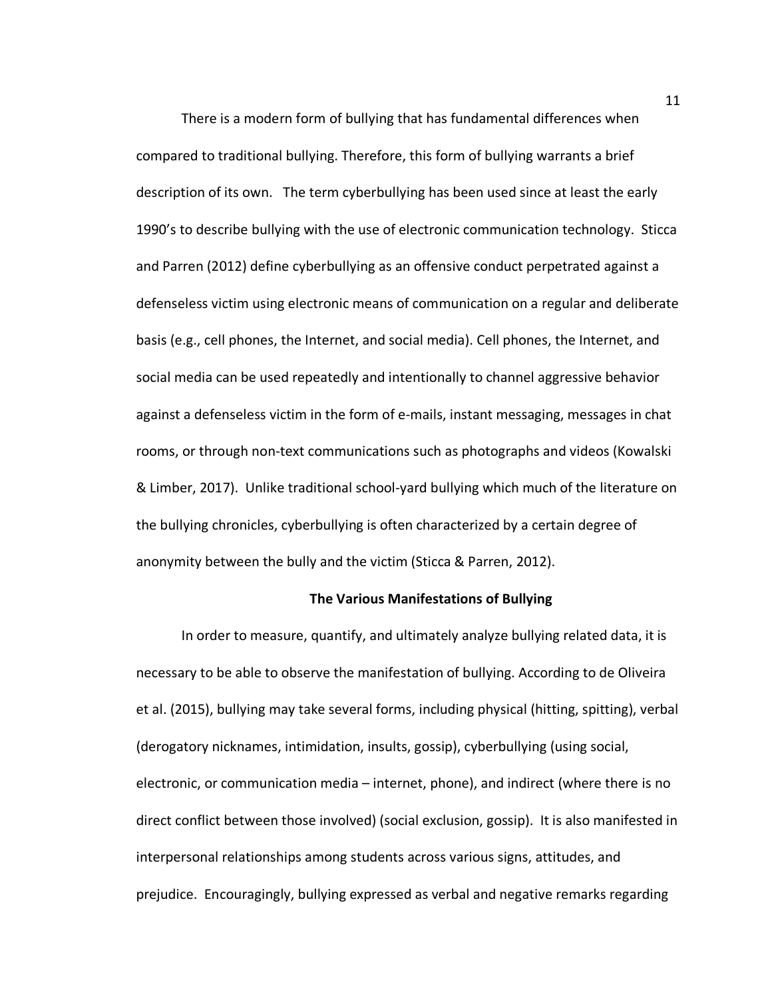There is a modern form of bullying that has fundamental differences when compared to traditional bullying. Therefore, this form of bullying warrants a brief description of its own. The term cyberbullying has been used since at least the early 1990's to describe bullying with the use of electronic communication technology. Sticca and Parren (2012) define cyberbullying as an offensive conduct perpetrated against a defenseless victim using electronic means of communication on a regular and deliberate basis (e.g., cell phones, the Internet, and social media). Cell phones, the Internet, and social media can be used repeatedly and intentionally to channel aggressive behavior against a defenseless victim in the form of e-mails, instant messaging, messages in chat rooms, or through non-text communications such as photographs and videos (Kowalski & Limber, 2017).Unlike traditional school-yard bullying which much of the literature on the bullying chronicles, cyberbullying is often characterized by a certain degree of anonymity between the bully and the victim (Sticca & Parren, 2012).

#### **The Various Manifestations of Bullying**

In order to measure, quantify, and ultimately analyze bullying related data, it is necessary to be able to observe the manifestation of bullying. According to de Oliveira et al. (2015), bullying may take several forms, including physical (hitting, spitting), verbal (derogatory nicknames, intimidation, insults, gossip), cyberbullying (using social, electronic, or communication media – internet, phone), and indirect (where there is no direct conflict between those involved) (social exclusion, gossip). It is also manifested in interpersonal relationships among students across various signs, attitudes, and prejudice. Encouragingly, bullying expressed as verbal and negative remarks regarding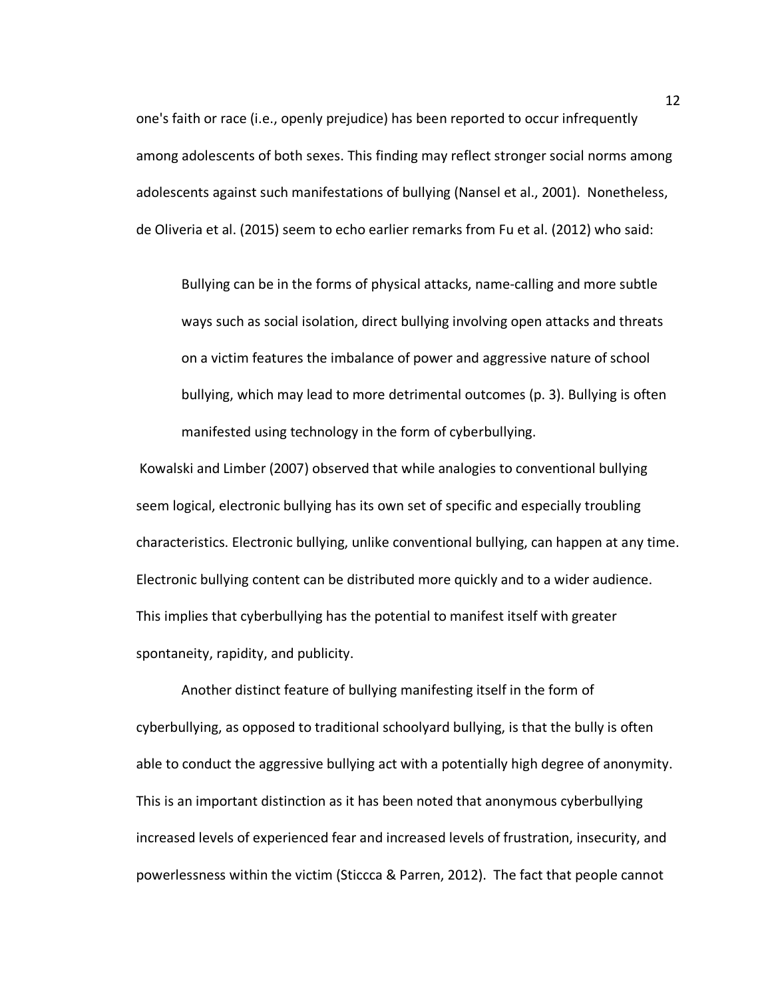one's faith or race (i.e., openly prejudice) has been reported to occur infrequently among adolescents of both sexes. This finding may reflect stronger social norms among adolescents against such manifestations of bullying (Nansel et al., 2001). Nonetheless, de Oliveria et al. (2015) seem to echo earlier remarks from Fu et al. (2012) who said:

Bullying can be in the forms of physical attacks, name-calling and more subtle ways such as social isolation, direct bullying involving open attacks and threats on a victim features the imbalance of power and aggressive nature of school bullying, which may lead to more detrimental outcomes (p. 3). Bullying is often manifested using technology in the form of cyberbullying.

Kowalski and Limber (2007) observed that while analogies to conventional bullying seem logical, electronic bullying has its own set of specific and especially troubling characteristics. Electronic bullying, unlike conventional bullying, can happen at any time. Electronic bullying content can be distributed more quickly and to a wider audience. This implies that cyberbullying has the potential to manifest itself with greater spontaneity, rapidity, and publicity.

Another distinct feature of bullying manifesting itself in the form of cyberbullying, as opposed to traditional schoolyard bullying, is that the bully is often able to conduct the aggressive bullying act with a potentially high degree of anonymity. This is an important distinction as it has been noted that anonymous cyberbullying increased levels of experienced fear and increased levels of frustration, insecurity, and powerlessness within the victim (Sticcca & Parren, 2012). The fact that people cannot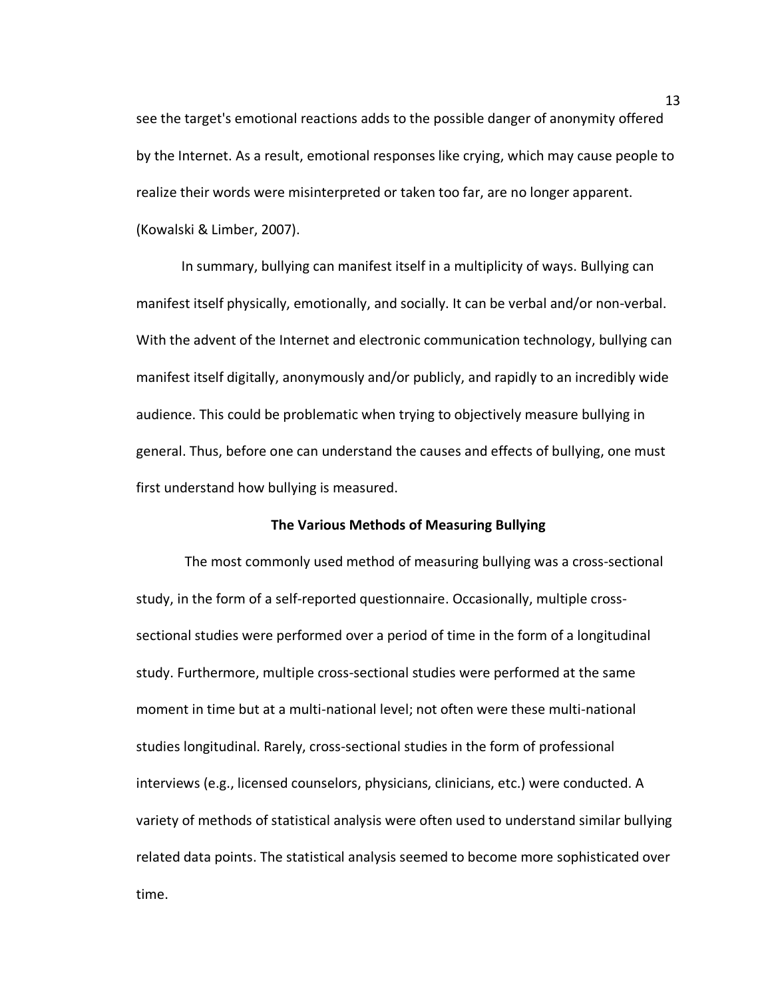see the target's emotional reactions adds to the possible danger of anonymity offered by the Internet. As a result, emotional responses like crying, which may cause people to realize their words were misinterpreted or taken too far, are no longer apparent. (Kowalski & Limber, 2007).

In summary, bullying can manifest itself in a multiplicity of ways. Bullying can manifest itself physically, emotionally, and socially. It can be verbal and/or non-verbal. With the advent of the Internet and electronic communication technology, bullying can manifest itself digitally, anonymously and/or publicly, and rapidly to an incredibly wide audience. This could be problematic when trying to objectively measure bullying in general. Thus, before one can understand the causes and effects of bullying, one must first understand how bullying is measured.

#### **The Various Methods of Measuring Bullying**

The most commonly used method of measuring bullying was a cross-sectional study, in the form of a self-reported questionnaire. Occasionally, multiple crosssectional studies were performed over a period of time in the form of a longitudinal study. Furthermore, multiple cross-sectional studies were performed at the same moment in time but at a multi-national level; not often were these multi-national studies longitudinal. Rarely, cross-sectional studies in the form of professional interviews (e.g., licensed counselors, physicians, clinicians, etc.) were conducted. A variety of methods of statistical analysis were often used to understand similar bullying related data points. The statistical analysis seemed to become more sophisticated over time.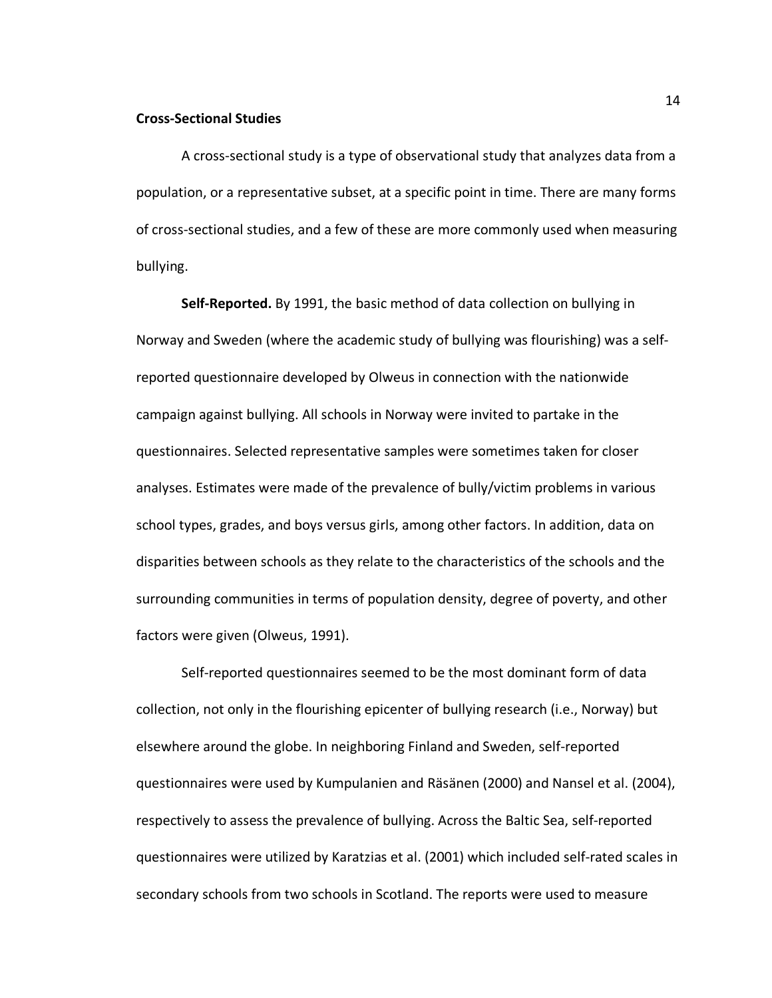### **Cross-Sectional Studies**

A cross-sectional study is a type of observational study that analyzes data from a population, or a representative subset, at a specific point in time. There are many forms of cross-sectional studies, and a few of these are more commonly used when measuring bullying.

**Self-Reported.** By 1991, the basic method of data collection on bullying in Norway and Sweden (where the academic study of bullying was flourishing) was a selfreported questionnaire developed by Olweus in connection with the nationwide campaign against bullying. All schools in Norway were invited to partake in the questionnaires. Selected representative samples were sometimes taken for closer analyses. Estimates were made of the prevalence of bully/victim problems in various school types, grades, and boys versus girls, among other factors. In addition, data on disparities between schools as they relate to the characteristics of the schools and the surrounding communities in terms of population density, degree of poverty, and other factors were given (Olweus, 1991).

Self-reported questionnaires seemed to be the most dominant form of data collection, not only in the flourishing epicenter of bullying research (i.e., Norway) but elsewhere around the globe. In neighboring Finland and Sweden, self-reported questionnaires were used by Kumpulanien and Räsänen (2000) and Nansel et al. (2004), respectively to assess the prevalence of bullying. Across the Baltic Sea, self-reported questionnaires were utilized by Karatzias et al. (2001) which included self-rated scales in secondary schools from two schools in Scotland. The reports were used to measure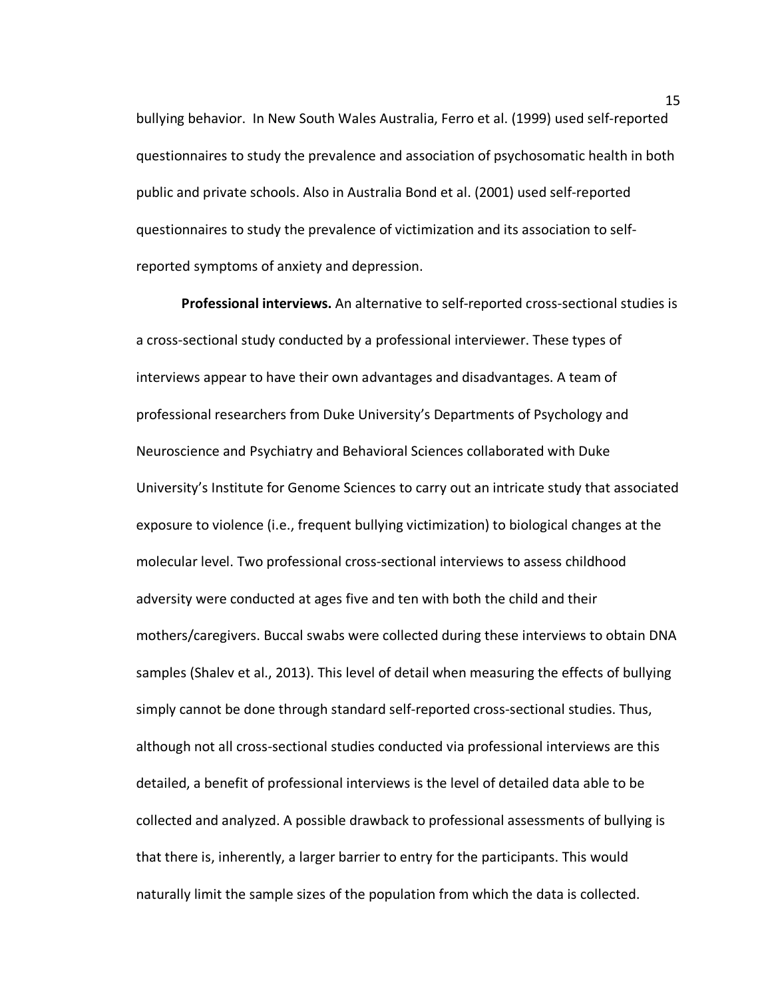bullying behavior. In New South Wales Australia, Ferro et al. (1999) used self-reported questionnaires to study the prevalence and association of psychosomatic health in both public and private schools. Also in Australia Bond et al. (2001) used self-reported questionnaires to study the prevalence of victimization and its association to selfreported symptoms of anxiety and depression.

**Professional interviews.** An alternative to self-reported cross-sectional studies is a cross-sectional study conducted by a professional interviewer. These types of interviews appear to have their own advantages and disadvantages. A team of professional researchers from Duke University's Departments of Psychology and Neuroscience and Psychiatry and Behavioral Sciences collaborated with Duke University's Institute for Genome Sciences to carry out an intricate study that associated exposure to violence (i.e., frequent bullying victimization) to biological changes at the molecular level. Two professional cross-sectional interviews to assess childhood adversity were conducted at ages five and ten with both the child and their mothers/caregivers. Buccal swabs were collected during these interviews to obtain DNA samples (Shalev et al., 2013). This level of detail when measuring the effects of bullying simply cannot be done through standard self-reported cross-sectional studies. Thus, although not all cross-sectional studies conducted via professional interviews are this detailed, a benefit of professional interviews is the level of detailed data able to be collected and analyzed. A possible drawback to professional assessments of bullying is that there is, inherently, a larger barrier to entry for the participants. This would naturally limit the sample sizes of the population from which the data is collected.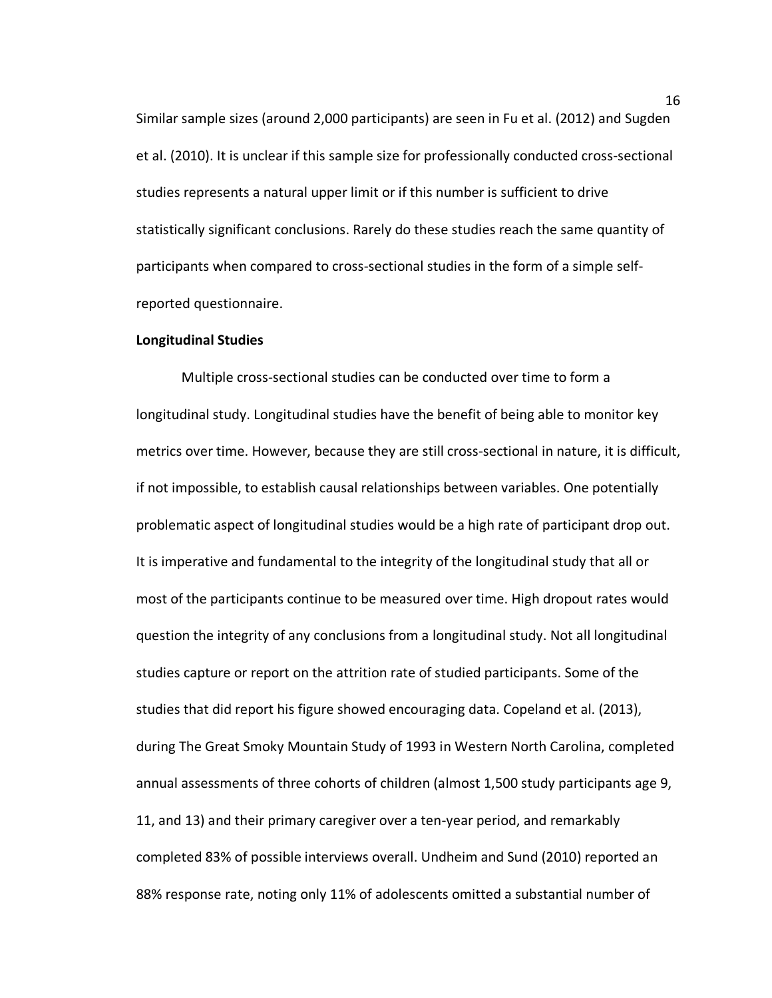Similar sample sizes (around 2,000 participants) are seen in Fu et al. (2012) and Sugden et al. (2010). It is unclear if this sample size for professionally conducted cross-sectional studies represents a natural upper limit or if this number is sufficient to drive statistically significant conclusions. Rarely do these studies reach the same quantity of participants when compared to cross-sectional studies in the form of a simple selfreported questionnaire.

### **Longitudinal Studies**

Multiple cross-sectional studies can be conducted over time to form a longitudinal study. Longitudinal studies have the benefit of being able to monitor key metrics over time. However, because they are still cross-sectional in nature, it is difficult, if not impossible, to establish causal relationships between variables. One potentially problematic aspect of longitudinal studies would be a high rate of participant drop out. It is imperative and fundamental to the integrity of the longitudinal study that all or most of the participants continue to be measured over time. High dropout rates would question the integrity of any conclusions from a longitudinal study. Not all longitudinal studies capture or report on the attrition rate of studied participants. Some of the studies that did report his figure showed encouraging data. Copeland et al. (2013), during The Great Smoky Mountain Study of 1993 in Western North Carolina, completed annual assessments of three cohorts of children (almost 1,500 study participants age 9, 11, and 13) and their primary caregiver over a ten-year period, and remarkably completed 83% of possible interviews overall. Undheim and Sund (2010) reported an 88% response rate, noting only 11% of adolescents omitted a substantial number of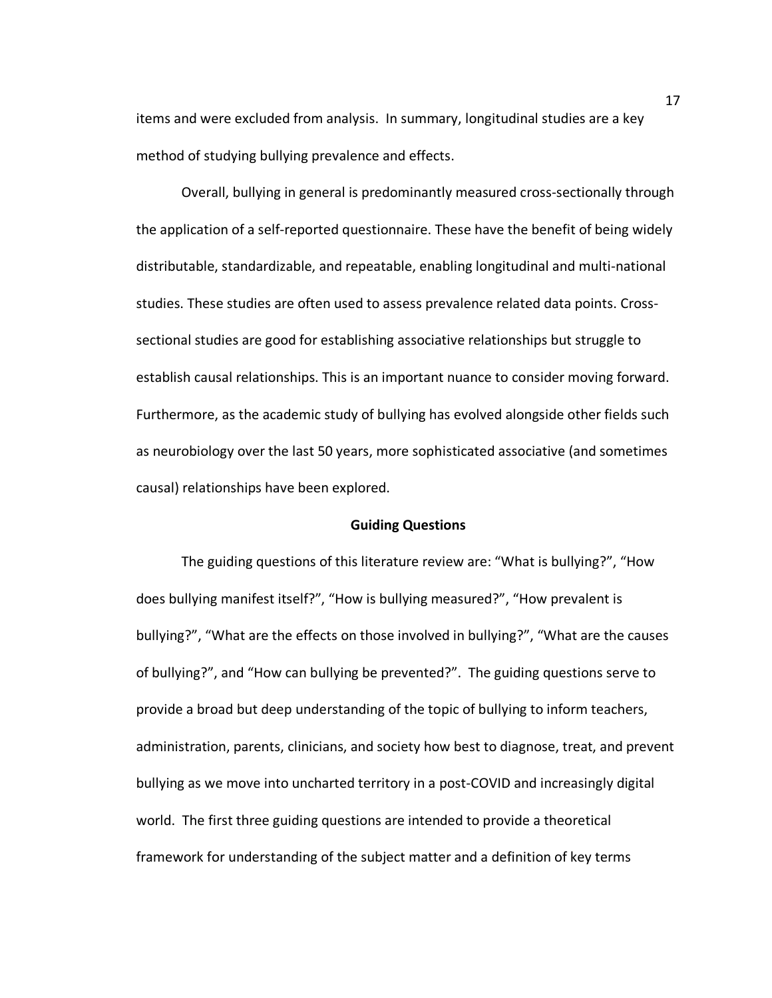items and were excluded from analysis. In summary, longitudinal studies are a key method of studying bullying prevalence and effects.

Overall, bullying in general is predominantly measured cross-sectionally through the application of a self-reported questionnaire. These have the benefit of being widely distributable, standardizable, and repeatable, enabling longitudinal and multi-national studies. These studies are often used to assess prevalence related data points. Crosssectional studies are good for establishing associative relationships but struggle to establish causal relationships. This is an important nuance to consider moving forward. Furthermore, as the academic study of bullying has evolved alongside other fields such as neurobiology over the last 50 years, more sophisticated associative (and sometimes causal) relationships have been explored.

#### **Guiding Questions**

The guiding questions of this literature review are: "What is bullying?", "How does bullying manifest itself?", "How is bullying measured?", "How prevalent is bullying?", "What are the effects on those involved in bullying?", "What are the causes of bullying?", and "How can bullying be prevented?". The guiding questions serve to provide a broad but deep understanding of the topic of bullying to inform teachers, administration, parents, clinicians, and society how best to diagnose, treat, and prevent bullying as we move into uncharted territory in a post-COVID and increasingly digital world. The first three guiding questions are intended to provide a theoretical framework for understanding of the subject matter and a definition of key terms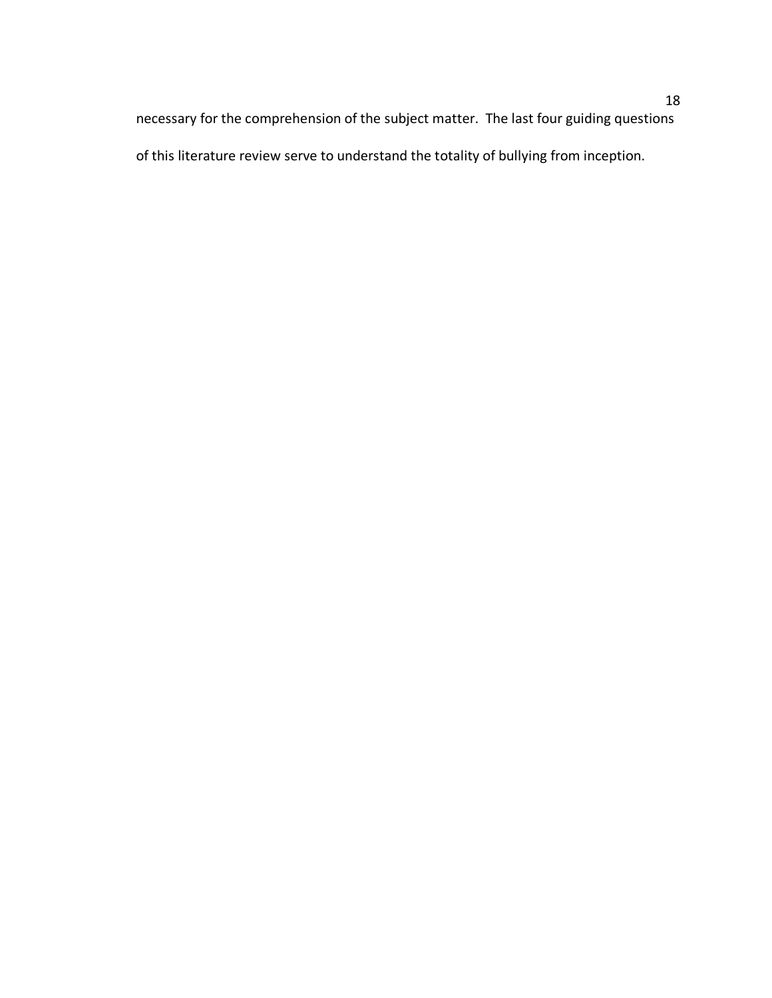necessary for the comprehension of the subject matter. The last four guiding questions of this literature review serve to understand the totality of bullying from inception.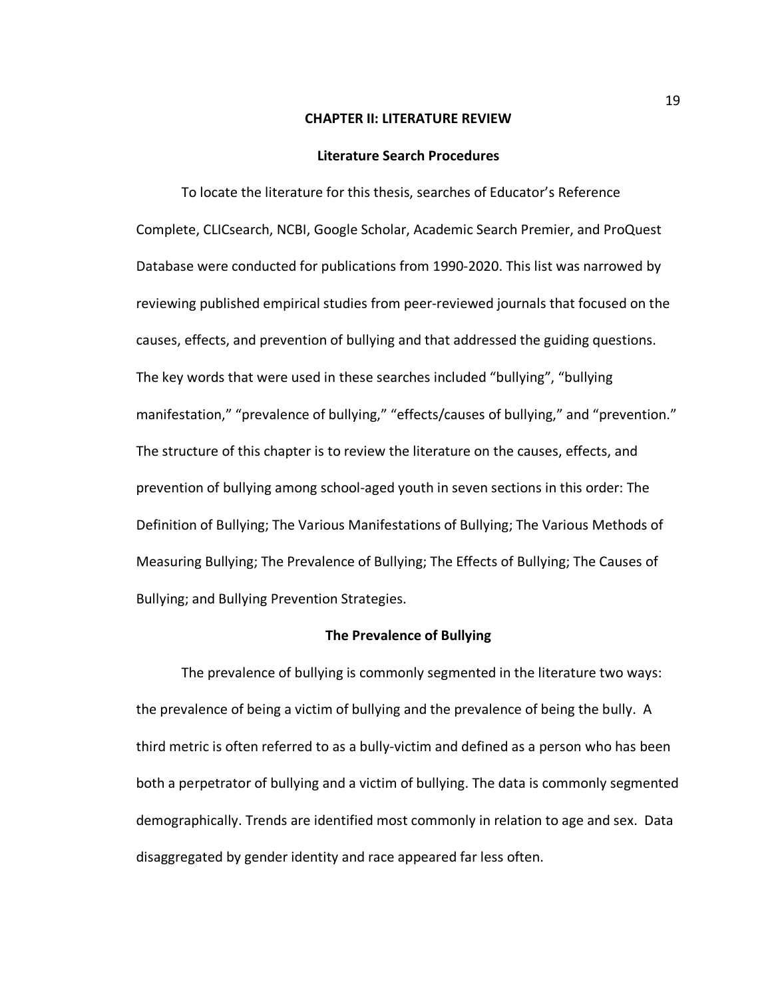#### **CHAPTER II: LITERATURE REVIEW**

#### **Literature Search Procedures**

To locate the literature for this thesis, searches of Educator's Reference Complete, CLICsearch, NCBI, Google Scholar, Academic Search Premier, and ProQuest Database were conducted for publications from 1990-2020. This list was narrowed by reviewing published empirical studies from peer-reviewed journals that focused on the causes, effects, and prevention of bullying and that addressed the guiding questions. The key words that were used in these searches included "bullying", "bullying manifestation," "prevalence of bullying," "effects/causes of bullying," and "prevention." The structure of this chapter is to review the literature on the causes, effects, and prevention of bullying among school-aged youth in seven sections in this order: The Definition of Bullying; The Various Manifestations of Bullying; The Various Methods of Measuring Bullying; The Prevalence of Bullying; The Effects of Bullying; The Causes of Bullying; and Bullying Prevention Strategies.

#### **The Prevalence of Bullying**

The prevalence of bullying is commonly segmented in the literature two ways: the prevalence of being a victim of bullying and the prevalence of being the bully. A third metric is often referred to as a bully-victim and defined as a person who has been both a perpetrator of bullying and a victim of bullying. The data is commonly segmented demographically. Trends are identified most commonly in relation to age and sex. Data disaggregated by gender identity and race appeared far less often.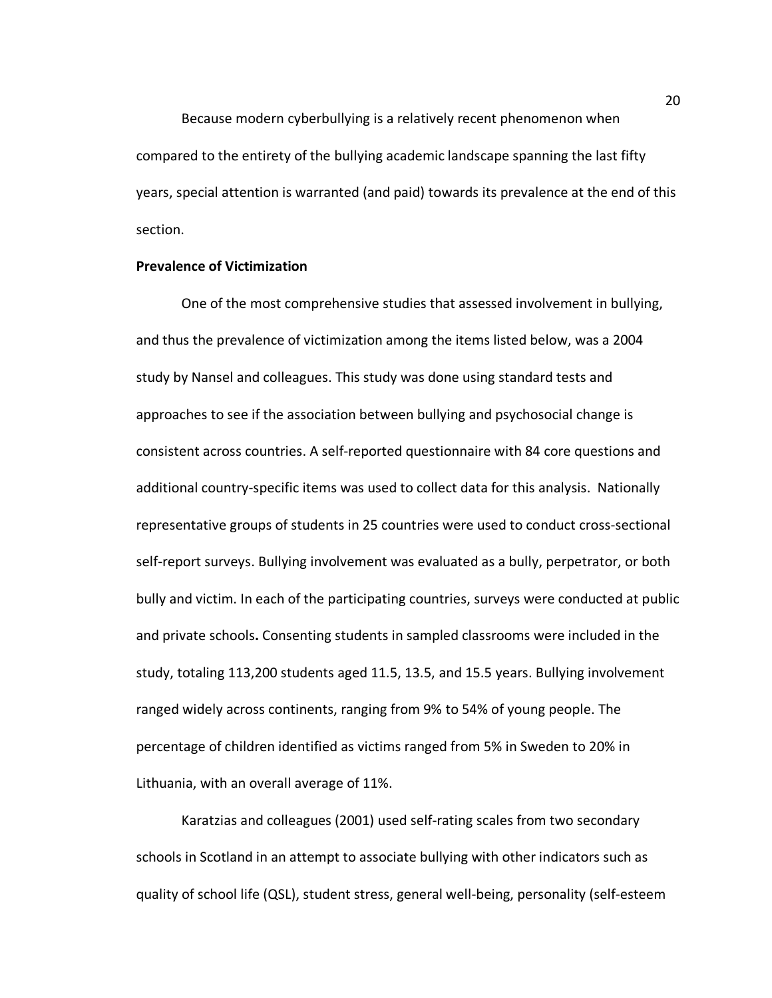Because modern cyberbullying is a relatively recent phenomenon when compared to the entirety of the bullying academic landscape spanning the last fifty years, special attention is warranted (and paid) towards its prevalence at the end of this section.

### **Prevalence of Victimization**

One of the most comprehensive studies that assessed involvement in bullying, and thus the prevalence of victimization among the items listed below, was a 2004 study by Nansel and colleagues. This study was done using standard tests and approaches to see if the association between bullying and psychosocial change is consistent across countries. A self-reported questionnaire with 84 core questions and additional country-specific items was used to collect data for this analysis. Nationally representative groups of students in 25 countries were used to conduct cross-sectional self-report surveys. Bullying involvement was evaluated as a bully, perpetrator, or both bully and victim. In each of the participating countries, surveys were conducted at public and private schools**.** Consenting students in sampled classrooms were included in the study, totaling 113,200 students aged 11.5, 13.5, and 15.5 years. Bullying involvement ranged widely across continents, ranging from 9% to 54% of young people. The percentage of children identified as victims ranged from 5% in Sweden to 20% in Lithuania, with an overall average of 11%.

Karatzias and colleagues (2001) used self-rating scales from two secondary schools in Scotland in an attempt to associate bullying with other indicators such as quality of school life (QSL), student stress, general well-being, personality (self-esteem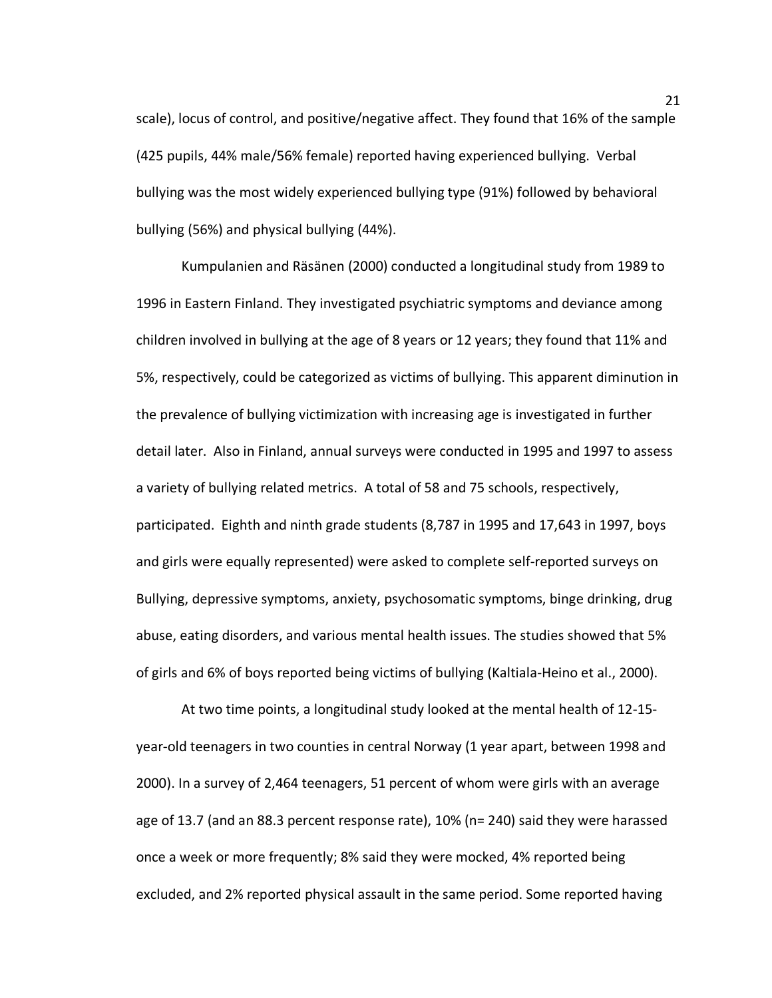scale), locus of control, and positive/negative affect. They found that 16% of the sample (425 pupils, 44% male/56% female) reported having experienced bullying. Verbal bullying was the most widely experienced bullying type (91%) followed by behavioral bullying (56%) and physical bullying (44%).

Kumpulanien and Räsänen (2000) conducted a longitudinal study from 1989 to 1996 in Eastern Finland. They investigated psychiatric symptoms and deviance among children involved in bullying at the age of 8 years or 12 years; they found that 11% and 5%, respectively, could be categorized as victims of bullying. This apparent diminution in the prevalence of bullying victimization with increasing age is investigated in further detail later. Also in Finland, annual surveys were conducted in 1995 and 1997 to assess a variety of bullying related metrics. A total of 58 and 75 schools, respectively, participated. Eighth and ninth grade students (8,787 in 1995 and 17,643 in 1997, boys and girls were equally represented) were asked to complete self-reported surveys on Bullying, depressive symptoms, anxiety, psychosomatic symptoms, binge drinking, drug abuse, eating disorders, and various mental health issues. The studies showed that 5% of girls and 6% of boys reported being victims of bullying (Kaltiala-Heino et al., 2000).

At two time points, a longitudinal study looked at the mental health of 12-15 year-old teenagers in two counties in central Norway (1 year apart, between 1998 and 2000). In a survey of 2,464 teenagers, 51 percent of whom were girls with an average age of 13.7 (and an 88.3 percent response rate), 10% (n= 240) said they were harassed once a week or more frequently; 8% said they were mocked, 4% reported being excluded, and 2% reported physical assault in the same period. Some reported having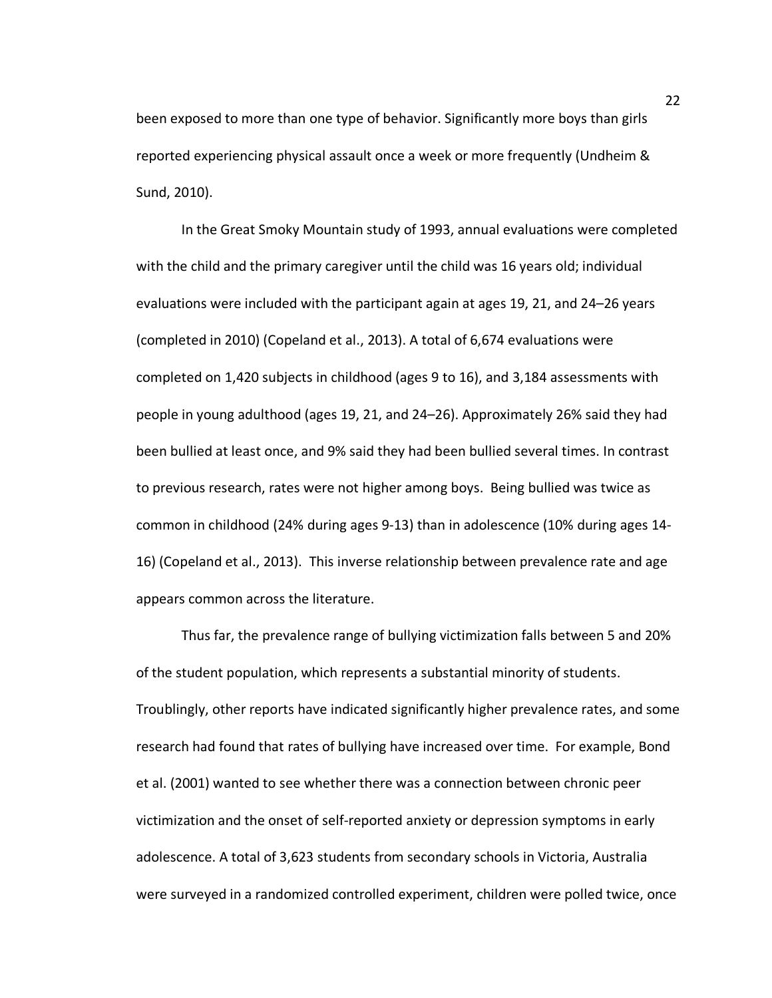been exposed to more than one type of behavior. Significantly more boys than girls reported experiencing physical assault once a week or more frequently (Undheim & Sund, 2010).

In the Great Smoky Mountain study of 1993, annual evaluations were completed with the child and the primary caregiver until the child was 16 years old; individual evaluations were included with the participant again at ages 19, 21, and 24–26 years (completed in 2010) (Copeland et al., 2013). A total of 6,674 evaluations were completed on 1,420 subjects in childhood (ages 9 to 16), and 3,184 assessments with people in young adulthood (ages 19, 21, and 24–26). Approximately 26% said they had been bullied at least once, and 9% said they had been bullied several times. In contrast to previous research, rates were not higher among boys. Being bullied was twice as common in childhood (24% during ages 9-13) than in adolescence (10% during ages 14- 16) (Copeland et al., 2013). This inverse relationship between prevalence rate and age appears common across the literature.

Thus far, the prevalence range of bullying victimization falls between 5 and 20% of the student population, which represents a substantial minority of students. Troublingly, other reports have indicated significantly higher prevalence rates, and some research had found that rates of bullying have increased over time. For example, Bond et al. (2001) wanted to see whether there was a connection between chronic peer victimization and the onset of self-reported anxiety or depression symptoms in early adolescence. A total of 3,623 students from secondary schools in Victoria, Australia were surveyed in a randomized controlled experiment, children were polled twice, once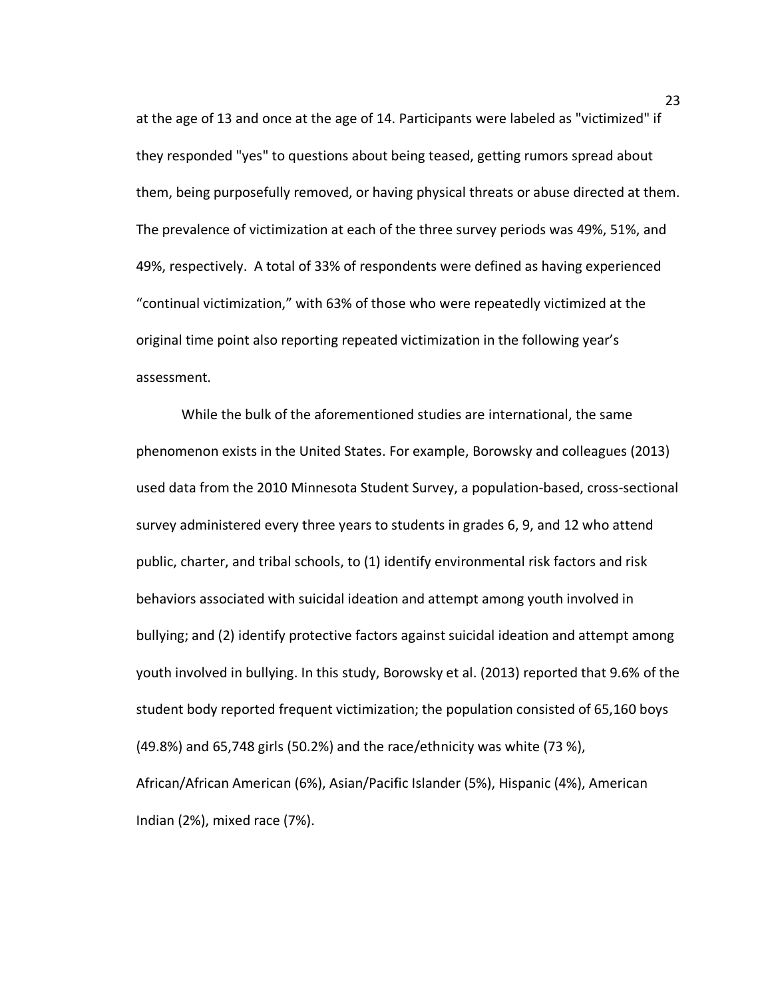at the age of 13 and once at the age of 14. Participants were labeled as "victimized" if they responded "yes" to questions about being teased, getting rumors spread about them, being purposefully removed, or having physical threats or abuse directed at them. The prevalence of victimization at each of the three survey periods was 49%, 51%, and 49%, respectively. A total of 33% of respondents were defined as having experienced "continual victimization," with 63% of those who were repeatedly victimized at the original time point also reporting repeated victimization in the following year's assessment.

While the bulk of the aforementioned studies are international, the same phenomenon exists in the United States. For example, Borowsky and colleagues (2013) used data from the 2010 Minnesota Student Survey, a population-based, cross-sectional survey administered every three years to students in grades 6, 9, and 12 who attend public, charter, and tribal schools, to (1) identify environmental risk factors and risk behaviors associated with suicidal ideation and attempt among youth involved in bullying; and (2) identify protective factors against suicidal ideation and attempt among youth involved in bullying. In this study, Borowsky et al. (2013) reported that 9.6% of the student body reported frequent victimization; the population consisted of 65,160 boys (49.8%) and 65,748 girls (50.2%) and the race/ethnicity was white (73 %), African/African American (6%), Asian/Pacific Islander (5%), Hispanic (4%), American Indian (2%), mixed race (7%).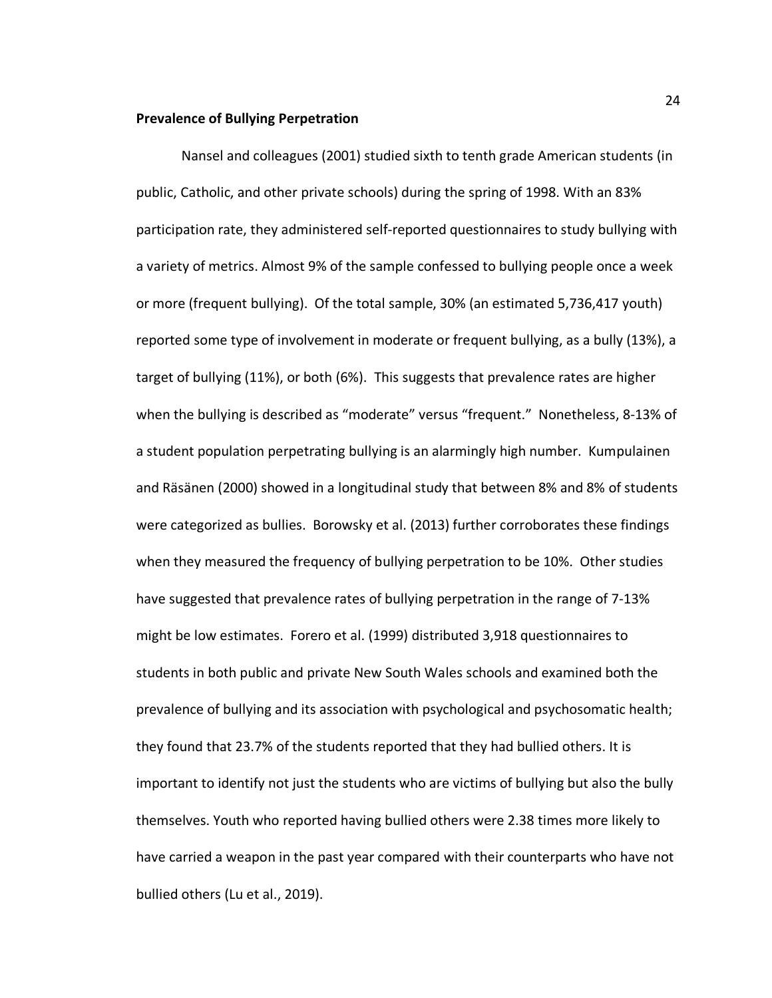### **Prevalence of Bullying Perpetration**

Nansel and colleagues (2001) studied sixth to tenth grade American students (in public, Catholic, and other private schools) during the spring of 1998. With an 83% participation rate, they administered self-reported questionnaires to study bullying with a variety of metrics. Almost 9% of the sample confessed to bullying people once a week or more (frequent bullying). Of the total sample, 30% (an estimated 5,736,417 youth) reported some type of involvement in moderate or frequent bullying, as a bully (13%), a target of bullying (11%), or both (6%). This suggests that prevalence rates are higher when the bullying is described as "moderate" versus "frequent." Nonetheless, 8-13% of a student population perpetrating bullying is an alarmingly high number. Kumpulainen and Räsänen (2000) showed in a longitudinal study that between 8% and 8% of students were categorized as bullies. Borowsky et al. (2013) further corroborates these findings when they measured the frequency of bullying perpetration to be 10%. Other studies have suggested that prevalence rates of bullying perpetration in the range of 7-13% might be low estimates. Forero et al. (1999) distributed 3,918 questionnaires to students in both public and private New South Wales schools and examined both the prevalence of bullying and its association with psychological and psychosomatic health; they found that 23.7% of the students reported that they had bullied others. It is important to identify not just the students who are victims of bullying but also the bully themselves. Youth who reported having bullied others were 2.38 times more likely to have carried a weapon in the past year compared with their counterparts who have not bullied others (Lu et al., 2019).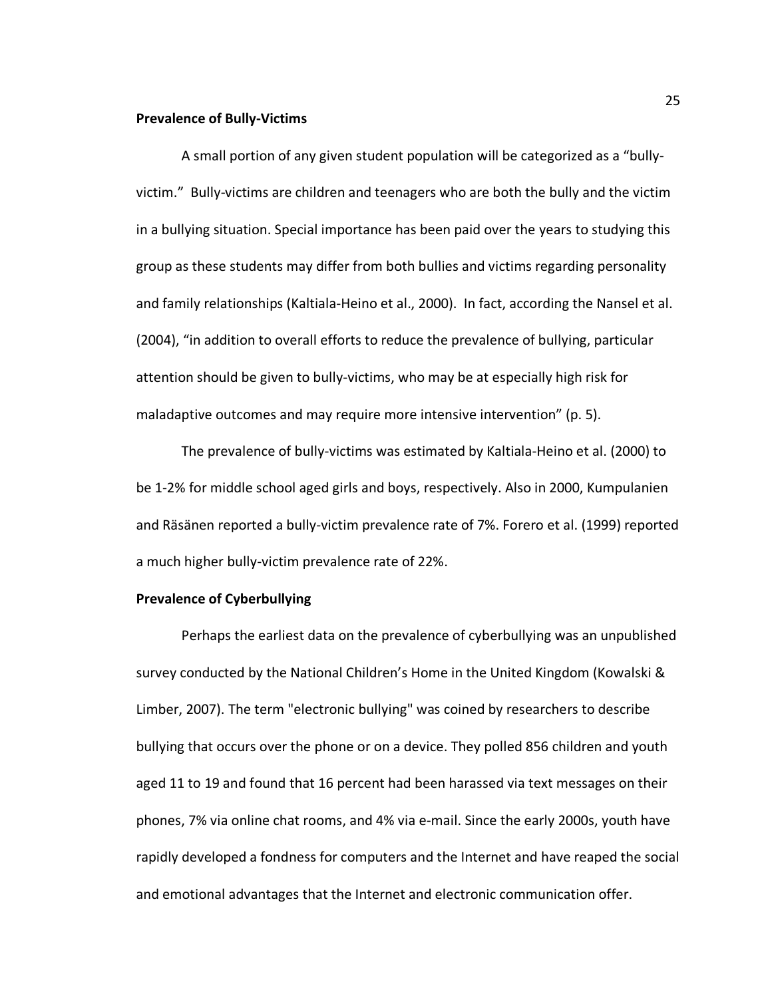### **Prevalence of Bully-Victims**

A small portion of any given student population will be categorized as a "bullyvictim." Bully-victims are children and teenagers who are both the bully and the victim in a bullying situation. Special importance has been paid over the years to studying this group as these students may differ from both bullies and victims regarding personality and family relationships (Kaltiala-Heino et al., 2000).In fact, according the Nansel et al. (2004), "in addition to overall efforts to reduce the prevalence of bullying, particular attention should be given to bully-victims, who may be at especially high risk for maladaptive outcomes and may require more intensive intervention" (p. 5).

The prevalence of bully-victims was estimated by Kaltiala-Heino et al. (2000) to be 1-2% for middle school aged girls and boys, respectively. Also in 2000, Kumpulanien and Räsänen reported a bully-victim prevalence rate of 7%. Forero et al. (1999) reported a much higher bully-victim prevalence rate of 22%.

### **Prevalence of Cyberbullying**

Perhaps the earliest data on the prevalence of cyberbullying was an unpublished survey conducted by the National Children's Home in the United Kingdom (Kowalski & Limber, 2007). The term "electronic bullying" was coined by researchers to describe bullying that occurs over the phone or on a device. They polled 856 children and youth aged 11 to 19 and found that 16 percent had been harassed via text messages on their phones, 7% via online chat rooms, and 4% via e-mail. Since the early 2000s, youth have rapidly developed a fondness for computers and the Internet and have reaped the social and emotional advantages that the Internet and electronic communication offer.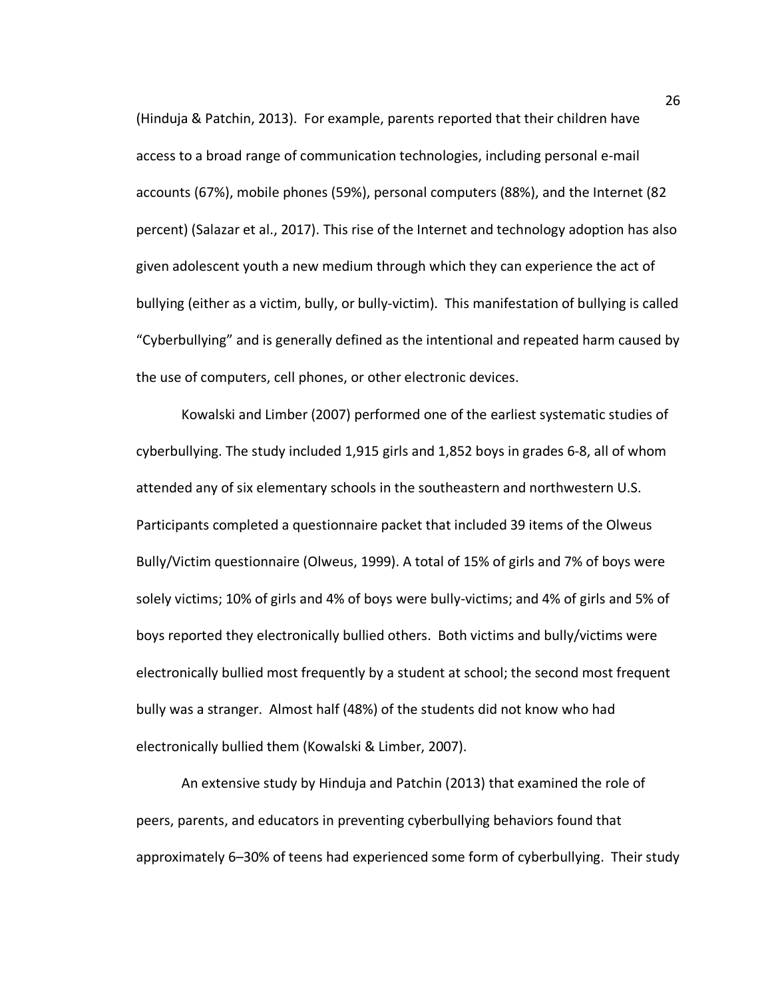(Hinduja & Patchin, 2013). For example, parents reported that their children have access to a broad range of communication technologies, including personal e-mail accounts (67%), mobile phones (59%), personal computers (88%), and the Internet (82 percent) (Salazar et al., 2017). This rise of the Internet and technology adoption has also given adolescent youth a new medium through which they can experience the act of bullying (either as a victim, bully, or bully-victim). This manifestation of bullying is called "Cyberbullying" and is generally defined as the intentional and repeated harm caused by the use of computers, cell phones, or other electronic devices.

Kowalski and Limber (2007) performed one of the earliest systematic studies of cyberbullying. The study included 1,915 girls and 1,852 boys in grades 6-8, all of whom attended any of six elementary schools in the southeastern and northwestern U.S. Participants completed a questionnaire packet that included 39 items of the Olweus Bully/Victim questionnaire (Olweus, 1999). A total of 15% of girls and 7% of boys were solely victims; 10% of girls and 4% of boys were bully-victims; and 4% of girls and 5% of boys reported they electronically bullied others. Both victims and bully/victims were electronically bullied most frequently by a student at school; the second most frequent bully was a stranger. Almost half (48%) of the students did not know who had electronically bullied them (Kowalski & Limber, 2007).

An extensive study by Hinduja and Patchin (2013) that examined the role of peers, parents, and educators in preventing cyberbullying behaviors found that approximately 6–30% of teens had experienced some form of cyberbullying. Their study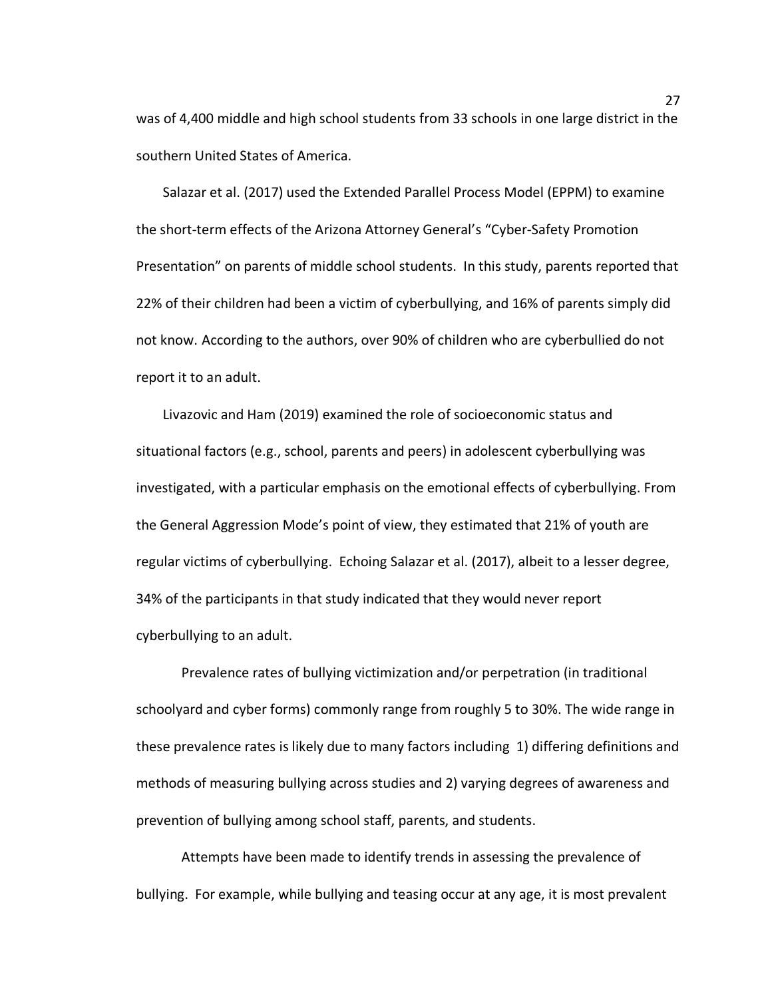was of 4,400 middle and high school students from 33 schools in one large district in the southern United States of America.

Salazar et al. (2017) used the Extended Parallel Process Model (EPPM) to examine the short-term effects of the Arizona Attorney General's "Cyber-Safety Promotion Presentation" on parents of middle school students. In this study, parents reported that 22% of their children had been a victim of cyberbullying, and 16% of parents simply did not know. According to the authors, over 90% of children who are cyberbullied do not report it to an adult.

Livazovic and Ham (2019) examined the role of socioeconomic status and situational factors (e.g., school, parents and peers) in adolescent cyberbullying was investigated, with a particular emphasis on the emotional effects of cyberbullying. From the General Aggression Mode's point of view, they estimated that 21% of youth are regular victims of cyberbullying. Echoing Salazar et al. (2017), albeit to a lesser degree, 34% of the participants in that study indicated that they would never report cyberbullying to an adult.

Prevalence rates of bullying victimization and/or perpetration (in traditional schoolyard and cyber forms) commonly range from roughly 5 to 30%. The wide range in these prevalence rates is likely due to many factors including 1) differing definitions and methods of measuring bullying across studies and 2) varying degrees of awareness and prevention of bullying among school staff, parents, and students.

Attempts have been made to identify trends in assessing the prevalence of bullying. For example, while bullying and teasing occur at any age, it is most prevalent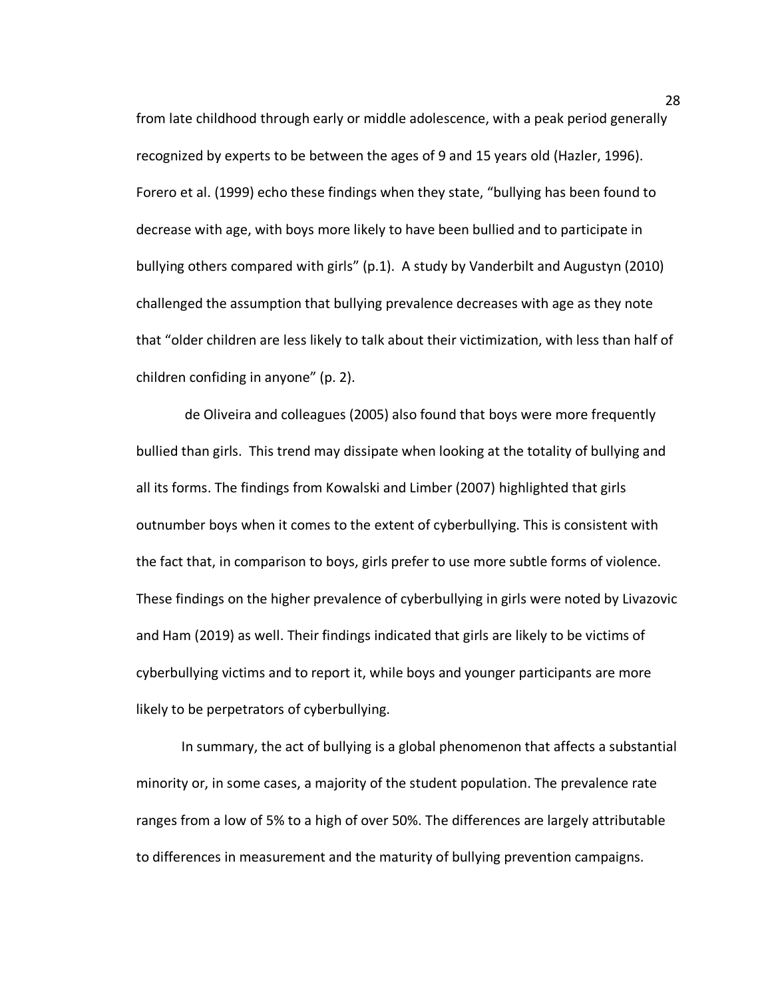from late childhood through early or middle adolescence, with a peak period generally recognized by experts to be between the ages of 9 and 15 years old (Hazler, 1996). Forero et al. (1999) echo these findings when they state, "bullying has been found to decrease with age, with boys more likely to have been bullied and to participate in bullying others compared with girls" (p.1). A study by Vanderbilt and Augustyn (2010) challenged the assumption that bullying prevalence decreases with age as they note that "older children are less likely to talk about their victimization, with less than half of children confiding in anyone" (p. 2).

de Oliveira and colleagues (2005) also found that boys were more frequently bullied than girls. This trend may dissipate when looking at the totality of bullying and all its forms. The findings from Kowalski and Limber (2007) highlighted that girls outnumber boys when it comes to the extent of cyberbullying. This is consistent with the fact that, in comparison to boys, girls prefer to use more subtle forms of violence. These findings on the higher prevalence of cyberbullying in girls were noted by Livazovic and Ham (2019) as well. Their findings indicated that girls are likely to be victims of cyberbullying victims and to report it, while boys and younger participants are more likely to be perpetrators of cyberbullying.

In summary, the act of bullying is a global phenomenon that affects a substantial minority or, in some cases, a majority of the student population. The prevalence rate ranges from a low of 5% to a high of over 50%. The differences are largely attributable to differences in measurement and the maturity of bullying prevention campaigns.

28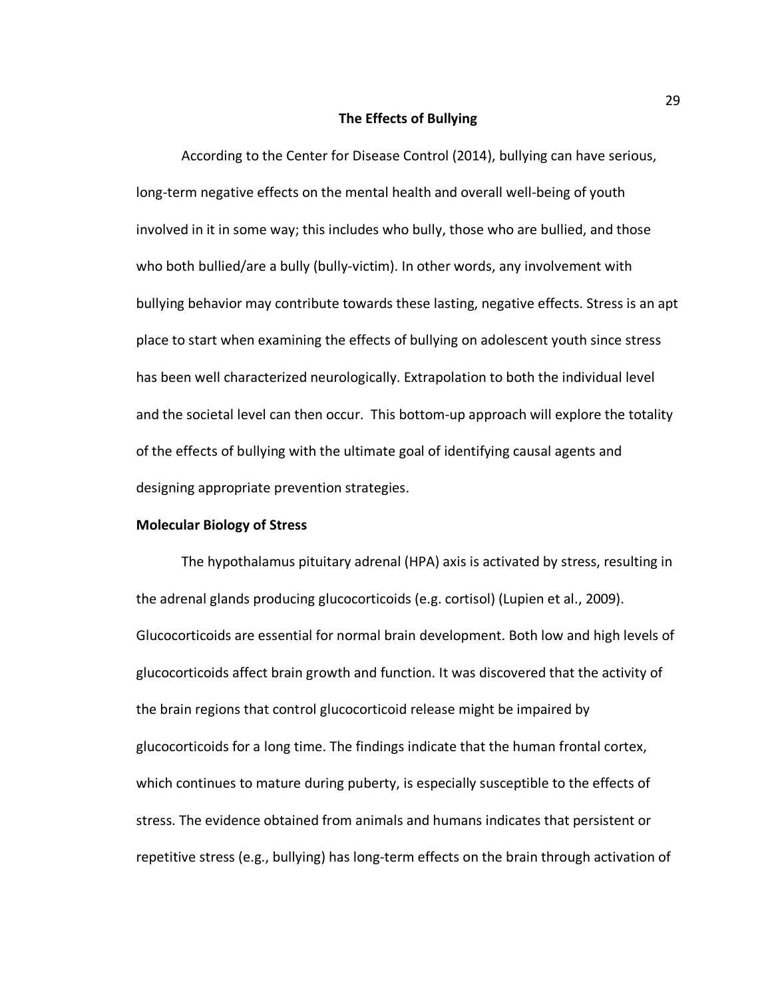### **The Effects of Bullying**

According to the Center for Disease Control (2014), bullying can have serious, long-term negative effects on the mental health and overall well-being of youth involved in it in some way; this includes who bully, those who are bullied, and those who both bullied/are a bully (bully-victim). In other words, any involvement with bullying behavior may contribute towards these lasting, negative effects. Stress is an apt place to start when examining the effects of bullying on adolescent youth since stress has been well characterized neurologically. Extrapolation to both the individual level and the societal level can then occur. This bottom-up approach will explore the totality of the effects of bullying with the ultimate goal of identifying causal agents and designing appropriate prevention strategies.

#### **Molecular Biology of Stress**

The hypothalamus pituitary adrenal (HPA) axis is activated by stress, resulting in the adrenal glands producing glucocorticoids (e.g. cortisol) (Lupien et al., 2009). Glucocorticoids are essential for normal brain development. Both low and high levels of glucocorticoids affect brain growth and function. It was discovered that the activity of the brain regions that control glucocorticoid release might be impaired by glucocorticoids for a long time. The findings indicate that the human frontal cortex, which continues to mature during puberty, is especially susceptible to the effects of stress. The evidence obtained from animals and humans indicates that persistent or repetitive stress (e.g., bullying) has long-term effects on the brain through activation of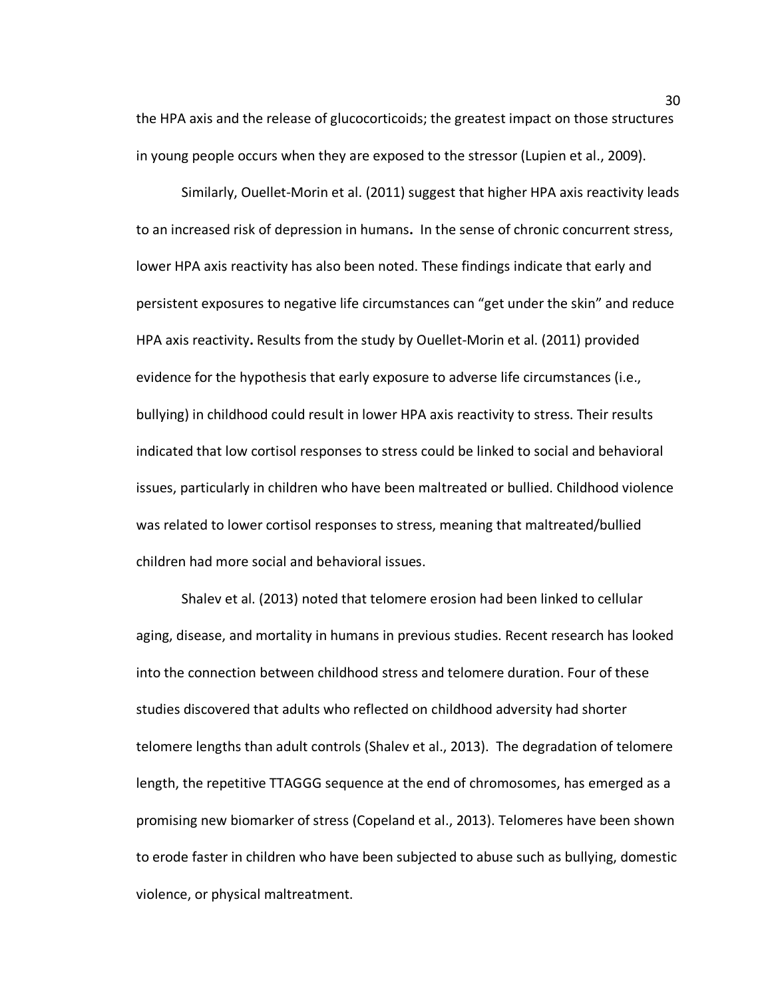the HPA axis and the release of glucocorticoids; the greatest impact on those structures in young people occurs when they are exposed to the stressor (Lupien et al., 2009).

Similarly, Ouellet-Morin et al. (2011) suggest that higher HPA axis reactivity leads to an increased risk of depression in humans**.** In the sense of chronic concurrent stress, lower HPA axis reactivity has also been noted. These findings indicate that early and persistent exposures to negative life circumstances can "get under the skin" and reduce HPA axis reactivity**.** Results from the study by Ouellet-Morin et al. (2011) provided evidence for the hypothesis that early exposure to adverse life circumstances (i.e., bullying) in childhood could result in lower HPA axis reactivity to stress. Their results indicated that low cortisol responses to stress could be linked to social and behavioral issues, particularly in children who have been maltreated or bullied. Childhood violence was related to lower cortisol responses to stress, meaning that maltreated/bullied children had more social and behavioral issues.

Shalev et al. (2013) noted that telomere erosion had been linked to cellular aging, disease, and mortality in humans in previous studies. Recent research has looked into the connection between childhood stress and telomere duration. Four of these studies discovered that adults who reflected on childhood adversity had shorter telomere lengths than adult controls (Shalev et al., 2013). The degradation of telomere length, the repetitive TTAGGG sequence at the end of chromosomes, has emerged as a promising new biomarker of stress (Copeland et al., 2013). Telomeres have been shown to erode faster in children who have been subjected to abuse such as bullying, domestic violence, or physical maltreatment.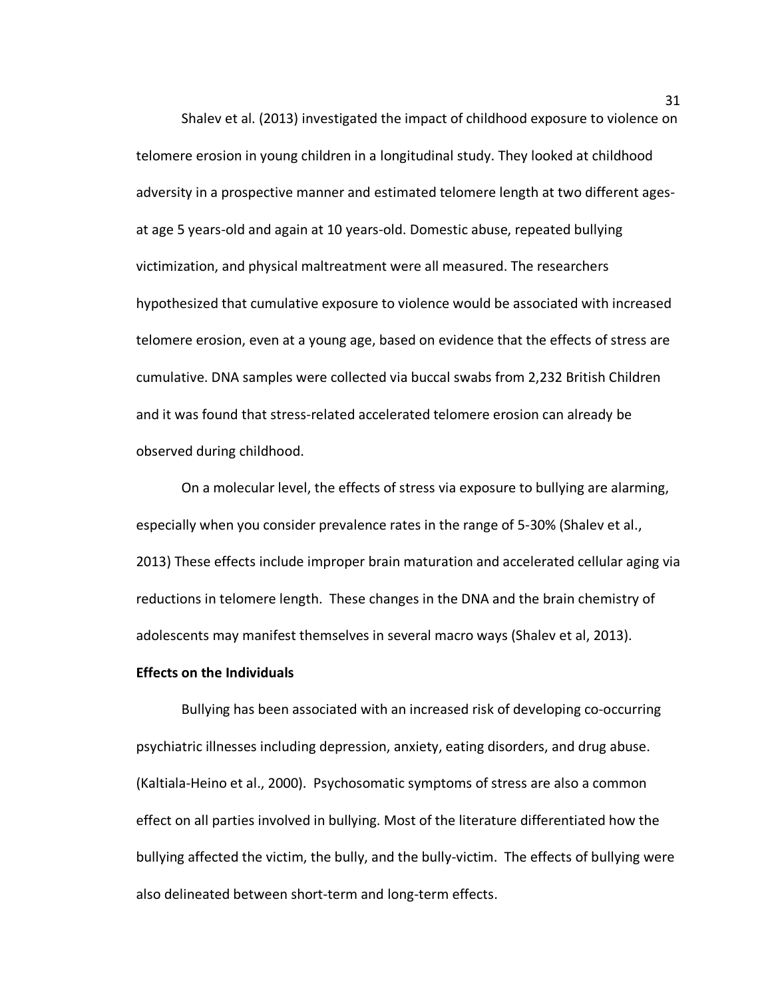Shalev et al. (2013) investigated the impact of childhood exposure to violence on telomere erosion in young children in a longitudinal study. They looked at childhood adversity in a prospective manner and estimated telomere length at two different agesat age 5 years-old and again at 10 years-old. Domestic abuse, repeated bullying victimization, and physical maltreatment were all measured. The researchers hypothesized that cumulative exposure to violence would be associated with increased telomere erosion, even at a young age, based on evidence that the effects of stress are cumulative. DNA samples were collected via buccal swabs from 2,232 British Children and it was found that stress-related accelerated telomere erosion can already be observed during childhood.

On a molecular level, the effects of stress via exposure to bullying are alarming, especially when you consider prevalence rates in the range of 5-30% (Shalev et al., 2013) These effects include improper brain maturation and accelerated cellular aging via reductions in telomere length. These changes in the DNA and the brain chemistry of adolescents may manifest themselves in several macro ways (Shalev et al, 2013).

### **Effects on the Individuals**

Bullying has been associated with an increased risk of developing co-occurring psychiatric illnesses including depression, anxiety, eating disorders, and drug abuse. (Kaltiala-Heino et al., 2000). Psychosomatic symptoms of stress are also a common effect on all parties involved in bullying. Most of the literature differentiated how the bullying affected the victim, the bully, and the bully-victim. The effects of bullying were also delineated between short-term and long-term effects.

31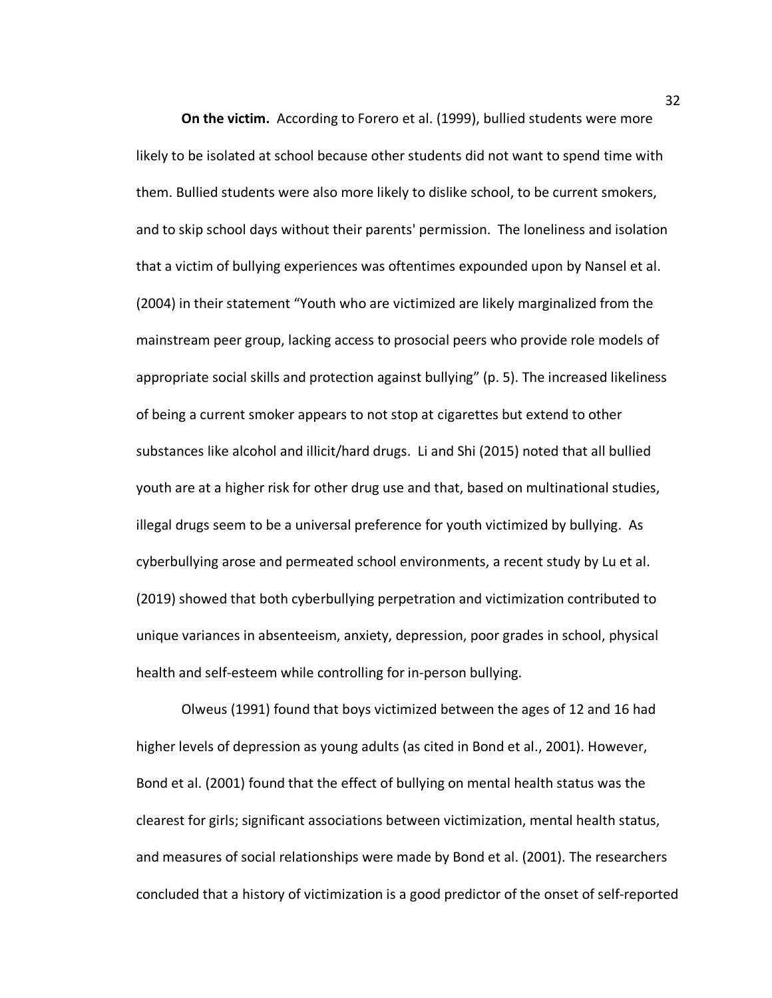**On the victim.** According to Forero et al. (1999), bullied students were more likely to be isolated at school because other students did not want to spend time with them. Bullied students were also more likely to dislike school, to be current smokers, and to skip school days without their parents' permission. The loneliness and isolation that a victim of bullying experiences was oftentimes expounded upon by Nansel et al. (2004) in their statement "Youth who are victimized are likely marginalized from the mainstream peer group, lacking access to prosocial peers who provide role models of appropriate social skills and protection against bullying" (p. 5). The increased likeliness of being a current smoker appears to not stop at cigarettes but extend to other substances like alcohol and illicit/hard drugs. Li and Shi (2015) noted that all bullied youth are at a higher risk for other drug use and that, based on multinational studies, illegal drugs seem to be a universal preference for youth victimized by bullying. As cyberbullying arose and permeated school environments, a recent study by Lu et al. (2019) showed that both cyberbullying perpetration and victimization contributed to unique variances in absenteeism, anxiety, depression, poor grades in school, physical health and self-esteem while controlling for in-person bullying.

Olweus (1991) found that boys victimized between the ages of 12 and 16 had higher levels of depression as young adults (as cited in Bond et al., 2001). However, Bond et al. (2001) found that the effect of bullying on mental health status was the clearest for girls; significant associations between victimization, mental health status, and measures of social relationships were made by Bond et al. (2001). The researchers concluded that a history of victimization is a good predictor of the onset of self-reported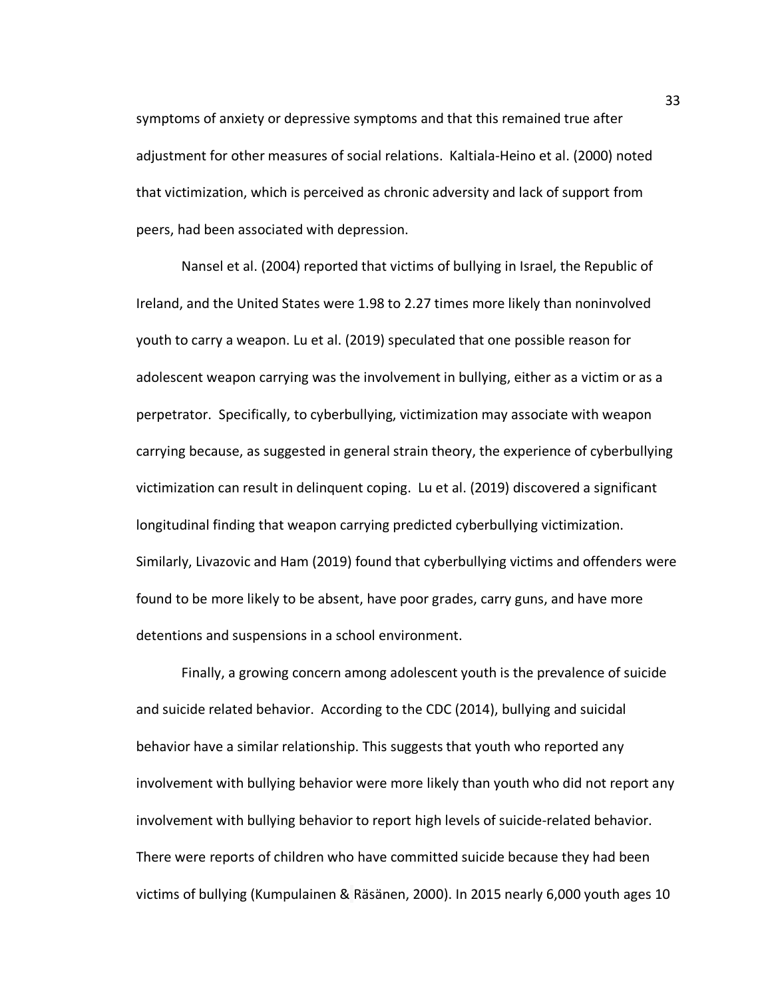symptoms of anxiety or depressive symptoms and that this remained true after adjustment for other measures of social relations. Kaltiala-Heino et al. (2000) noted that victimization, which is perceived as chronic adversity and lack of support from peers, had been associated with depression.

Nansel et al. (2004) reported that victims of bullying in Israel, the Republic of Ireland, and the United States were 1.98 to 2.27 times more likely than noninvolved youth to carry a weapon. Lu et al. (2019) speculated that one possible reason for adolescent weapon carrying was the involvement in bullying, either as a victim or as a perpetrator. Specifically, to cyberbullying, victimization may associate with weapon carrying because, as suggested in general strain theory, the experience of cyberbullying victimization can result in delinquent coping. Lu et al. (2019) discovered a significant longitudinal finding that weapon carrying predicted cyberbullying victimization. Similarly, Livazovic and Ham (2019) found that cyberbullying victims and offenders were found to be more likely to be absent, have poor grades, carry guns, and have more detentions and suspensions in a school environment.

Finally, a growing concern among adolescent youth is the prevalence of suicide and suicide related behavior. According to the CDC (2014), bullying and suicidal behavior have a similar relationship. This suggests that youth who reported any involvement with bullying behavior were more likely than youth who did not report any involvement with bullying behavior to report high levels of suicide-related behavior. There were reports of children who have committed suicide because they had been victims of bullying (Kumpulainen & Räsänen, 2000). In 2015 nearly 6,000 youth ages 10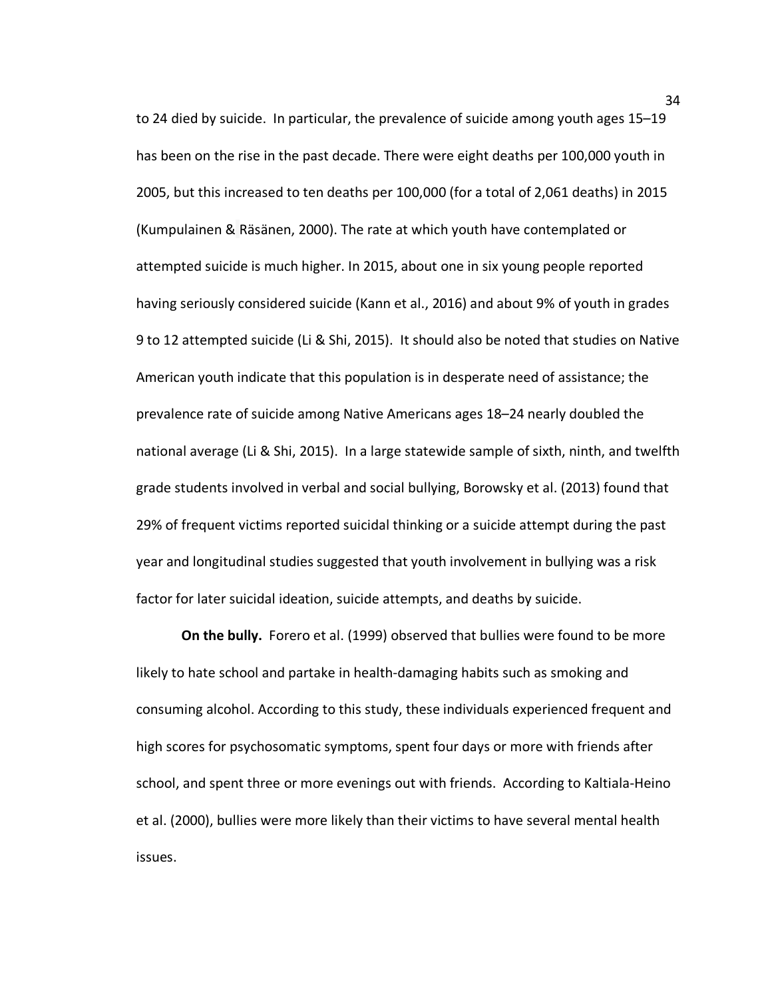to 24 died by suicide. In particular, the prevalence of suicide among youth ages 15–19 has been on the rise in the past decade. There were eight deaths per 100,000 youth in 2005, but this increased to ten deaths per 100,000 (for a total of 2,061 deaths) in 2015 (Kumpulainen & Räsänen, 2000). The rate at which youth have contemplated or attempted suicide is much higher. In 2015, about one in six young people reported having seriously considered suicide (Kann et al., 2016) and about 9% of youth in grades 9 to 12 attempted suicide (Li & Shi, 2015).It should also be noted that studies on Native American youth indicate that this population is in desperate need of assistance; the prevalence rate of suicide among Native Americans ages 18–24 nearly doubled the national average (Li & Shi, 2015). In a large statewide sample of sixth, ninth, and twelfth grade students involved in verbal and social bullying, Borowsky et al. (2013) found that 29% of frequent victims reported suicidal thinking or a suicide attempt during the past year and longitudinal studies suggested that youth involvement in bullying was a risk factor for later suicidal ideation, suicide attempts, and deaths by suicide.

**On the bully.** Forero et al. (1999) observed that bullies were found to be more likely to hate school and partake in health-damaging habits such as smoking and consuming alcohol. According to this study, these individuals experienced frequent and high scores for psychosomatic symptoms, spent four days or more with friends after school, and spent three or more evenings out with friends. According to Kaltiala-Heino et al. (2000), bullies were more likely than their victims to have several mental health issues.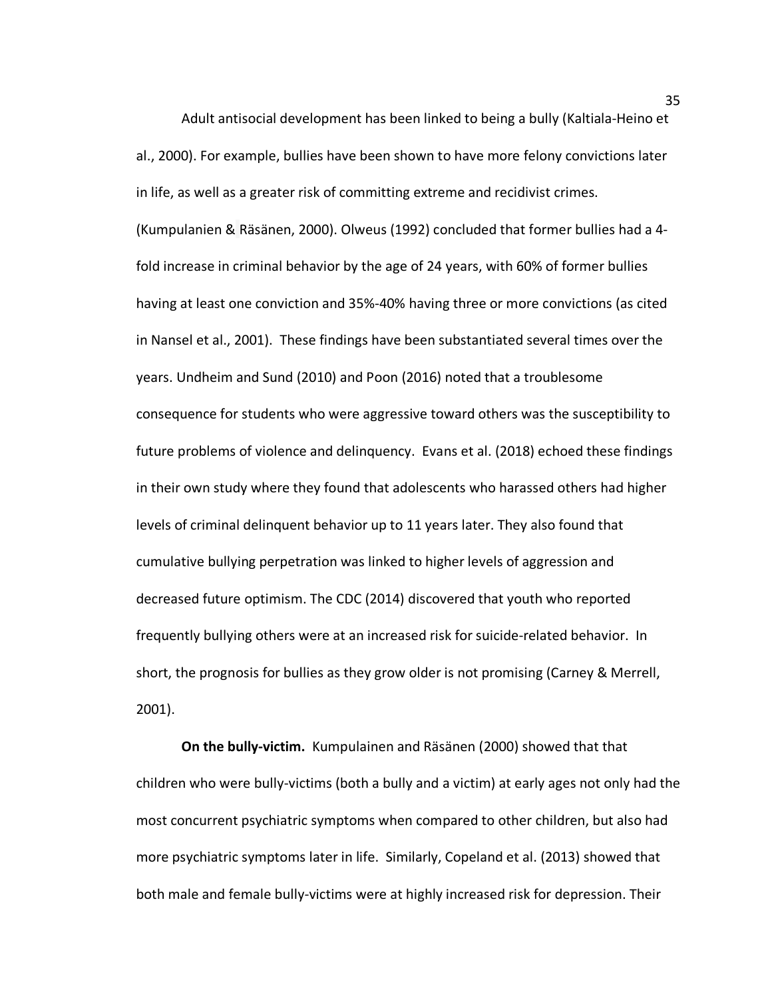Adult antisocial development has been linked to being a bully (Kaltiala-Heino et al., 2000). For example, bullies have been shown to have more felony convictions later in life, as well as a greater risk of committing extreme and recidivist crimes. (Kumpulanien & Räsänen, 2000). Olweus (1992) concluded that former bullies had a 4 fold increase in criminal behavior by the age of 24 years, with 60% of former bullies having at least one conviction and 35%-40% having three or more convictions (as cited in Nansel et al., 2001). These findings have been substantiated several times over the years. Undheim and Sund (2010) and Poon (2016) noted that a troublesome consequence for students who were aggressive toward others was the susceptibility to future problems of violence and delinquency. Evans et al. (2018) echoed these findings in their own study where they found that adolescents who harassed others had higher levels of criminal delinquent behavior up to 11 years later. They also found that cumulative bullying perpetration was linked to higher levels of aggression and decreased future optimism. The CDC (2014) discovered that youth who reported frequently bullying others were at an increased risk for suicide-related behavior. In short, the prognosis for bullies as they grow older is not promising (Carney & Merrell, 2001).

**On the bully-victim.** Kumpulainen and Räsänen (2000) showed that that children who were bully-victims (both a bully and a victim) at early ages not only had the most concurrent psychiatric symptoms when compared to other children, but also had more psychiatric symptoms later in life. Similarly, Copeland et al. (2013) showed that both male and female bully-victims were at highly increased risk for depression. Their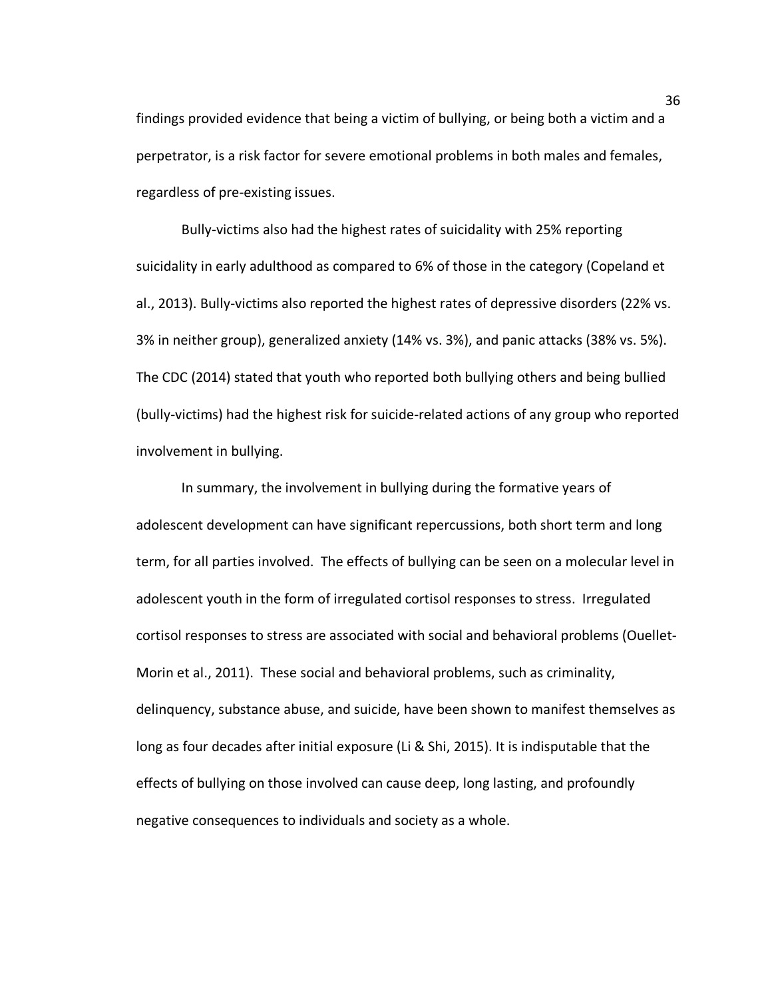findings provided evidence that being a victim of bullying, or being both a victim and a perpetrator, is a risk factor for severe emotional problems in both males and females, regardless of pre-existing issues.

Bully-victims also had the highest rates of suicidality with 25% reporting suicidality in early adulthood as compared to 6% of those in the category (Copeland et al., 2013). Bully-victims also reported the highest rates of depressive disorders (22% vs. 3% in neither group), generalized anxiety (14% vs. 3%), and panic attacks (38% vs. 5%). The CDC (2014) stated that youth who reported both bullying others and being bullied (bully-victims) had the highest risk for suicide-related actions of any group who reported involvement in bullying.

In summary, the involvement in bullying during the formative years of adolescent development can have significant repercussions, both short term and long term, for all parties involved. The effects of bullying can be seen on a molecular level in adolescent youth in the form of irregulated cortisol responses to stress. Irregulated cortisol responses to stress are associated with social and behavioral problems (Ouellet-Morin et al., 2011). These social and behavioral problems, such as criminality, delinquency, substance abuse, and suicide, have been shown to manifest themselves as long as four decades after initial exposure (Li & Shi, 2015). It is indisputable that the effects of bullying on those involved can cause deep, long lasting, and profoundly negative consequences to individuals and society as a whole.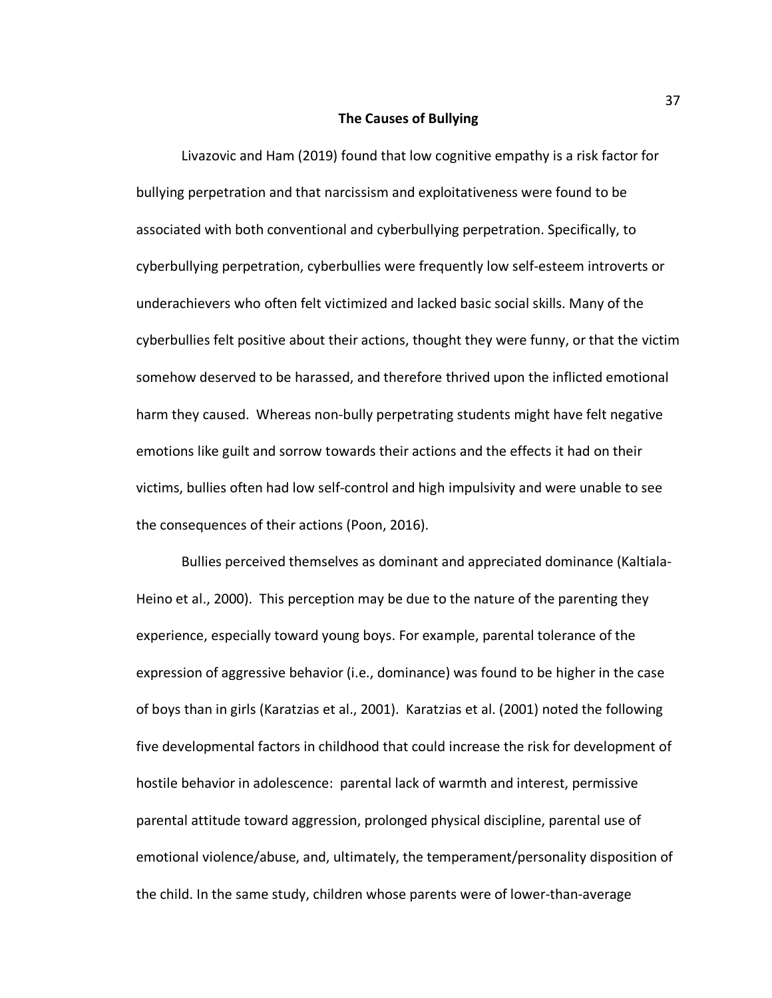#### **The Causes of Bullying**

Livazovic and Ham (2019) found that low cognitive empathy is a risk factor for bullying perpetration and that narcissism and exploitativeness were found to be associated with both conventional and cyberbullying perpetration. Specifically, to cyberbullying perpetration, cyberbullies were frequently low self-esteem introverts or underachievers who often felt victimized and lacked basic social skills. Many of the cyberbullies felt positive about their actions, thought they were funny, or that the victim somehow deserved to be harassed, and therefore thrived upon the inflicted emotional harm they caused. Whereas non-bully perpetrating students might have felt negative emotions like guilt and sorrow towards their actions and the effects it had on their victims, bullies often had low self-control and high impulsivity and were unable to see the consequences of their actions (Poon, 2016).

Bullies perceived themselves as dominant and appreciated dominance (Kaltiala-Heino et al., 2000). This perception may be due to the nature of the parenting they experience, especially toward young boys. For example, parental tolerance of the expression of aggressive behavior (i.e., dominance) was found to be higher in the case of boys than in girls (Karatzias et al., 2001). Karatzias et al. (2001) noted the following five developmental factors in childhood that could increase the risk for development of hostile behavior in adolescence: parental lack of warmth and interest, permissive parental attitude toward aggression, prolonged physical discipline, parental use of emotional violence/abuse, and, ultimately, the temperament/personality disposition of the child. In the same study, children whose parents were of lower-than-average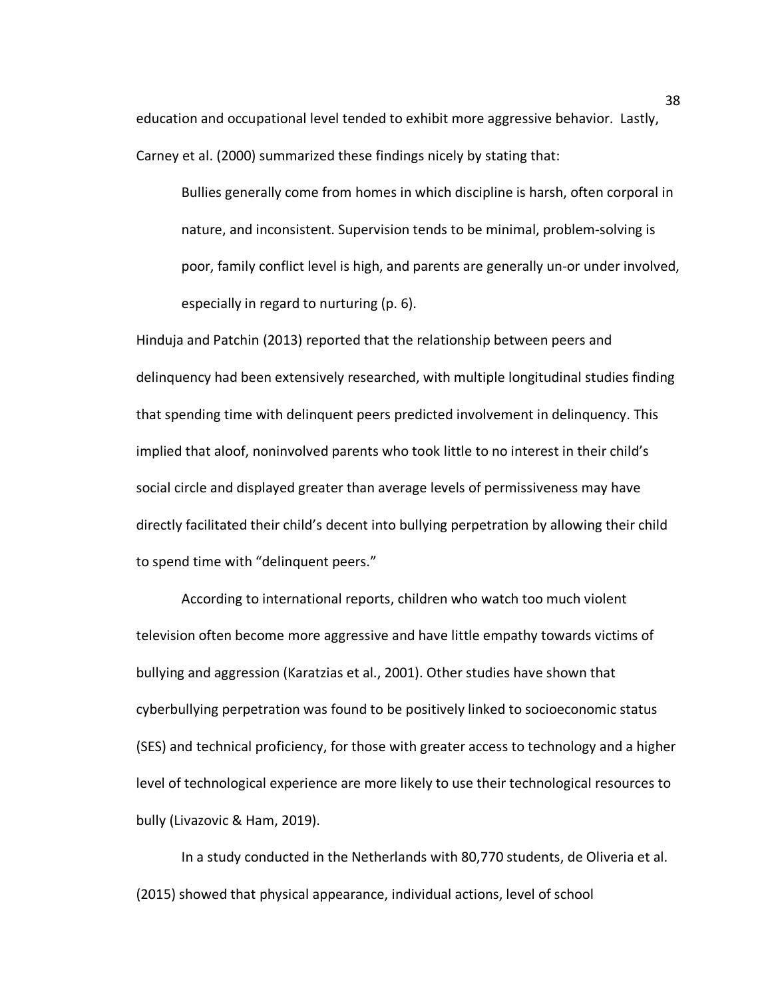education and occupational level tended to exhibit more aggressive behavior. Lastly, Carney et al. (2000) summarized these findings nicely by stating that:

Bullies generally come from homes in which discipline is harsh, often corporal in nature, and inconsistent. Supervision tends to be minimal, problem-solving is poor, family conflict level is high, and parents are generally un-or under involved, especially in regard to nurturing (p. 6).

Hinduja and Patchin (2013) reported that the relationship between peers and delinquency had been extensively researched, with multiple longitudinal studies finding that spending time with delinquent peers predicted involvement in delinquency. This implied that aloof, noninvolved parents who took little to no interest in their child's social circle and displayed greater than average levels of permissiveness may have directly facilitated their child's decent into bullying perpetration by allowing their child to spend time with "delinquent peers."

According to international reports, children who watch too much violent television often become more aggressive and have little empathy towards victims of bullying and aggression (Karatzias et al., 2001). Other studies have shown that cyberbullying perpetration was found to be positively linked to socioeconomic status (SES) and technical proficiency, for those with greater access to technology and a higher level of technological experience are more likely to use their technological resources to bully (Livazovic & Ham, 2019).

In a study conducted in the Netherlands with 80,770 students, de Oliveria et al. (2015) showed that physical appearance, individual actions, level of school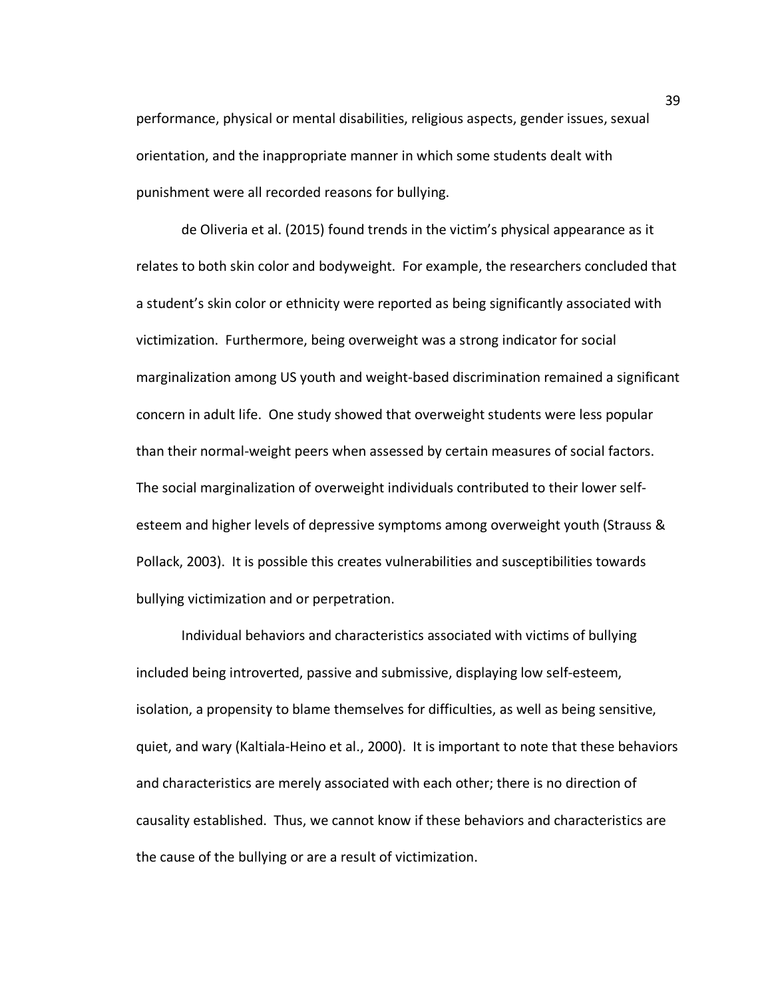performance, physical or mental disabilities, religious aspects, gender issues, sexual orientation, and the inappropriate manner in which some students dealt with punishment were all recorded reasons for bullying.

de Oliveria et al. (2015) found trends in the victim's physical appearance as it relates to both skin color and bodyweight. For example, the researchers concluded that a student's skin color or ethnicity were reported as being significantly associated with victimization. Furthermore, being overweight was a strong indicator for social marginalization among US youth and weight-based discrimination remained a significant concern in adult life. One study showed that overweight students were less popular than their normal-weight peers when assessed by certain measures of social factors. The social marginalization of overweight individuals contributed to their lower selfesteem and higher levels of depressive symptoms among overweight youth (Strauss & Pollack, 2003). It is possible this creates vulnerabilities and susceptibilities towards bullying victimization and or perpetration.

Individual behaviors and characteristics associated with victims of bullying included being introverted, passive and submissive, displaying low self-esteem, isolation, a propensity to blame themselves for difficulties, as well as being sensitive, quiet, and wary (Kaltiala-Heino et al., 2000). It is important to note that these behaviors and characteristics are merely associated with each other; there is no direction of causality established. Thus, we cannot know if these behaviors and characteristics are the cause of the bullying or are a result of victimization.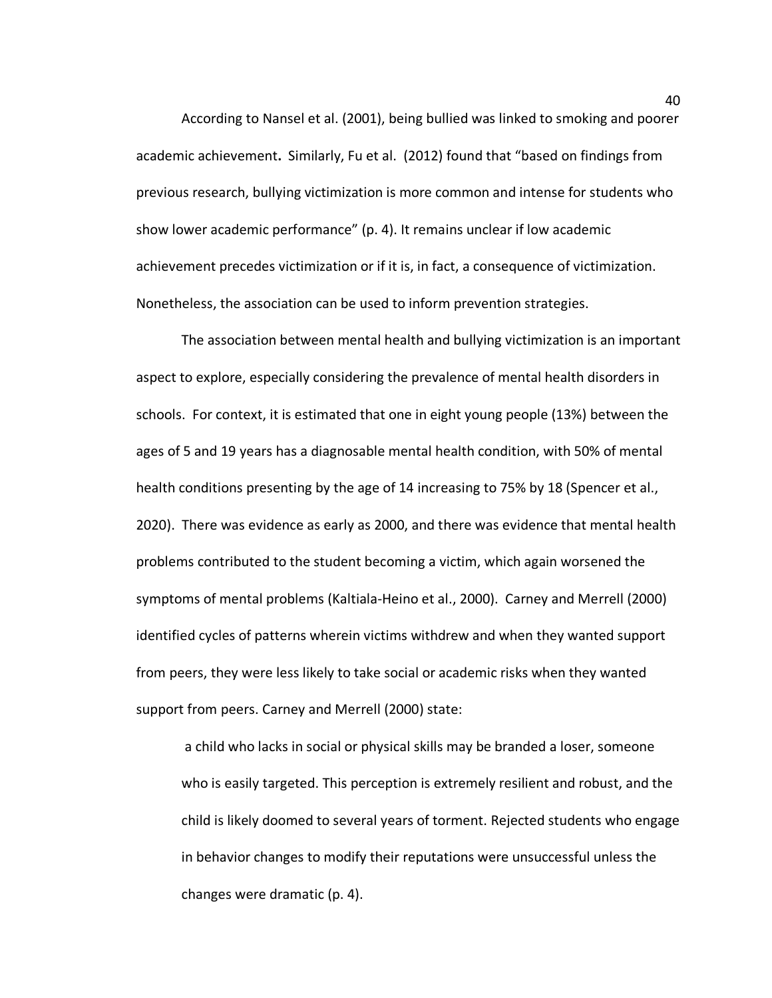According to Nansel et al. (2001), being bullied was linked to smoking and poorer academic achievement**.** Similarly, Fu et al. (2012) found that "based on findings from previous research, bullying victimization is more common and intense for students who show lower academic performance" (p. 4). It remains unclear if low academic achievement precedes victimization or if it is, in fact, a consequence of victimization. Nonetheless, the association can be used to inform prevention strategies.

The association between mental health and bullying victimization is an important aspect to explore, especially considering the prevalence of mental health disorders in schools. For context, it is estimated that one in eight young people (13%) between the ages of 5 and 19 years has a diagnosable mental health condition, with 50% of mental health conditions presenting by the age of 14 increasing to 75% by 18 (Spencer et al., 2020). There was evidence as early as 2000, and there was evidence that mental health problems contributed to the student becoming a victim, which again worsened the symptoms of mental problems (Kaltiala-Heino et al., 2000). Carney and Merrell (2000) identified cycles of patterns wherein victims withdrew and when they wanted support from peers, they were less likely to take social or academic risks when they wanted support from peers. Carney and Merrell (2000) state:

a child who lacks in social or physical skills may be branded a loser, someone who is easily targeted. This perception is extremely resilient and robust, and the child is likely doomed to several years of torment. Rejected students who engage in behavior changes to modify their reputations were unsuccessful unless the changes were dramatic (p. 4).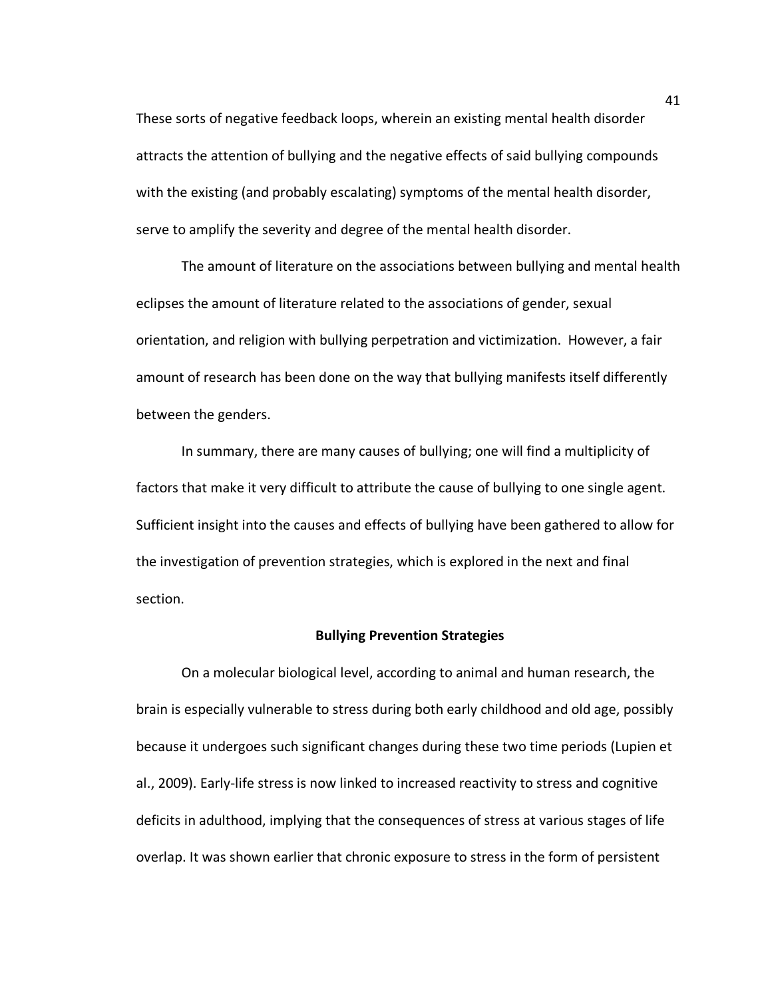These sorts of negative feedback loops, wherein an existing mental health disorder attracts the attention of bullying and the negative effects of said bullying compounds with the existing (and probably escalating) symptoms of the mental health disorder, serve to amplify the severity and degree of the mental health disorder.

The amount of literature on the associations between bullying and mental health eclipses the amount of literature related to the associations of gender, sexual orientation, and religion with bullying perpetration and victimization. However, a fair amount of research has been done on the way that bullying manifests itself differently between the genders.

In summary, there are many causes of bullying; one will find a multiplicity of factors that make it very difficult to attribute the cause of bullying to one single agent. Sufficient insight into the causes and effects of bullying have been gathered to allow for the investigation of prevention strategies, which is explored in the next and final section.

#### **Bullying Prevention Strategies**

On a molecular biological level, according to animal and human research, the brain is especially vulnerable to stress during both early childhood and old age, possibly because it undergoes such significant changes during these two time periods (Lupien et al., 2009). Early-life stress is now linked to increased reactivity to stress and cognitive deficits in adulthood, implying that the consequences of stress at various stages of life overlap. It was shown earlier that chronic exposure to stress in the form of persistent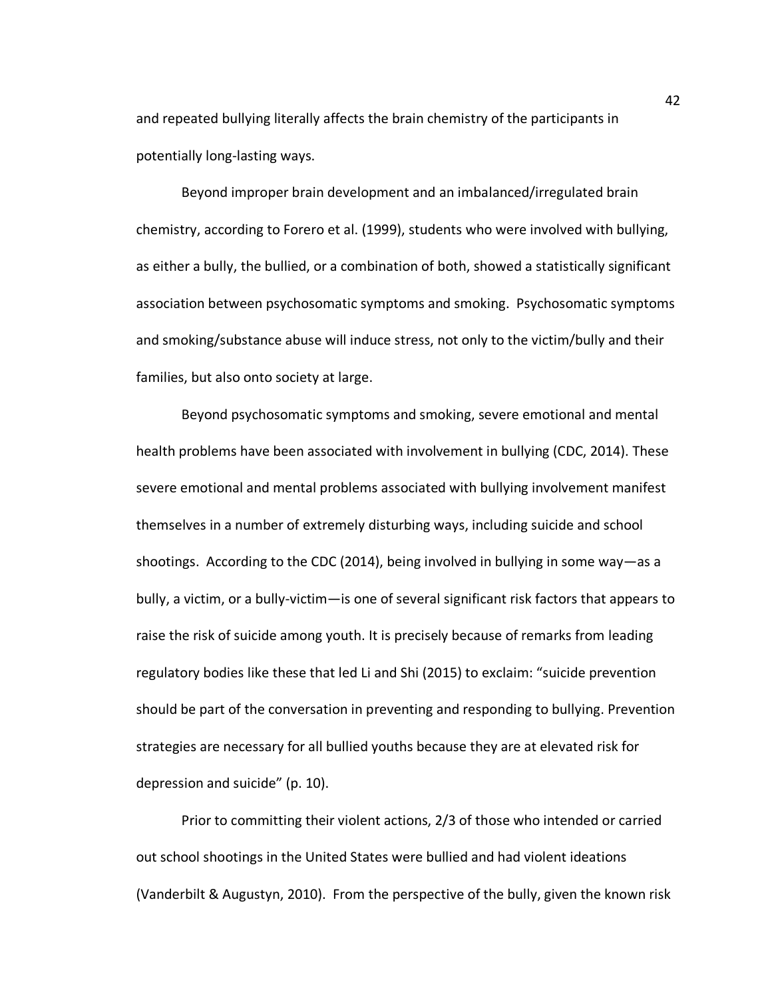and repeated bullying literally affects the brain chemistry of the participants in potentially long-lasting ways.

Beyond improper brain development and an imbalanced/irregulated brain chemistry, according to Forero et al. (1999), students who were involved with bullying, as either a bully, the bullied, or a combination of both, showed a statistically significant association between psychosomatic symptoms and smoking. Psychosomatic symptoms and smoking/substance abuse will induce stress, not only to the victim/bully and their families, but also onto society at large.

Beyond psychosomatic symptoms and smoking, severe emotional and mental health problems have been associated with involvement in bullying (CDC, 2014). These severe emotional and mental problems associated with bullying involvement manifest themselves in a number of extremely disturbing ways, including suicide and school shootings. According to the CDC (2014), being involved in bullying in some way—as a bully, a victim, or a bully-victim—is one of several significant risk factors that appears to raise the risk of suicide among youth. It is precisely because of remarks from leading regulatory bodies like these that led Li and Shi (2015) to exclaim: "suicide prevention should be part of the conversation in preventing and responding to bullying. Prevention strategies are necessary for all bullied youths because they are at elevated risk for depression and suicide" (p. 10).

Prior to committing their violent actions, 2/3 of those who intended or carried out school shootings in the United States were bullied and had violent ideations (Vanderbilt & Augustyn, 2010). From the perspective of the bully, given the known risk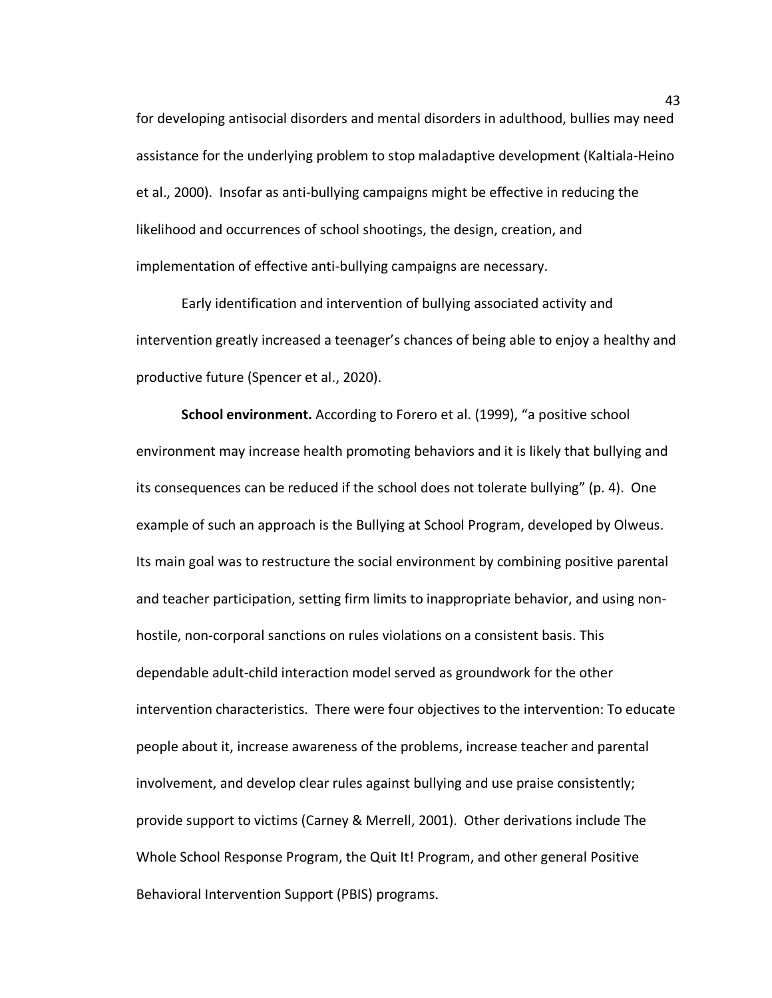for developing antisocial disorders and mental disorders in adulthood, bullies may need assistance for the underlying problem to stop maladaptive development (Kaltiala-Heino et al., 2000). Insofar as anti-bullying campaigns might be effective in reducing the likelihood and occurrences of school shootings, the design, creation, and implementation of effective anti-bullying campaigns are necessary.

Early identification and intervention of bullying associated activity and intervention greatly increased a teenager's chances of being able to enjoy a healthy and productive future (Spencer et al., 2020).

**School environment.** According to Forero et al. (1999), "a positive school environment may increase health promoting behaviors and it is likely that bullying and its consequences can be reduced if the school does not tolerate bullying" (p. 4). One example of such an approach is the Bullying at School Program, developed by Olweus. Its main goal was to restructure the social environment by combining positive parental and teacher participation, setting firm limits to inappropriate behavior, and using nonhostile, non-corporal sanctions on rules violations on a consistent basis. This dependable adult-child interaction model served as groundwork for the other intervention characteristics. There were four objectives to the intervention: To educate people about it, increase awareness of the problems, increase teacher and parental involvement, and develop clear rules against bullying and use praise consistently; provide support to victims (Carney & Merrell, 2001). Other derivations include The Whole School Response Program, the Quit It! Program, and other general Positive Behavioral Intervention Support (PBIS) programs.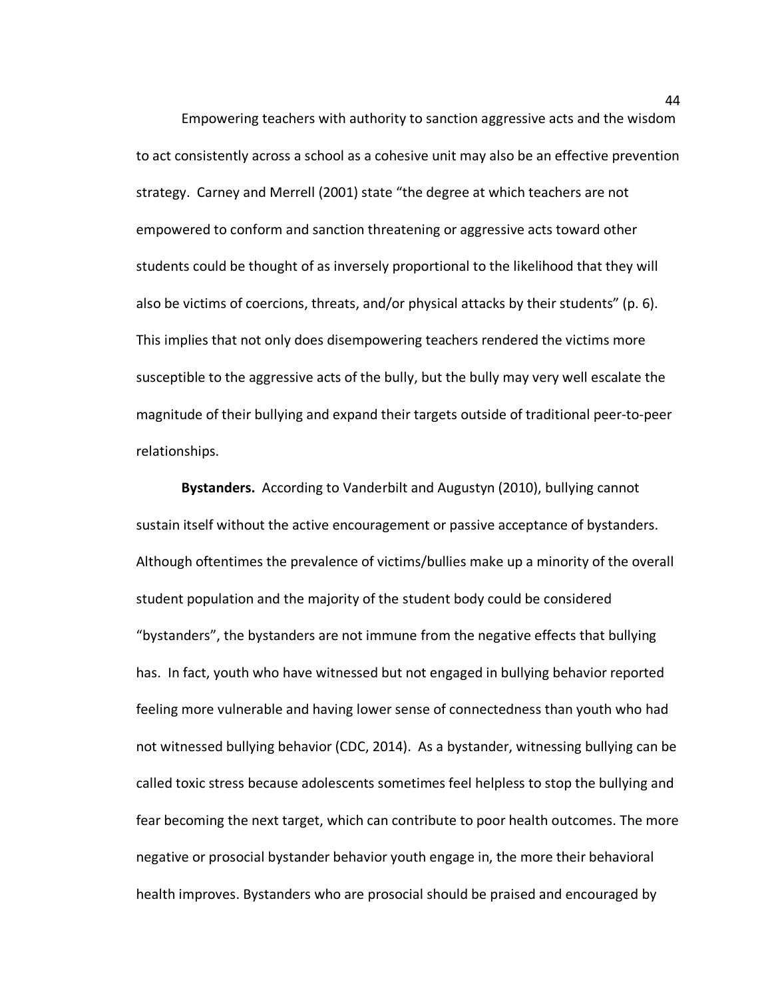Empowering teachers with authority to sanction aggressive acts and the wisdom to act consistently across a school as a cohesive unit may also be an effective prevention strategy. Carney and Merrell (2001) state "the degree at which teachers are not empowered to conform and sanction threatening or aggressive acts toward other students could be thought of as inversely proportional to the likelihood that they will also be victims of coercions, threats, and/or physical attacks by their students" (p. 6). This implies that not only does disempowering teachers rendered the victims more susceptible to the aggressive acts of the bully, but the bully may very well escalate the magnitude of their bullying and expand their targets outside of traditional peer-to-peer relationships.

**Bystanders.** According to Vanderbilt and Augustyn (2010), bullying cannot sustain itself without the active encouragement or passive acceptance of bystanders. Although oftentimes the prevalence of victims/bullies make up a minority of the overall student population and the majority of the student body could be considered "bystanders", the bystanders are not immune from the negative effects that bullying has. In fact, youth who have witnessed but not engaged in bullying behavior reported feeling more vulnerable and having lower sense of connectedness than youth who had not witnessed bullying behavior (CDC, 2014). As a bystander, witnessing bullying can be called toxic stress because adolescents sometimes feel helpless to stop the bullying and fear becoming the next target, which can contribute to poor health outcomes. The more negative or prosocial bystander behavior youth engage in, the more their behavioral health improves. Bystanders who are prosocial should be praised and encouraged by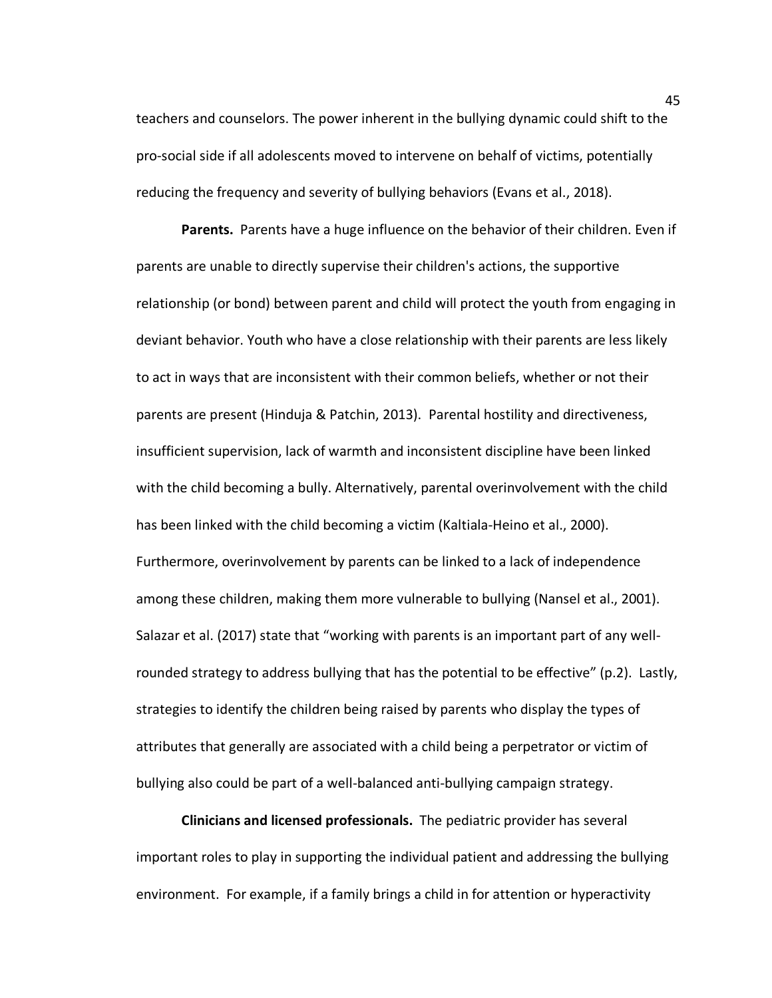teachers and counselors. The power inherent in the bullying dynamic could shift to the pro-social side if all adolescents moved to intervene on behalf of victims, potentially reducing the frequency and severity of bullying behaviors (Evans et al., 2018).

**Parents.** Parents have a huge influence on the behavior of their children. Even if parents are unable to directly supervise their children's actions, the supportive relationship (or bond) between parent and child will protect the youth from engaging in deviant behavior. Youth who have a close relationship with their parents are less likely to act in ways that are inconsistent with their common beliefs, whether or not their parents are present (Hinduja & Patchin, 2013). Parental hostility and directiveness, insufficient supervision, lack of warmth and inconsistent discipline have been linked with the child becoming a bully. Alternatively, parental overinvolvement with the child has been linked with the child becoming a victim (Kaltiala-Heino et al., 2000). Furthermore, overinvolvement by parents can be linked to a lack of independence among these children, making them more vulnerable to bullying (Nansel et al., 2001). Salazar et al. (2017) state that "working with parents is an important part of any wellrounded strategy to address bullying that has the potential to be effective" (p.2). Lastly, strategies to identify the children being raised by parents who display the types of attributes that generally are associated with a child being a perpetrator or victim of bullying also could be part of a well-balanced anti-bullying campaign strategy.

**Clinicians and licensed professionals.** The pediatric provider has several important roles to play in supporting the individual patient and addressing the bullying environment. For example, if a family brings a child in for attention or hyperactivity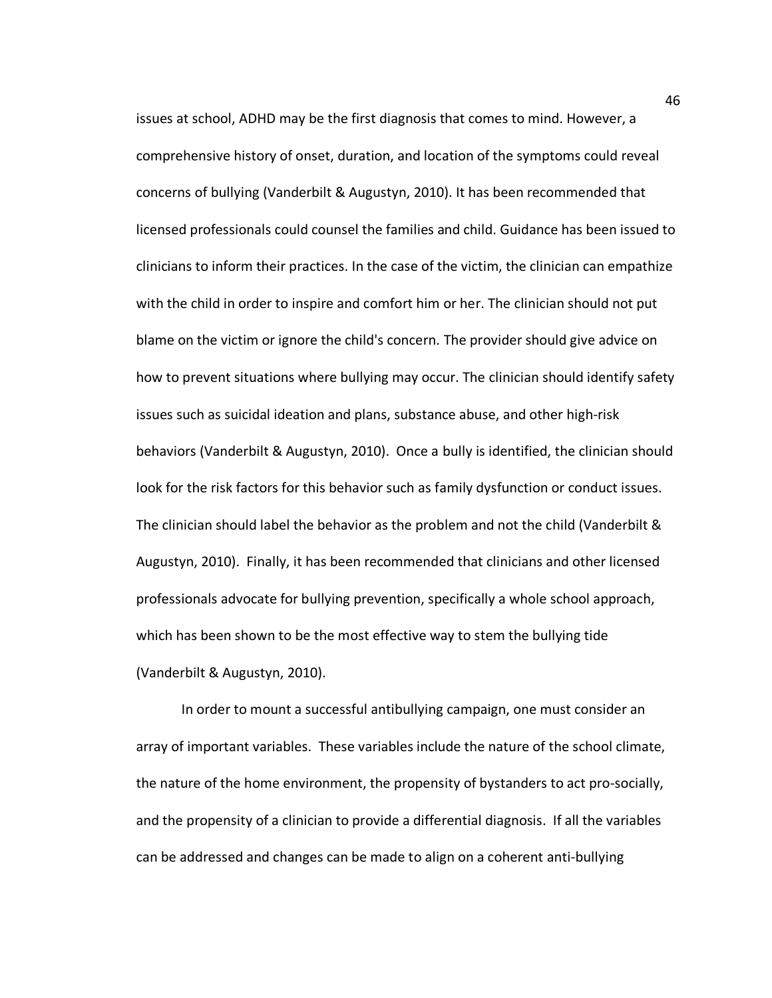issues at school, ADHD may be the first diagnosis that comes to mind. However, a comprehensive history of onset, duration, and location of the symptoms could reveal concerns of bullying (Vanderbilt & Augustyn, 2010). It has been recommended that licensed professionals could counsel the families and child. Guidance has been issued to clinicians to inform their practices. In the case of the victim, the clinician can empathize with the child in order to inspire and comfort him or her. The clinician should not put blame on the victim or ignore the child's concern. The provider should give advice on how to prevent situations where bullying may occur. The clinician should identify safety issues such as suicidal ideation and plans, substance abuse, and other high-risk behaviors (Vanderbilt & Augustyn, 2010). Once a bully is identified, the clinician should look for the risk factors for this behavior such as family dysfunction or conduct issues. The clinician should label the behavior as the problem and not the child (Vanderbilt & Augustyn, 2010). Finally, it has been recommended that clinicians and other licensed professionals advocate for bullying prevention, specifically a whole school approach, which has been shown to be the most effective way to stem the bullying tide (Vanderbilt & Augustyn, 2010).

In order to mount a successful antibullying campaign, one must consider an array of important variables. These variables include the nature of the school climate, the nature of the home environment, the propensity of bystanders to act pro-socially, and the propensity of a clinician to provide a differential diagnosis. If all the variables can be addressed and changes can be made to align on a coherent anti-bullying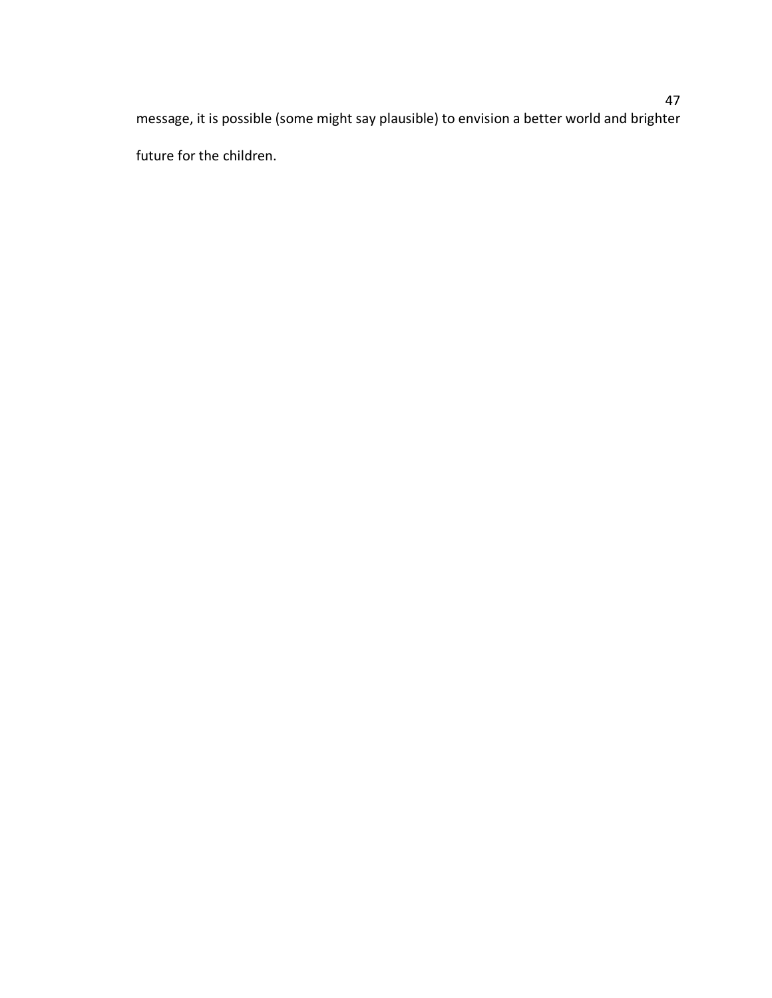message, it is possible (some might say plausible) to envision a better world and brighter future for the children.

# 47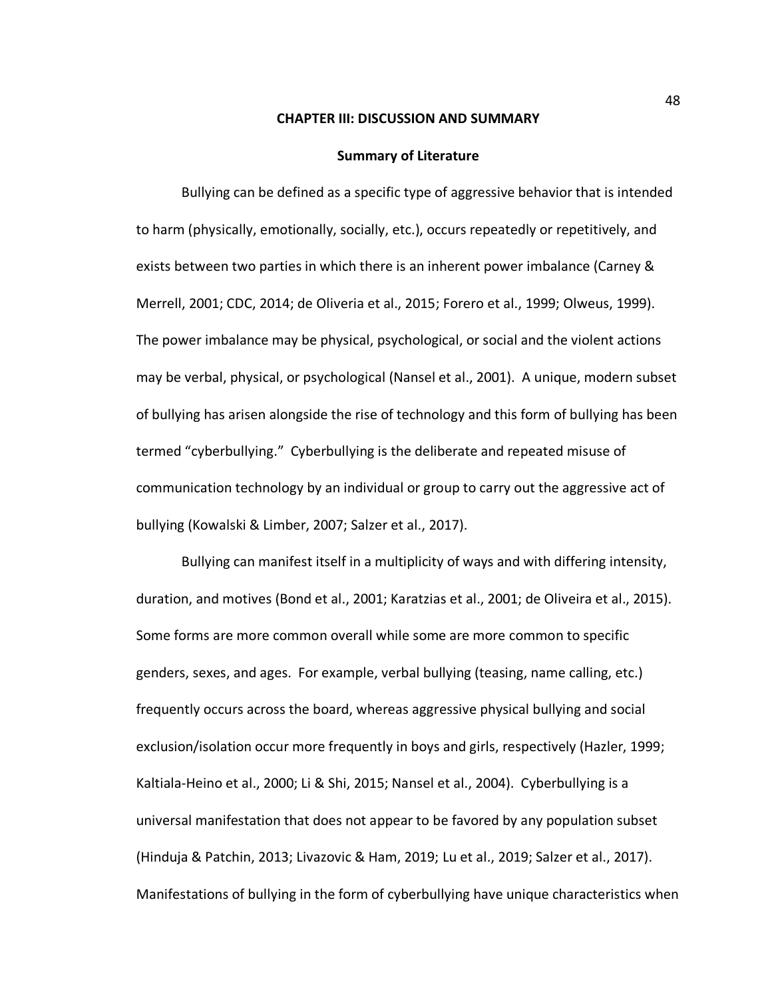#### **CHAPTER III: DISCUSSION AND SUMMARY**

#### **Summary of Literature**

Bullying can be defined as a specific type of aggressive behavior that is intended to harm (physically, emotionally, socially, etc.), occurs repeatedly or repetitively, and exists between two parties in which there is an inherent power imbalance (Carney & Merrell, 2001; CDC, 2014; de Oliveria et al., 2015; Forero et al., 1999; Olweus, 1999). The power imbalance may be physical, psychological, or social and the violent actions may be verbal, physical, or psychological (Nansel et al., 2001).A unique, modern subset of bullying has arisen alongside the rise of technology and this form of bullying has been termed "cyberbullying." Cyberbullying is the deliberate and repeated misuse of communication technology by an individual or group to carry out the aggressive act of bullying (Kowalski & Limber, 2007; Salzer et al., 2017).

Bullying can manifest itself in a multiplicity of ways and with differing intensity, duration, and motives (Bond et al., 2001; Karatzias et al., 2001; de Oliveira et al., 2015). Some forms are more common overall while some are more common to specific genders, sexes, and ages. For example, verbal bullying (teasing, name calling, etc.) frequently occurs across the board, whereas aggressive physical bullying and social exclusion/isolation occur more frequently in boys and girls, respectively (Hazler, 1999; Kaltiala-Heino et al., 2000; Li & Shi, 2015; Nansel et al., 2004). Cyberbullying is a universal manifestation that does not appear to be favored by any population subset (Hinduja & Patchin, 2013; Livazovic & Ham, 2019; Lu et al., 2019; Salzer et al., 2017). Manifestations of bullying in the form of cyberbullying have unique characteristics when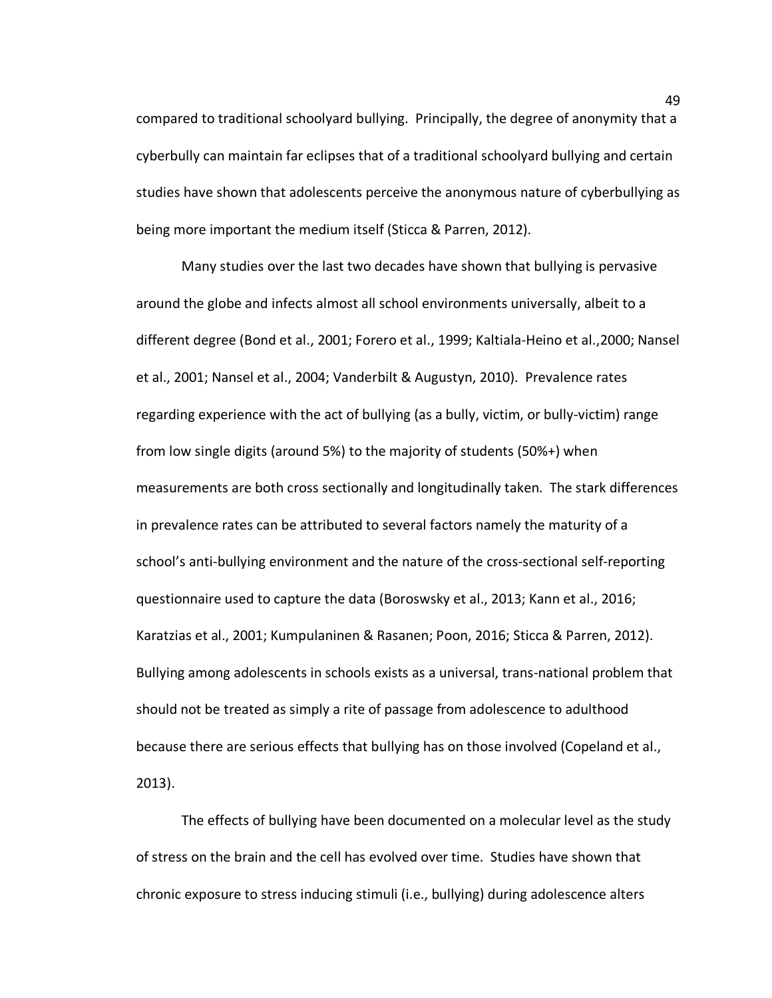compared to traditional schoolyard bullying. Principally, the degree of anonymity that a cyberbully can maintain far eclipses that of a traditional schoolyard bullying and certain studies have shown that adolescents perceive the anonymous nature of cyberbullying as being more important the medium itself (Sticca & Parren, 2012).

Many studies over the last two decades have shown that bullying is pervasive around the globe and infects almost all school environments universally, albeit to a different degree (Bond et al., 2001; Forero et al., 1999; Kaltiala-Heino et al.,2000; Nansel et al., 2001; Nansel et al., 2004; Vanderbilt & Augustyn, 2010).Prevalence rates regarding experience with the act of bullying (as a bully, victim, or bully-victim) range from low single digits (around 5%) to the majority of students (50%+) when measurements are both cross sectionally and longitudinally taken. The stark differences in prevalence rates can be attributed to several factors namely the maturity of a school's anti-bullying environment and the nature of the cross-sectional self-reporting questionnaire used to capture the data (Boroswsky et al., 2013; Kann et al., 2016; Karatzias et al., 2001; Kumpulaninen & Rasanen; Poon, 2016; Sticca & Parren, 2012). Bullying among adolescents in schools exists as a universal, trans-national problem that should not be treated as simply a rite of passage from adolescence to adulthood because there are serious effects that bullying has on those involved (Copeland et al., 2013).

The effects of bullying have been documented on a molecular level as the study of stress on the brain and the cell has evolved over time. Studies have shown that chronic exposure to stress inducing stimuli (i.e., bullying) during adolescence alters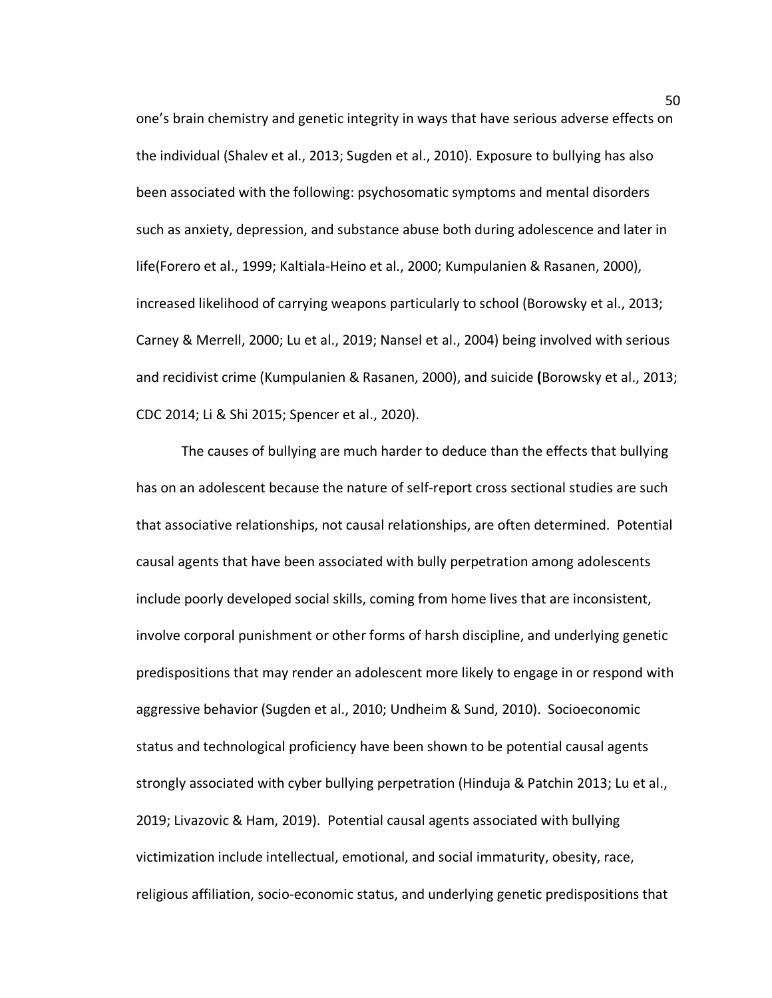one's brain chemistry and genetic integrity in ways that have serious adverse effects on the individual (Shalev et al., 2013; Sugden et al., 2010). Exposure to bullying has also been associated with the following: psychosomatic symptoms and mental disorders such as anxiety, depression, and substance abuse both during adolescence and later in life(Forero et al., 1999; Kaltiala-Heino et al., 2000; Kumpulanien & Rasanen, 2000), increased likelihood of carrying weapons particularly to school (Borowsky et al., 2013; Carney & Merrell, 2000; Lu et al., 2019; Nansel et al., 2004) being involved with serious and recidivist crime (Kumpulanien & Rasanen, 2000), and suicide **(**Borowsky et al., 2013; CDC 2014; Li & Shi 2015; Spencer et al., 2020).

The causes of bullying are much harder to deduce than the effects that bullying has on an adolescent because the nature of self-report cross sectional studies are such that associative relationships, not causal relationships, are often determined. Potential causal agents that have been associated with bully perpetration among adolescents include poorly developed social skills, coming from home lives that are inconsistent, involve corporal punishment or other forms of harsh discipline, and underlying genetic predispositions that may render an adolescent more likely to engage in or respond with aggressive behavior (Sugden et al., 2010; Undheim & Sund, 2010).Socioeconomic status and technological proficiency have been shown to be potential causal agents strongly associated with cyber bullying perpetration (Hinduja & Patchin 2013; Lu et al., 2019; Livazovic & Ham, 2019). Potential causal agents associated with bullying victimization include intellectual, emotional, and social immaturity, obesity, race, religious affiliation, socio-economic status, and underlying genetic predispositions that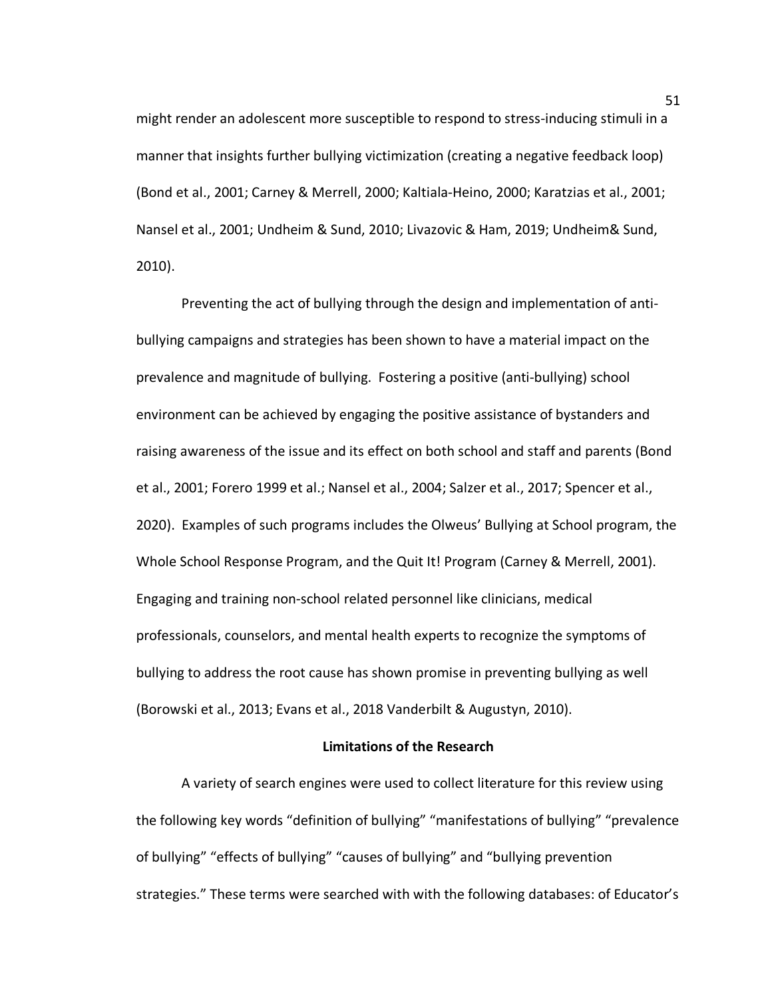might render an adolescent more susceptible to respond to stress-inducing stimuli in a manner that insights further bullying victimization (creating a negative feedback loop) (Bond et al., 2001; Carney & Merrell, 2000; Kaltiala-Heino, 2000; Karatzias et al., 2001; Nansel et al., 2001; Undheim & Sund, 2010; Livazovic & Ham, 2019; Undheim& Sund, 2010).

Preventing the act of bullying through the design and implementation of antibullying campaigns and strategies has been shown to have a material impact on the prevalence and magnitude of bullying. Fostering a positive (anti-bullying) school environment can be achieved by engaging the positive assistance of bystanders and raising awareness of the issue and its effect on both school and staff and parents (Bond et al., 2001; Forero 1999 et al.; Nansel et al., 2004; Salzer et al., 2017; Spencer et al., 2020). Examples of such programs includes the Olweus' Bullying at School program, the Whole School Response Program, and the Quit It! Program (Carney & Merrell, 2001). Engaging and training non-school related personnel like clinicians, medical professionals, counselors, and mental health experts to recognize the symptoms of bullying to address the root cause has shown promise in preventing bullying as well (Borowski et al., 2013; Evans et al., 2018 Vanderbilt & Augustyn, 2010).

#### **Limitations of the Research**

A variety of search engines were used to collect literature for this review using the following key words "definition of bullying" "manifestations of bullying" "prevalence of bullying" "effects of bullying" "causes of bullying" and "bullying prevention strategies." These terms were searched with with the following databases: of Educator's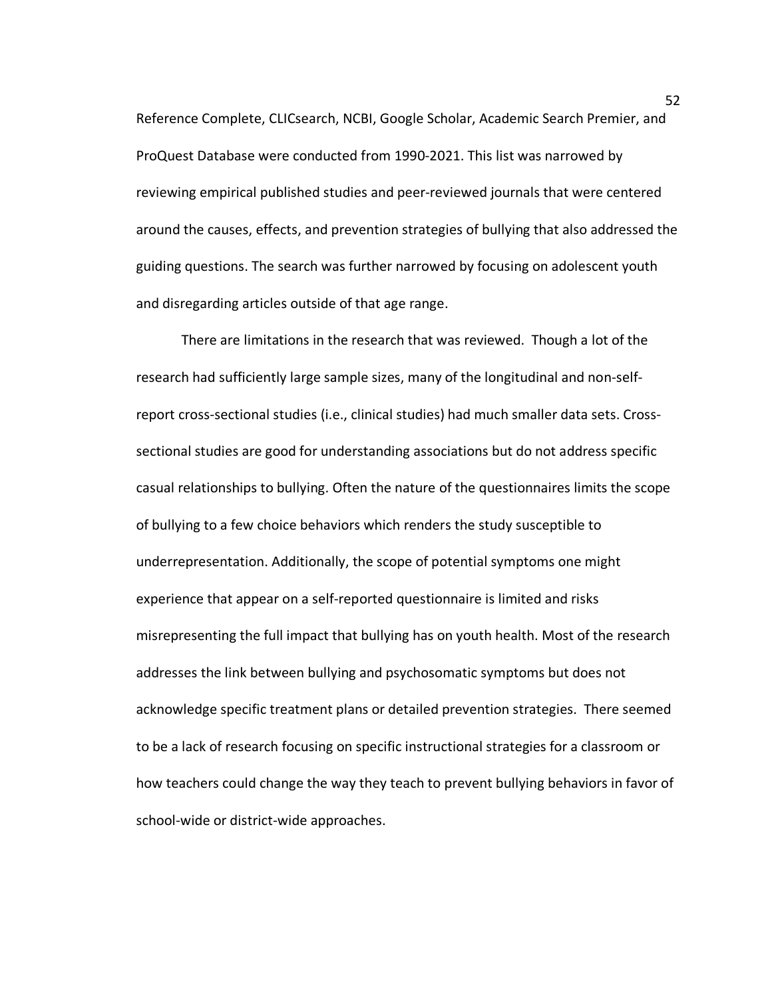Reference Complete, CLICsearch, NCBI, Google Scholar, Academic Search Premier, and ProQuest Database were conducted from 1990-2021. This list was narrowed by reviewing empirical published studies and peer-reviewed journals that were centered around the causes, effects, and prevention strategies of bullying that also addressed the guiding questions. The search was further narrowed by focusing on adolescent youth and disregarding articles outside of that age range.

There are limitations in the research that was reviewed. Though a lot of the research had sufficiently large sample sizes, many of the longitudinal and non-selfreport cross-sectional studies (i.e., clinical studies) had much smaller data sets. Crosssectional studies are good for understanding associations but do not address specific casual relationships to bullying. Often the nature of the questionnaires limits the scope of bullying to a few choice behaviors which renders the study susceptible to underrepresentation. Additionally, the scope of potential symptoms one might experience that appear on a self-reported questionnaire is limited and risks misrepresenting the full impact that bullying has on youth health. Most of the research addresses the link between bullying and psychosomatic symptoms but does not acknowledge specific treatment plans or detailed prevention strategies. There seemed to be a lack of research focusing on specific instructional strategies for a classroom or how teachers could change the way they teach to prevent bullying behaviors in favor of school-wide or district-wide approaches.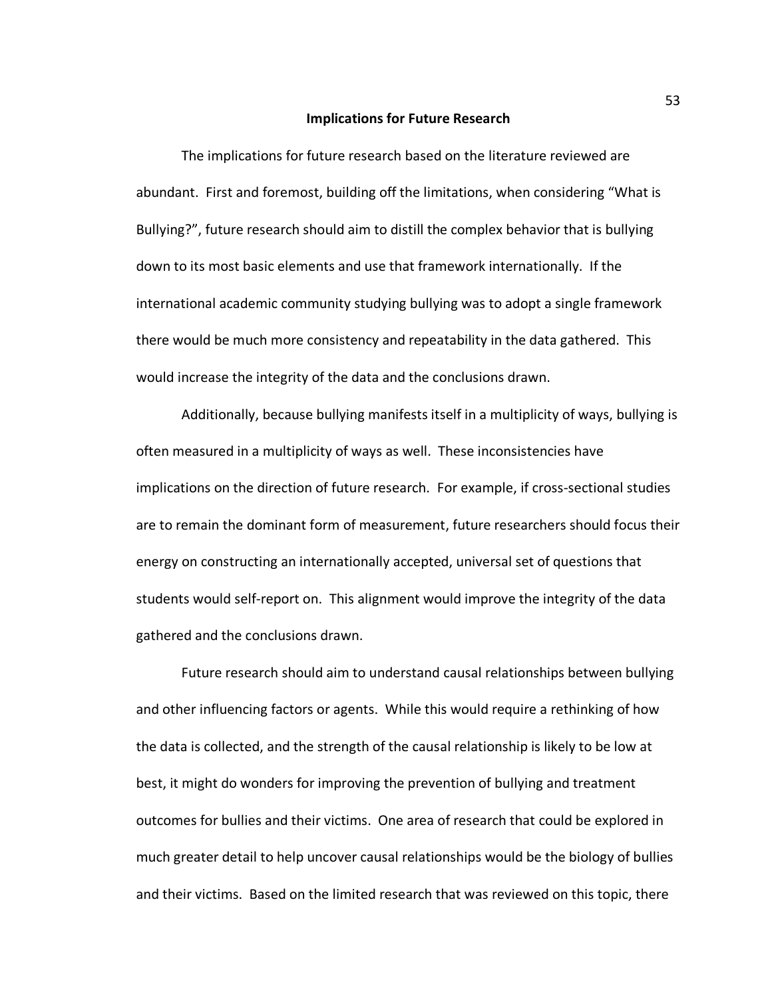#### **Implications for Future Research**

The implications for future research based on the literature reviewed are abundant. First and foremost, building off the limitations, when considering "What is Bullying?", future research should aim to distill the complex behavior that is bullying down to its most basic elements and use that framework internationally. If the international academic community studying bullying was to adopt a single framework there would be much more consistency and repeatability in the data gathered. This would increase the integrity of the data and the conclusions drawn.

Additionally, because bullying manifests itself in a multiplicity of ways, bullying is often measured in a multiplicity of ways as well. These inconsistencies have implications on the direction of future research. For example, if cross-sectional studies are to remain the dominant form of measurement, future researchers should focus their energy on constructing an internationally accepted, universal set of questions that students would self-report on. This alignment would improve the integrity of the data gathered and the conclusions drawn.

Future research should aim to understand causal relationships between bullying and other influencing factors or agents. While this would require a rethinking of how the data is collected, and the strength of the causal relationship is likely to be low at best, it might do wonders for improving the prevention of bullying and treatment outcomes for bullies and their victims. One area of research that could be explored in much greater detail to help uncover causal relationships would be the biology of bullies and their victims. Based on the limited research that was reviewed on this topic, there

53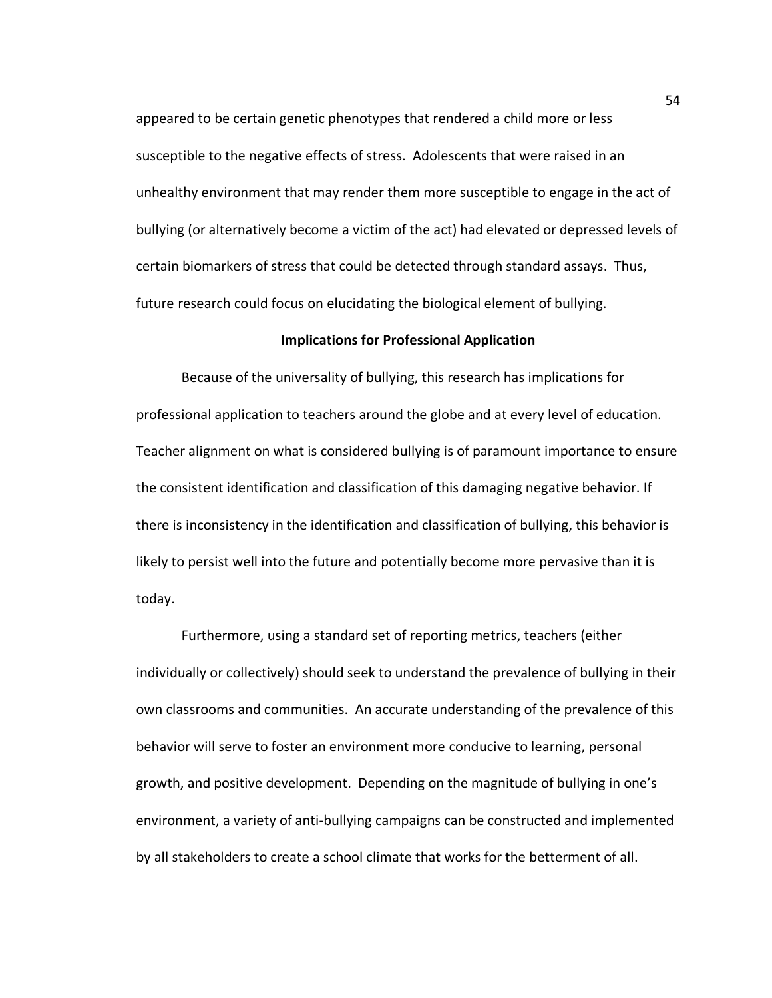appeared to be certain genetic phenotypes that rendered a child more or less susceptible to the negative effects of stress. Adolescents that were raised in an unhealthy environment that may render them more susceptible to engage in the act of bullying (or alternatively become a victim of the act) had elevated or depressed levels of certain biomarkers of stress that could be detected through standard assays. Thus, future research could focus on elucidating the biological element of bullying.

### **Implications for Professional Application**

Because of the universality of bullying, this research has implications for professional application to teachers around the globe and at every level of education. Teacher alignment on what is considered bullying is of paramount importance to ensure the consistent identification and classification of this damaging negative behavior. If there is inconsistency in the identification and classification of bullying, this behavior is likely to persist well into the future and potentially become more pervasive than it is today.

Furthermore, using a standard set of reporting metrics, teachers (either individually or collectively) should seek to understand the prevalence of bullying in their own classrooms and communities. An accurate understanding of the prevalence of this behavior will serve to foster an environment more conducive to learning, personal growth, and positive development. Depending on the magnitude of bullying in one's environment, a variety of anti-bullying campaigns can be constructed and implemented by all stakeholders to create a school climate that works for the betterment of all.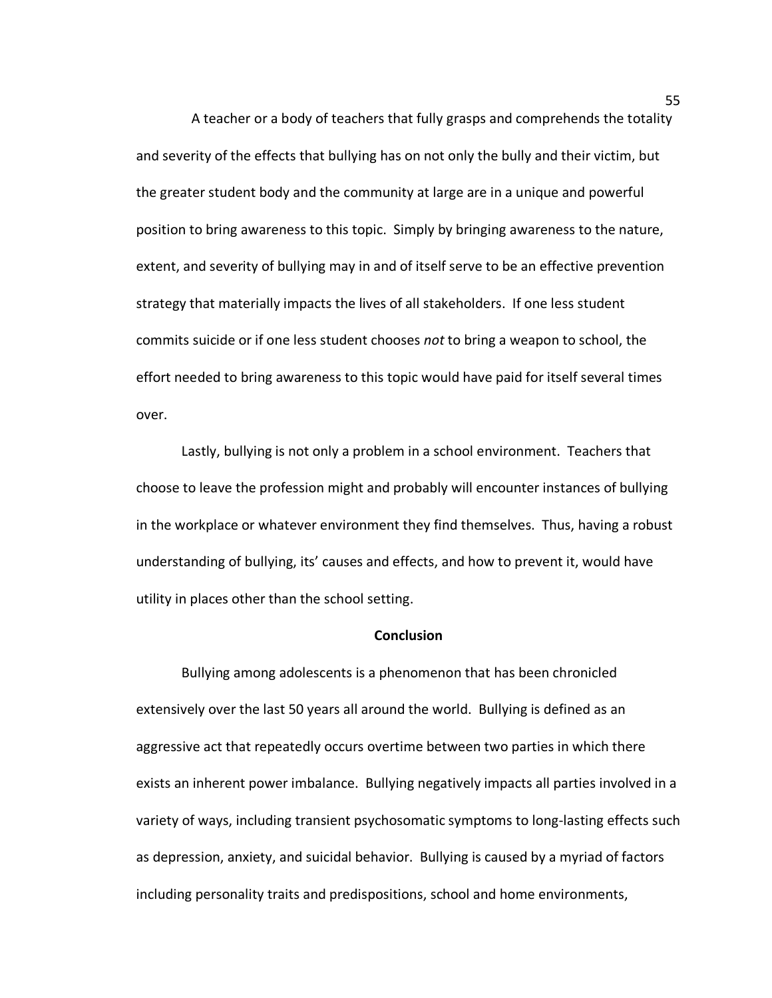A teacher or a body of teachers that fully grasps and comprehends the totality and severity of the effects that bullying has on not only the bully and their victim, but the greater student body and the community at large are in a unique and powerful position to bring awareness to this topic. Simply by bringing awareness to the nature, extent, and severity of bullying may in and of itself serve to be an effective prevention strategy that materially impacts the lives of all stakeholders. If one less student commits suicide or if one less student chooses *not* to bring a weapon to school, the effort needed to bring awareness to this topic would have paid for itself several times over.

Lastly, bullying is not only a problem in a school environment. Teachers that choose to leave the profession might and probably will encounter instances of bullying in the workplace or whatever environment they find themselves. Thus, having a robust understanding of bullying, its' causes and effects, and how to prevent it, would have utility in places other than the school setting.

#### **Conclusion**

Bullying among adolescents is a phenomenon that has been chronicled extensively over the last 50 years all around the world. Bullying is defined as an aggressive act that repeatedly occurs overtime between two parties in which there exists an inherent power imbalance. Bullying negatively impacts all parties involved in a variety of ways, including transient psychosomatic symptoms to long-lasting effects such as depression, anxiety, and suicidal behavior. Bullying is caused by a myriad of factors including personality traits and predispositions, school and home environments,

55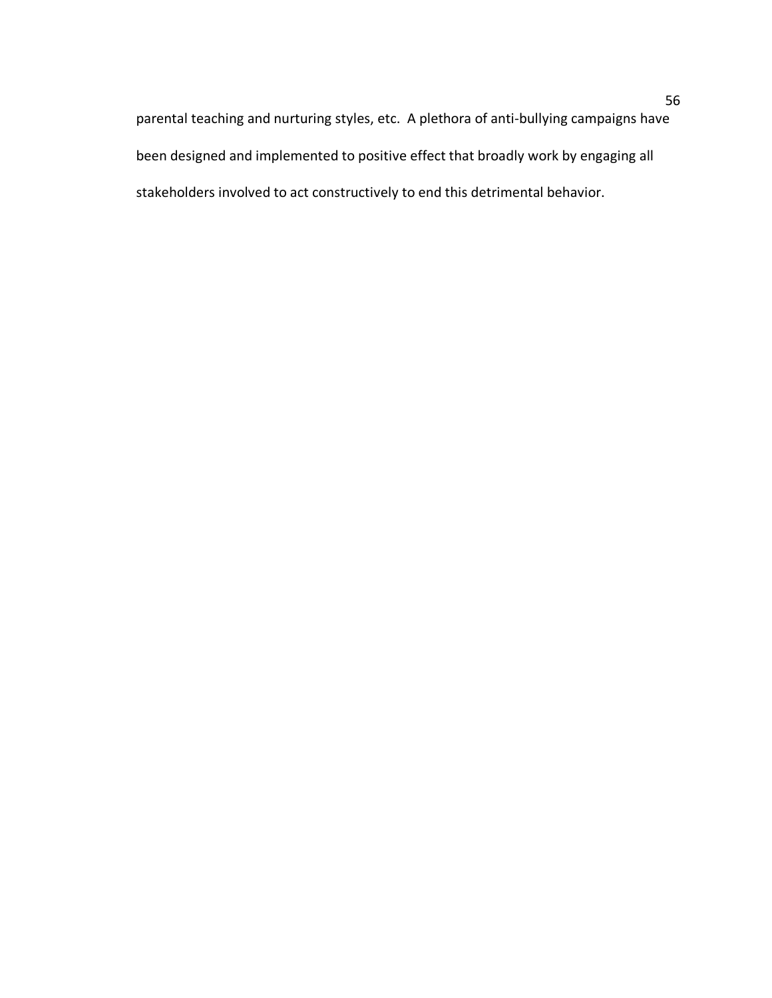parental teaching and nurturing styles, etc. A plethora of anti-bullying campaigns have been designed and implemented to positive effect that broadly work by engaging all stakeholders involved to act constructively to end this detrimental behavior.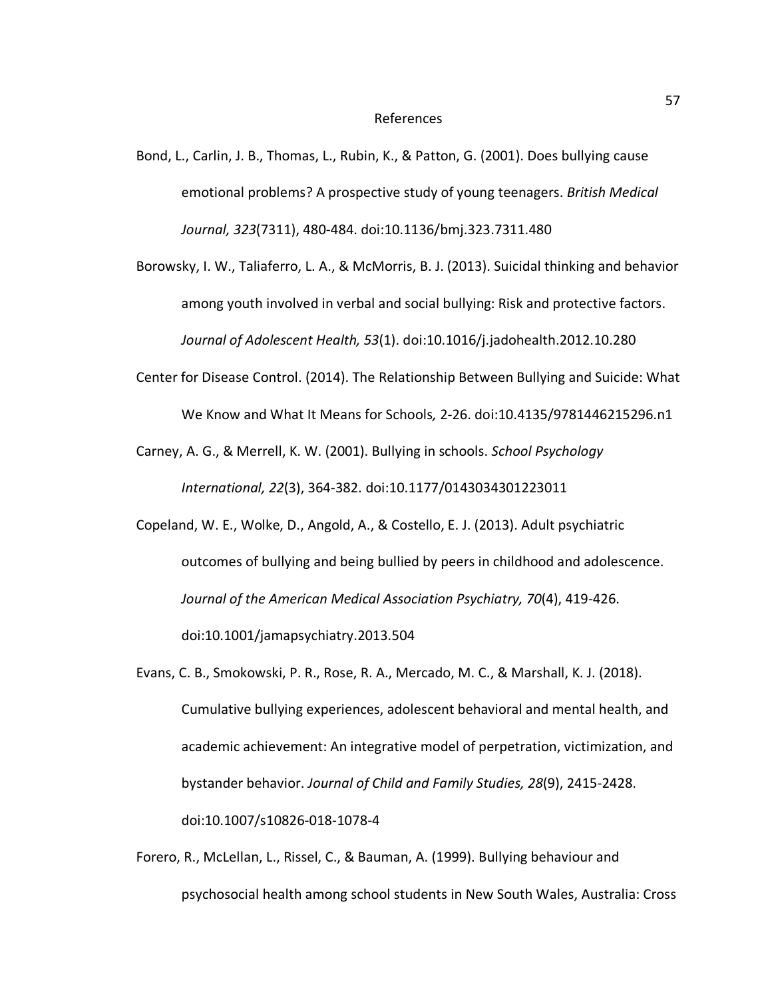Bond, L., Carlin, J. B., Thomas, L., Rubin, K., & Patton, G. (2001). Does bullying cause emotional problems? A prospective study of young teenagers. *British Medical Journal, 323*(7311), 480-484. doi:10.1136/bmj.323.7311.480

Borowsky, I. W., Taliaferro, L. A., & McMorris, B. J. (2013). Suicidal thinking and behavior among youth involved in verbal and social bullying: Risk and protective factors. *Journal of Adolescent Health, 53*(1). doi:10.1016/j.jadohealth.2012.10.280

- Center for Disease Control. (2014). The Relationship Between Bullying and Suicide: What We Know and What It Means for Schools*,* 2-26. doi:10.4135/9781446215296.n1
- Carney, A. G., & Merrell, K. W. (2001). Bullying in schools. *School Psychology International, 22*(3), 364-382. doi:10.1177/0143034301223011
- Copeland, W. E., Wolke, D., Angold, A., & Costello, E. J. (2013). Adult psychiatric outcomes of bullying and being bullied by peers in childhood and adolescence. *Journal of the American Medical Association Psychiatry, 70*(4), 419-426. doi:10.1001/jamapsychiatry.2013.504
- Evans, C. B., Smokowski, P. R., Rose, R. A., Mercado, M. C., & Marshall, K. J. (2018). Cumulative bullying experiences, adolescent behavioral and mental health, and academic achievement: An integrative model of perpetration, victimization, and bystander behavior. *Journal of Child and Family Studies, 28*(9), 2415-2428. doi:10.1007/s10826-018-1078-4
- Forero, R., McLellan, L., Rissel, C., & Bauman, A. (1999). Bullying behaviour and psychosocial health among school students in New South Wales, Australia: Cross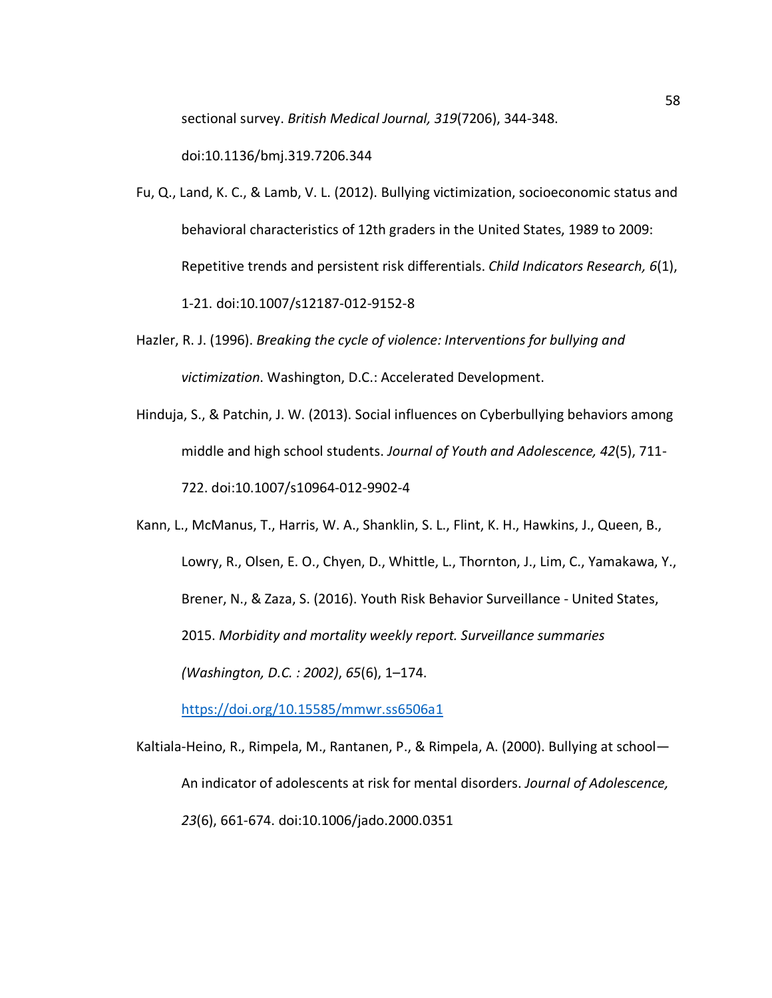sectional survey. *British Medical Journal, 319*(7206), 344-348.

doi:10.1136/bmj.319.7206.344

- Fu, Q., Land, K. C., & Lamb, V. L. (2012). Bullying victimization, socioeconomic status and behavioral characteristics of 12th graders in the United States, 1989 to 2009: Repetitive trends and persistent risk differentials. *Child Indicators Research, 6*(1), 1-21. doi:10.1007/s12187-012-9152-8
- Hazler, R. J. (1996). *Breaking the cycle of violence: Interventions for bullying and victimization*. Washington, D.C.: Accelerated Development.
- Hinduja, S., & Patchin, J. W. (2013). Social influences on Cyberbullying behaviors among middle and high school students. *Journal of Youth and Adolescence, 42*(5), 711- 722. doi:10.1007/s10964-012-9902-4

Kann, L., McManus, T., Harris, W. A., Shanklin, S. L., Flint, K. H., Hawkins, J., Queen, B., Lowry, R., Olsen, E. O., Chyen, D., Whittle, L., Thornton, J., Lim, C., Yamakawa, Y., Brener, N., & Zaza, S. (2016). Youth Risk Behavior Surveillance - United States, 2015. *Morbidity and mortality weekly report. Surveillance summaries (Washington, D.C. : 2002)*, *65*(6), 1–174.

https://doi.org/10.15585/mmwr.ss6506a1

Kaltiala-Heino, R., Rimpela, M., Rantanen, P., & Rimpela, A. (2000). Bullying at school— An indicator of adolescents at risk for mental disorders. *Journal of Adolescence, 23*(6), 661-674. doi:10.1006/jado.2000.0351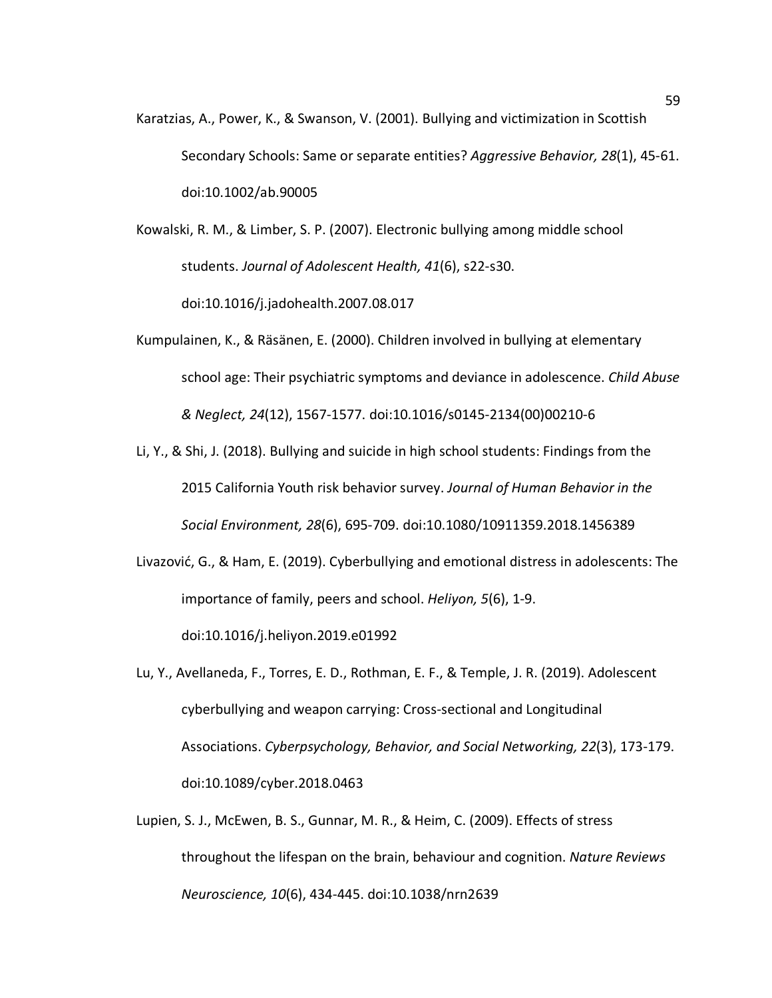Karatzias, A., Power, K., & Swanson, V. (2001). Bullying and victimization in Scottish Secondary Schools: Same or separate entities? *Aggressive Behavior, 28*(1), 45-61. doi:10.1002/ab.90005

Kowalski, R. M., & Limber, S. P. (2007). Electronic bullying among middle school students. *Journal of Adolescent Health, 41*(6), s22-s30. doi:10.1016/j.jadohealth.2007.08.017

- Kumpulainen, K., & Räsänen, E. (2000). Children involved in bullying at elementary school age: Their psychiatric symptoms and deviance in adolescence. *Child Abuse & Neglect, 24*(12), 1567-1577. doi:10.1016/s0145-2134(00)00210-6
- Li, Y., & Shi, J. (2018). Bullying and suicide in high school students: Findings from the 2015 California Youth risk behavior survey. *Journal of Human Behavior in the Social Environment, 28*(6), 695-709. doi:10.1080/10911359.2018.1456389
- Livazović, G., & Ham, E. (2019). Cyberbullying and emotional distress in adolescents: The importance of family, peers and school. *Heliyon, 5*(6), 1-9.

doi:10.1016/j.heliyon.2019.e01992

- Lu, Y., Avellaneda, F., Torres, E. D., Rothman, E. F., & Temple, J. R. (2019). Adolescent cyberbullying and weapon carrying: Cross-sectional and Longitudinal Associations. *Cyberpsychology, Behavior, and Social Networking, 22*(3), 173-179. doi:10.1089/cyber.2018.0463
- Lupien, S. J., McEwen, B. S., Gunnar, M. R., & Heim, C. (2009). Effects of stress throughout the lifespan on the brain, behaviour and cognition. *Nature Reviews Neuroscience, 10*(6), 434-445. doi:10.1038/nrn2639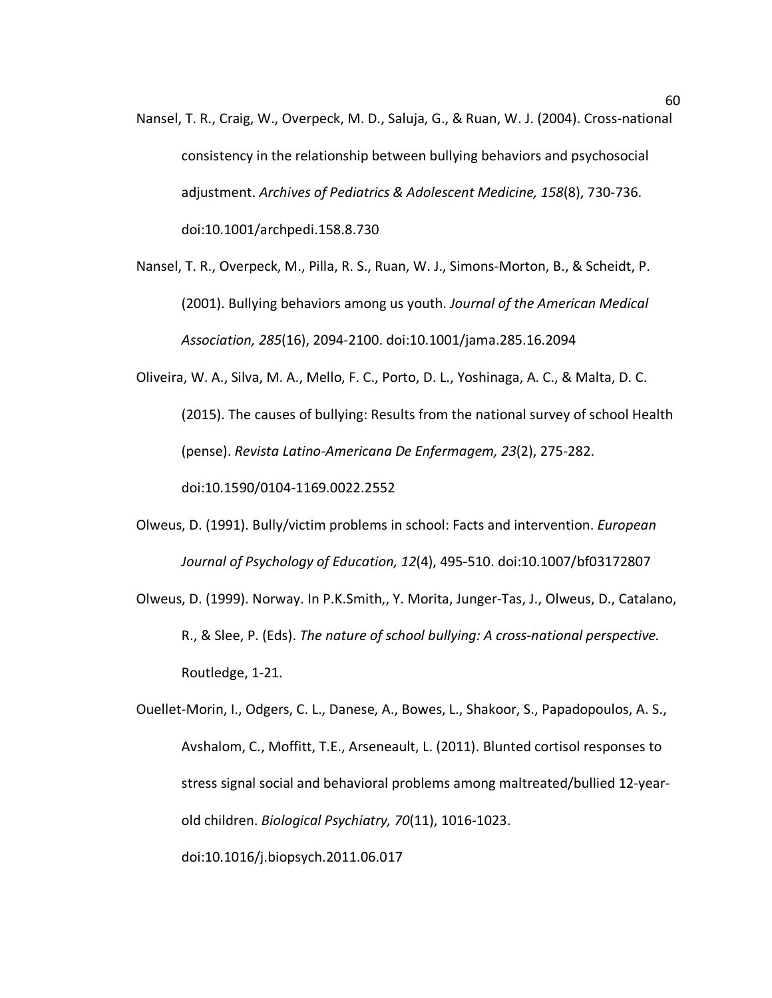Nansel, T. R., Craig, W., Overpeck, M. D., Saluja, G., & Ruan, W. J. (2004). Cross-national consistency in the relationship between bullying behaviors and psychosocial adjustment. *Archives of Pediatrics & Adolescent Medicine, 158*(8), 730-736. doi:10.1001/archpedi.158.8.730

Nansel, T. R., Overpeck, M., Pilla, R. S., Ruan, W. J., Simons-Morton, B., & Scheidt, P. (2001). Bullying behaviors among us youth. *Journal of the American Medical Association, 285*(16), 2094-2100. doi:10.1001/jama.285.16.2094

Oliveira, W. A., Silva, M. A., Mello, F. C., Porto, D. L., Yoshinaga, A. C., & Malta, D. C. (2015). The causes of bullying: Results from the national survey of school Health (pense). *Revista Latino-Americana De Enfermagem, 23*(2), 275-282. doi:10.1590/0104-1169.0022.2552

Olweus, D. (1991). Bully/victim problems in school: Facts and intervention. *European Journal of Psychology of Education, 12*(4), 495-510. doi:10.1007/bf03172807

Olweus, D. (1999). Norway. In P.K.Smith,, Y. Morita, Junger-Tas, J., Olweus, D., Catalano, R., & Slee, P. (Eds). *The nature of school bullying: A cross-national perspective.*  Routledge, 1-21.

Ouellet-Morin, I., Odgers, C. L., Danese, A., Bowes, L., Shakoor, S., Papadopoulos, A. S., Avshalom, C., Moffitt, T.E., Arseneault, L. (2011). Blunted cortisol responses to stress signal social and behavioral problems among maltreated/bullied 12-yearold children. *Biological Psychiatry, 70*(11), 1016-1023.

doi:10.1016/j.biopsych.2011.06.017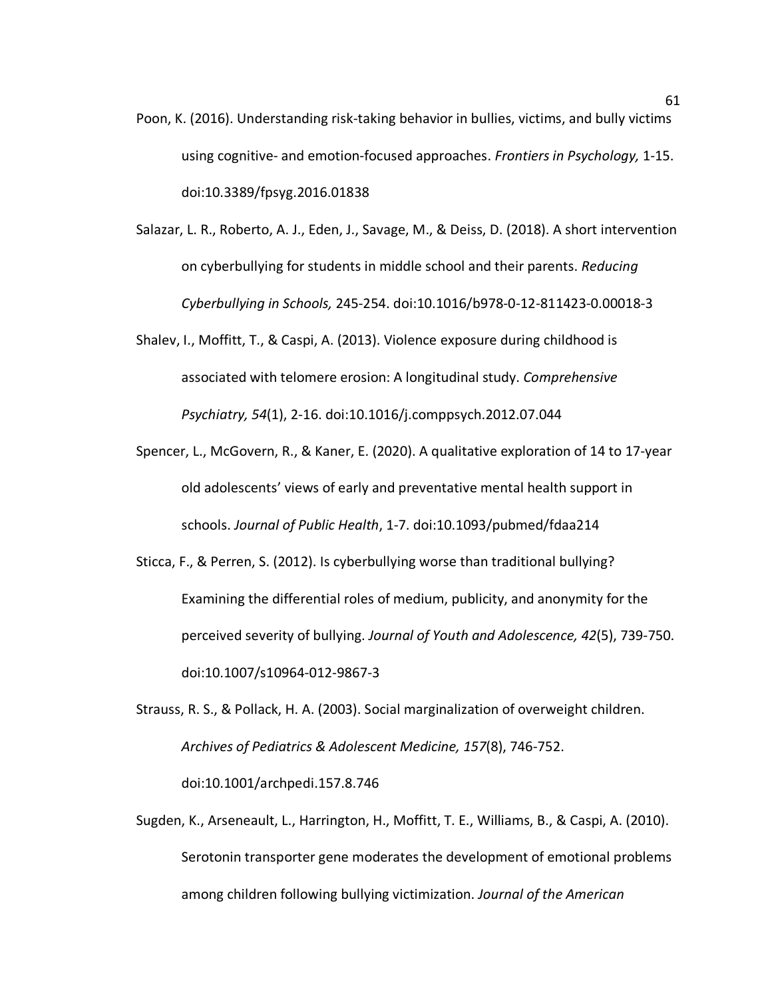- Poon, K. (2016). Understanding risk-taking behavior in bullies, victims, and bully victims using cognitive- and emotion-focused approaches. *Frontiers in Psychology,* 1-15. doi:10.3389/fpsyg.2016.01838
- Salazar, L. R., Roberto, A. J., Eden, J., Savage, M., & Deiss, D. (2018). A short intervention on cyberbullying for students in middle school and their parents. *Reducing Cyberbullying in Schools,* 245-254. doi:10.1016/b978-0-12-811423-0.00018-3
- Shalev, I., Moffitt, T., & Caspi, A. (2013). Violence exposure during childhood is associated with telomere erosion: A longitudinal study. *Comprehensive Psychiatry, 54*(1), 2-16. doi:10.1016/j.comppsych.2012.07.044
- Spencer, L., McGovern, R., & Kaner, E. (2020). A qualitative exploration of 14 to 17-year old adolescents' views of early and preventative mental health support in schools. *Journal of Public Health*, 1-7. doi:10.1093/pubmed/fdaa214
- Sticca, F., & Perren, S. (2012). Is cyberbullying worse than traditional bullying? Examining the differential roles of medium, publicity, and anonymity for the perceived severity of bullying. *Journal of Youth and Adolescence, 42*(5), 739-750. doi:10.1007/s10964-012-9867-3
- Strauss, R. S., & Pollack, H. A. (2003). Social marginalization of overweight children. *Archives of Pediatrics & Adolescent Medicine, 157*(8), 746-752. doi:10.1001/archpedi.157.8.746
- Sugden, K., Arseneault, L., Harrington, H., Moffitt, T. E., Williams, B., & Caspi, A. (2010). Serotonin transporter gene moderates the development of emotional problems among children following bullying victimization. *Journal of the American*